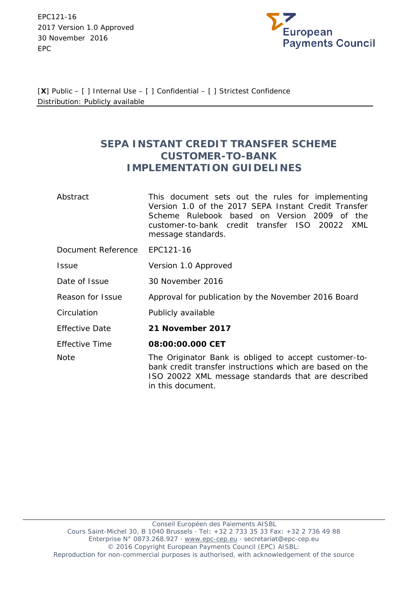EPC121-16 2017 Version 1.0 Approved 30 November 2016 EPC



[**X**] Public – [ ] Internal Use – [ ] Confidential – [ ] Strictest Confidence Distribution: Publicly available

# **SEPA INSTANT CREDIT TRANSFER SCHEME CUSTOMER-TO-BANK IMPLEMENTATION GUIDELINES**

| Abstract              | This document sets out the rules for implementing<br>Version 1.0 of the 2017 SEPA Instant Credit Transfer<br>Scheme Rulebook based on Version 2009 of the<br>customer-to-bank credit transfer ISO 20022<br>XML<br>message standards. |  |  |  |
|-----------------------|--------------------------------------------------------------------------------------------------------------------------------------------------------------------------------------------------------------------------------------|--|--|--|
| Document Reference    | EPC121-16                                                                                                                                                                                                                            |  |  |  |
| <b>Issue</b>          | Version 1.0 Approved                                                                                                                                                                                                                 |  |  |  |
| Date of Issue         | 30 November 2016                                                                                                                                                                                                                     |  |  |  |
| Reason for Issue      | Approval for publication by the November 2016 Board                                                                                                                                                                                  |  |  |  |
| Circulation           | Publicly available                                                                                                                                                                                                                   |  |  |  |
| <b>Effective Date</b> | 21 November 2017                                                                                                                                                                                                                     |  |  |  |
| <b>Effective Time</b> | 08:00:00.000 CET                                                                                                                                                                                                                     |  |  |  |
| <b>Note</b>           | The Originator Bank is obliged to accept customer-to-<br>bank credit transfer instructions which are based on the<br>ISO 20022 XML message standards that are described                                                              |  |  |  |

in this document.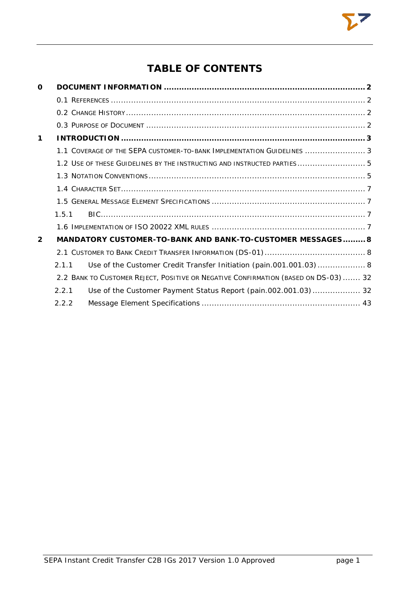# **TABLE OF CONTENTS**

| O              |       |                                                                                     |  |
|----------------|-------|-------------------------------------------------------------------------------------|--|
|                |       |                                                                                     |  |
|                |       |                                                                                     |  |
|                |       |                                                                                     |  |
| $\mathbf 1$    |       |                                                                                     |  |
|                |       | 1.1 COVERAGE OF THE SEPA CUSTOMER-TO-BANK IMPLEMENTATION GUIDELINES  3              |  |
|                |       | 1.2 USE OF THESE GUIDELINES BY THE INSTRUCTING AND INSTRUCTED PARTIES 5             |  |
|                |       |                                                                                     |  |
|                |       |                                                                                     |  |
|                |       |                                                                                     |  |
|                | 1.5.1 |                                                                                     |  |
|                |       |                                                                                     |  |
| $\overline{2}$ |       | MANDATORY CUSTOMER-TO-BANK AND BANK-TO-CUSTOMER MESSAGES 8                          |  |
|                |       |                                                                                     |  |
|                | 211   | Use of the Customer Credit Transfer Initiation (pain.001.001.03) 8                  |  |
|                |       | 2.2 BANK TO CUSTOMER REJECT, POSITIVE OR NEGATIVE CONFIRMATION (BASED ON DS-03)  32 |  |
|                | 2.2.1 | Use of the Customer Payment Status Report (pain.002.001.03) 32                      |  |
|                | 2.2.2 |                                                                                     |  |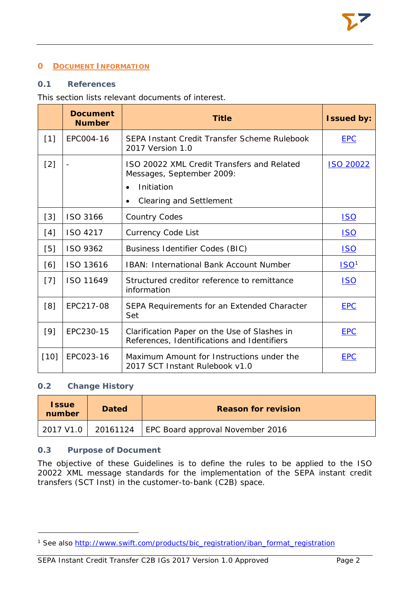# <span id="page-2-0"></span>**0 DOCUMENT INFORMATION**

# <span id="page-2-1"></span>**0.1 References**

# This section lists relevant documents of interest.

|        | <b>Document</b><br><b>Number</b> | <b>Title</b>                                                                                                            | <b>Issued by:</b> |
|--------|----------------------------------|-------------------------------------------------------------------------------------------------------------------------|-------------------|
| $[1]$  | EPC004-16                        | SEPA Instant Credit Transfer Scheme Rulebook<br>2017 Version 1.0                                                        | <b>EPC</b>        |
| $[2]$  |                                  | ISO 20022 XML Credit Transfers and Related<br>Messages, September 2009:<br>Initiation<br><b>Clearing and Settlement</b> | <b>ISO 20022</b>  |
| [3]    | ISO 3166                         | <b>Country Codes</b>                                                                                                    | <u>ISO</u>        |
| [4]    | ISO 4217                         | <b>Currency Code List</b>                                                                                               | <u>ISO</u>        |
| [5]    | ISO 9362                         | <b>Business Identifier Codes (BIC)</b>                                                                                  | <b>ISO</b>        |
| [6]    | ISO 13616                        | <b>IBAN: International Bank Account Number</b>                                                                          | ISO <sup>1</sup>  |
| $[7]$  | ISO 11649                        | Structured creditor reference to remittance<br>information                                                              | <u>ISO</u>        |
| [8]    | EPC217-08                        | SEPA Requirements for an Extended Character<br>Set                                                                      | <b>EPC</b>        |
| $[9]$  | EPC230-15                        | Clarification Paper on the Use of Slashes in<br>References, Identifications and Identifiers                             | <b>EPC</b>        |
| $[10]$ | EPC023-16                        | Maximum Amount for Instructions under the<br>2017 SCT Instant Rulebook v1.0                                             | <b>EPC</b>        |

### <span id="page-2-2"></span>**0.2 Change History**

1

| <b>Issue</b><br>number | <b>Dated</b> | <b>Reason for revision</b>                  |  |
|------------------------|--------------|---------------------------------------------|--|
| 2017 V1.0 L            |              | 20161124   EPC Board approval November 2016 |  |

# <span id="page-2-3"></span>**0.3 Purpose of Document**

The objective of these Guidelines is to define the rules to be applied to the ISO 20022 XML message standards for the implementation of the SEPA instant credit transfers (SCT Inst) in the customer-to-bank (C2B) space.

<span id="page-2-4"></span><sup>&</sup>lt;sup>1</sup> See also [http://www.swift.com/products/bic\\_registration/iban\\_format\\_registration](http://www.swift.com/products/bic_registration/iban_format_registration)

SEPA Instant Credit Transfer C2B IGs 2017 Version 1.0 Approved Page 2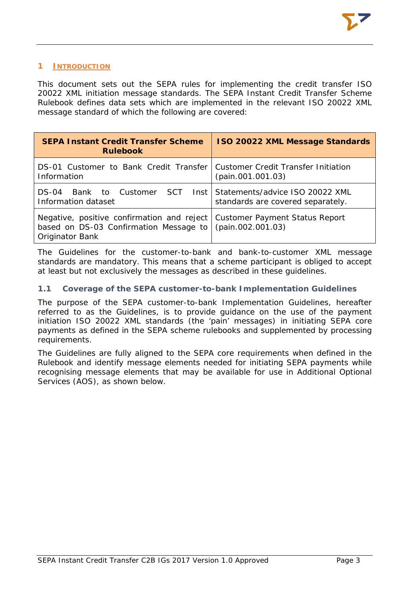## <span id="page-3-0"></span>**1 INTRODUCTION**

This document sets out the SEPA rules for implementing the credit transfer ISO 20022 XML initiation message standards. The SEPA Instant Credit Transfer Scheme Rulebook defines data sets which are implemented in the relevant ISO 20022 XML message standard of which the following are covered:

| <b>SEPA Instant Credit Transfer Scheme</b><br><b>Rulebook</b>                                                                                          | <b>ISO 20022 XML Message Standards</b> |
|--------------------------------------------------------------------------------------------------------------------------------------------------------|----------------------------------------|
| DS-01 Customer to Bank Credit Transfer Customer Credit Transfer Initiation<br>Information                                                              | (pain.001.001.03)                      |
| Bank to Customer SCT Inst Statements/advice ISO 20022 XML<br>$DS-04$<br>Information dataset                                                            | standards are covered separately.      |
| <i>Negative, positive confirmation and reject</i>   Customer Payment Status Report<br>based on DS-03 Confirmation Message to<br><b>Originator Bank</b> | (pain.002.001.03)                      |

The Guidelines for the customer-to-bank and bank-to-customer XML message standards are mandatory. This means that a scheme participant is obliged to accept at least but not exclusively the messages as described in these guidelines.

# <span id="page-3-1"></span>**1.1 Coverage of the SEPA customer-to-bank Implementation Guidelines**

The purpose of the SEPA customer-to-bank Implementation Guidelines, hereafter referred to as the Guidelines, is to provide guidance on the use of the payment initiation ISO 20022 XML standards (the 'pain' messages) in initiating SEPA core payments as defined in the SEPA scheme rulebooks and supplemented by processing requirements.

The Guidelines are fully aligned to the SEPA core requirements when defined in the Rulebook and identify message elements needed for initiating SEPA payments while recognising message elements that may be available for use in Additional Optional Services (AOS), as shown below.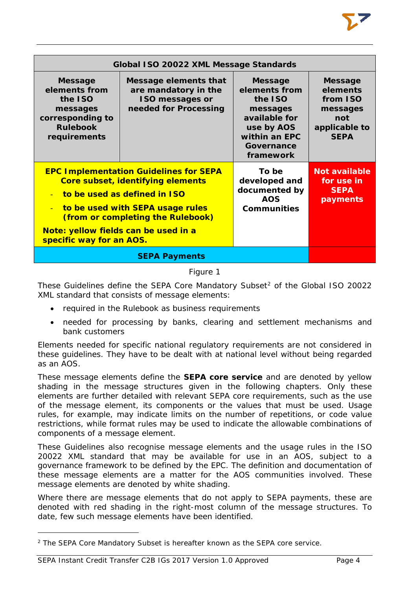|                                                                                                               | Global ISO 20022 XML Message Standards                                                                                                                                                      |                                                                                                                                   |                                                                                           |  |
|---------------------------------------------------------------------------------------------------------------|---------------------------------------------------------------------------------------------------------------------------------------------------------------------------------------------|-----------------------------------------------------------------------------------------------------------------------------------|-------------------------------------------------------------------------------------------|--|
| <b>Message</b><br>elements from<br>the ISO<br>messages<br>corresponding to<br><b>Rulebook</b><br>requirements | Message elements that<br>are mandatory in the<br><b>ISO messages or</b><br>needed for Processing                                                                                            | <b>Message</b><br>elements from<br>the ISO<br>messages<br>available for<br>use by AOS<br>within an EPC<br>Governance<br>framework | <b>Message</b><br>elements<br>from ISO<br>messages<br>not<br>applicable to<br><b>SEPA</b> |  |
| $\mathbf{u}$<br>$\equiv$<br>Note: yellow fields can be used in a<br>specific way for an AOS.                  | <b>EPC Implementation Guidelines for SEPA</b><br>Core subset, identifying elements<br>to be used as defined in ISO<br>to be used with SEPA usage rules<br>(from or completing the Rulebook) | To be<br>developed and<br>documented by<br><b>AOS</b><br><b>Communities</b>                                                       | <b>Not available</b><br>for use in<br><b>SEPA</b><br>payments                             |  |
|                                                                                                               |                                                                                                                                                                                             |                                                                                                                                   |                                                                                           |  |

# Figure 1

These Guidelines define the SEPA Core Mandatory Subset<sup>[2](#page-4-0)</sup> of the Global ISO 20022 XML standard that consists of message elements:

- required in the Rulebook as business requirements
- needed for processing by banks, clearing and settlement mechanisms and bank customers

Elements needed for specific national regulatory requirements are not considered in these guidelines. They have to be dealt with at national level without being regarded as an AOS.

These message elements define the **SEPA core service** and are denoted by yellow shading in the message structures given in the following chapters. Only these elements are further detailed with relevant SEPA core requirements, such as the use of the message element, its components or the values that must be used. Usage rules, for example, may indicate limits on the number of repetitions, or code value restrictions, while format rules may be used to indicate the allowable combinations of components of a message element.

These Guidelines also recognise message elements and the usage rules in the ISO 20022 XML standard that may be available for use in an AOS, subject to a governance framework to be defined by the EPC. The definition and documentation of these message elements are a matter for the AOS communities involved. These message elements are denoted by white shading.

Where there are message elements that do not apply to SEPA payments, these are denoted with red shading in the right-most column of the message structures. To date, few such message elements have been identified.

1

<span id="page-4-0"></span><sup>2</sup> The SEPA Core Mandatory Subset is hereafter known as the SEPA core service.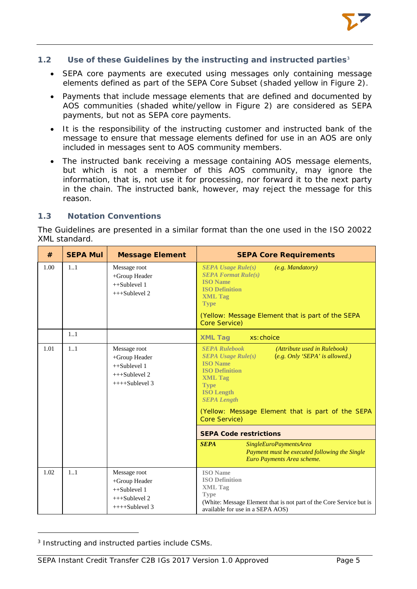# <span id="page-5-0"></span>**1.2 Use of these Guidelines by the instructing and instructed parties[3](#page-5-2)**

- SEPA core payments are executed using messages only containing message elements defined as part of the SEPA Core Subset (shaded vellow in Figure 2).
- Payments that include message elements that are defined and documented by AOS communities (shaded white/yellow in Figure 2) are considered as SEPA payments, but not as SEPA core payments.
- It is the responsibility of the instructing customer and instructed bank of the message to ensure that message elements defined for use in an AOS are only included in messages sent to AOS community members.
- The instructed bank receiving a message containing AOS message elements, but which is not a member of this AOS community, may ignore the information, that is, not use it for processing, nor forward it to the next party in the chain. The instructed bank, however, may reject the message for this reason.

# <span id="page-5-1"></span>**1.3 Notation Conventions**

The Guidelines are presented in a similar format than the one used in the ISO 20022 XML standard.

| #    | <b>SEPA Mul</b> | <b>Message Element</b>                                                                | <b>SEPA Core Requirements</b>                                                                                                                                                                                                                                                                                                                                                                                                                                              |
|------|-----------------|---------------------------------------------------------------------------------------|----------------------------------------------------------------------------------------------------------------------------------------------------------------------------------------------------------------------------------------------------------------------------------------------------------------------------------------------------------------------------------------------------------------------------------------------------------------------------|
| 1.00 | 11              | Message root<br>+Group Header<br>$++Sublevel 1$<br>$+++Sublevel 2$                    | <b>SEPA</b> Usage $Rule(s)$<br>$(e.g.$ Mandatory)<br><b>SEPA Format Rule(s)</b><br><b>ISO</b> Name<br><b>ISO Definition</b><br><b>XML Tag</b><br><b>Type</b><br>(Yellow: Message Element that is part of the SEPA<br>Core Service)                                                                                                                                                                                                                                         |
|      | 1.1             |                                                                                       | <b>XML Tag</b><br>xs: choice                                                                                                                                                                                                                                                                                                                                                                                                                                               |
| 1.01 | 1.1             | Message root<br>+Group Header<br>$++Sublevel 1$<br>$+++Sublevel 2$<br>$+++Sublevel 3$ | <b>SEPA Rulebook</b><br>(Attribute used in Rulebook)<br><b>SEPA Usage Rule(s)</b><br>(e.g. Only 'SEPA' is allowed.)<br><b>ISO</b> Name<br><b>ISO Definition</b><br><b>XML Tag</b><br><b>Type</b><br><b>ISO Length</b><br><b>SEPA Length</b><br>(Yellow: Message Element that is part of the SEPA<br>Core Service)<br><b>SEPA Code restrictions</b><br><b>SEPA</b><br>SingleEuroPaymentsArea<br>Payment must be executed following the Single<br>Euro Payments Area scheme. |
| 1.02 | 1.1             | Message root<br>+Group Header<br>$++Sublevel 1$<br>$+++Sublevel 2$<br>$+++Sublevel 3$ | <b>ISO</b> Name<br><b>ISO Definition</b><br><b>XML</b> Tag<br><b>Type</b><br>(White: Message Element that is not part of the Core Service but is<br>available for use in a SEPA AOS)                                                                                                                                                                                                                                                                                       |

<span id="page-5-2"></span><sup>3</sup> Instructing and instructed parties include CSMs.

1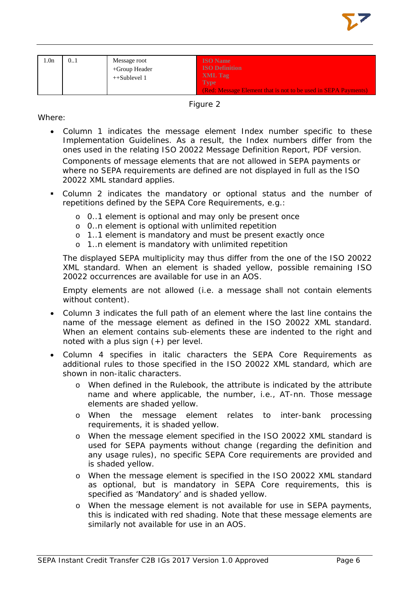

| 1.0 <sub>n</sub> | 01 | Message root<br>$+$ Group Header<br>$++Sublevel 1$ | <b>ISO</b> Name<br><b>ISO Definition</b><br>XML Tag<br><b>Type</b> |
|------------------|----|----------------------------------------------------|--------------------------------------------------------------------|
|                  |    |                                                    | (Red: Message Element that is not to be used in SEPA Payments)     |

Figure 2

## Where:

- Column 1 indicates the message element Index number specific to these Implementation Guidelines. As a result, the Index numbers differ from the ones used in the relating ISO 20022 Message Definition Report, PDF version. Components of message elements that are not allowed in SEPA payments or where no SEPA requirements are defined are not displayed in full as the ISO 20022 XML standard applies.
- Column 2 indicates the mandatory or optional status and the number of repetitions defined by the SEPA Core Requirements, e.g.:
	- o 0..1 element is optional and may only be present once
	- o 0..n element is optional with unlimited repetition
	- o 1..1 element is mandatory and must be present exactly once
	- o 1..n element is mandatory with unlimited repetition

The displayed SEPA multiplicity may thus differ from the one of the ISO 20022 XML standard. When an element is shaded yellow, possible remaining ISO 20022 occurrences are available for use in an AOS.

Empty elements are not allowed (i.e. a message shall not contain elements without content).

- Column 3 indicates the full path of an element where the last line contains the name of the message element as defined in the ISO 20022 XML standard. When an element contains sub-elements these are indented to the right and noted with a plus sign (+) per level.
- Column 4 specifies in italic characters the SEPA Core Requirements as additional rules to those specified in the ISO 20022 XML standard, which are shown in non-italic characters.
	- o When defined in the Rulebook, the attribute is indicated by the attribute name and where applicable, the number, i.e., AT-nn. Those message elements are shaded yellow.
	- o When the message element relates to inter-bank processing requirements, it is shaded yellow.
	- o When the message element specified in the ISO 20022 XML standard is used for SEPA payments without change (regarding the definition and any usage rules), no specific SEPA Core requirements are provided and is shaded yellow.
	- o When the message element is specified in the ISO 20022 XML standard as optional, but is mandatory in SEPA Core requirements, this is specified as 'Mandatory' and is shaded yellow.
	- o When the message element is not available for use in SEPA payments, this is indicated with red shading. Note that these message elements are similarly not available for use in an AOS.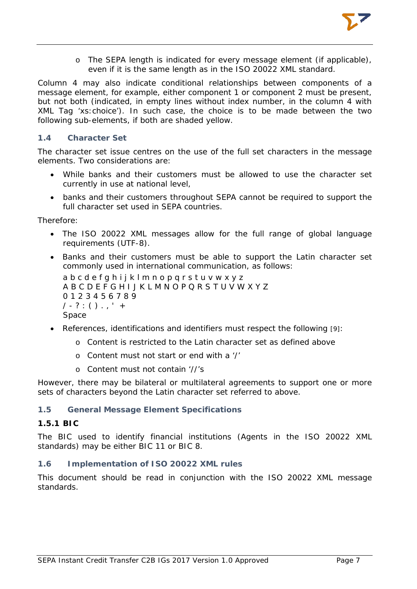

o The SEPA length is indicated for every message element (if applicable), even if it is the same length as in the ISO 20022 XML standard.

Column 4 may also indicate conditional relationships between components of a message element, for example, either component 1 or component 2 must be present, but not both (indicated, in empty lines without index number, in the column 4 with XML Tag 'xs:choice'). In such case, the choice is to be made between the two following sub-elements, if both are shaded yellow.

#### <span id="page-7-0"></span>**1.4 Character Set**

The character set issue centres on the use of the full set characters in the message elements. Two considerations are:

- While banks and their customers must be allowed to use the character set currently in use at national level,
- banks and their customers throughout SEPA cannot be required to support the full character set used in SEPA countries.

#### Therefore:

- The ISO 20022 XML messages allow for the full range of global language requirements (UTF-8).
- Banks and their customers must be able to support the Latin character set commonly used in international communication, as follows: a b c d e f q h i j k l m n o p q r s t u v w x y z A B C D E F G H I J K L M N O P Q R S T U V W X Y Z 0 1 2 3 4 5 6 7 8 9

 $1 - ? : () . , ' +$ 

- Space
- References, identifications and identifiers must respect the following [9]:
	- o Content is restricted to the Latin character set as defined above
	- o Content must not start or end with a '/'
	- o Content must not contain '//'s

However, there may be bilateral or multilateral agreements to support one or more sets of characters beyond the Latin character set referred to above.

#### <span id="page-7-1"></span>**1.5 General Message Element Specifications**

#### <span id="page-7-2"></span>**1.5.1 BIC**

The BIC used to identify financial institutions (Agents in the ISO 20022 XML standards) may be either BIC 11 or BIC 8.

#### <span id="page-7-3"></span>**1.6 Implementation of ISO 20022 XML rules**

This document should be read in conjunction with the ISO 20022 XML message standards.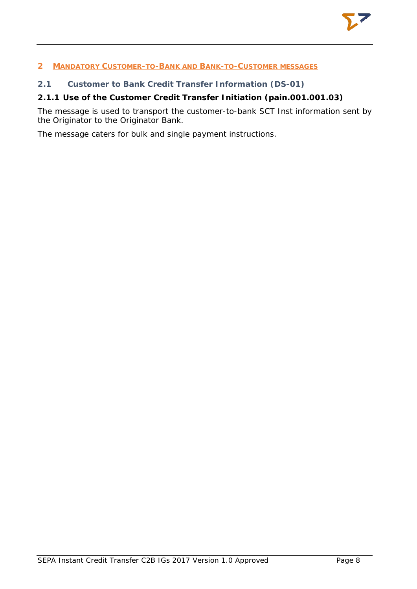# <span id="page-8-0"></span>**2 MANDATORY CUSTOMER-TO-BANK AND BANK-TO-CUSTOMER MESSAGES**

# <span id="page-8-1"></span>**2.1 Customer to Bank Credit Transfer Information (DS-01)**

# <span id="page-8-2"></span>**2.1.1 Use of the Customer Credit Transfer Initiation (pain.001.001.03)**

The message is used to transport the customer-to-bank SCT Inst information sent by the Originator to the Originator Bank.

The message caters for bulk and single payment instructions.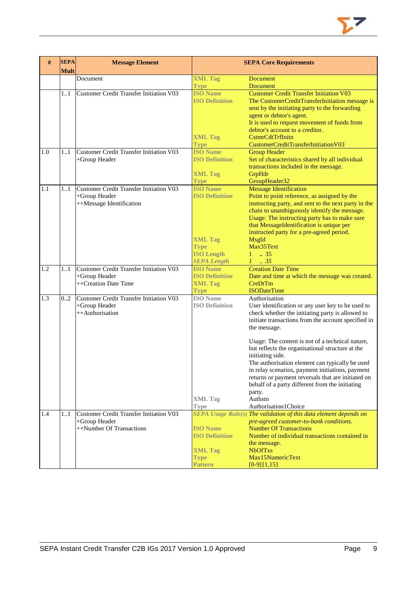

| #   | <b>SEPA</b><br><b>Mult</b> | <b>Message Element</b>                                                                      | <b>SEPA Core Requirements</b>                                                                                        |                                                                                                                                                                                                                                                                                                                                                                                  |
|-----|----------------------------|---------------------------------------------------------------------------------------------|----------------------------------------------------------------------------------------------------------------------|----------------------------------------------------------------------------------------------------------------------------------------------------------------------------------------------------------------------------------------------------------------------------------------------------------------------------------------------------------------------------------|
|     |                            | Document                                                                                    | <b>XML Tag</b><br><b>Type</b>                                                                                        | <b>Document</b><br><b>Document</b>                                                                                                                                                                                                                                                                                                                                               |
|     | 11                         | <b>Customer Credit Transfer Initiation V03</b>                                              | <b>ISO Name</b><br><b>ISO Definition</b><br><b>XML Tag</b><br><b>Type</b>                                            | <b>Customer Credit Transfer Initiation V03</b><br>The CustomerCreditTransferInitiation message is<br>sent by the initiating party to the forwarding<br>agent or debtor's agent.<br>It is used to request movement of funds from<br>debtor's account to a creditor.<br>CstmrCdtTrfInitn<br>CustomerCreditTransferInitiationV03                                                    |
| 1.0 | 11                         | <b>Customer Credit Transfer Initiation V03</b><br>+Group Header                             | <b>ISO Name</b><br><b>ISO Definition</b><br><b>XML Tag</b><br><b>Type</b>                                            | <b>Group Header</b><br>Set of characteristics shared by all individual<br>transactions included in the message.<br>GrpHdr<br>GroupHeader32                                                                                                                                                                                                                                       |
| 1.1 | 11                         | <b>Customer Credit Transfer Initiation V03</b><br>+Group Header<br>++Message Identification | <b>ISO Name</b><br><b>ISO Definition</b><br><b>XML Tag</b><br><b>Type</b><br><b>ISO Length</b><br><b>SEPA Length</b> | <b>Message Identification</b><br>Point to point reference, as assigned by the<br>instructing party, and sent to the next party in the<br>chain to unambiguously identify the message.<br>Usage: The instructing party has to make sure<br>that MessageIdentification is unique per<br>instructed party for a pre-agreed period.<br>MsgId<br>Max35Text<br>$1 \t . 35$<br>$1 \t35$ |
| 1.2 | 11                         | <b>Customer Credit Transfer Initiation V03</b><br>+Group Header<br>++Creation Date Time     | <b>ISO</b> Name<br><b>ISO Definition</b><br><b>XML Tag</b><br><b>Type</b>                                            | <b>Creation Date Time</b><br>Date and time at which the message was created.<br>CreDtTm<br><b>ISODateTime</b>                                                                                                                                                                                                                                                                    |
| 1.3 | 02                         | <b>Customer Credit Transfer Initiation V03</b><br>+Group Header<br>++Authorisation          | <b>ISO</b> Name<br><b>ISO Definition</b>                                                                             | Authorisation<br>User identification or any user key to be used to<br>check whether the initiating party is allowed to<br>initiate transactions from the account specified in<br>the message.<br>Usage: The content is not of a technical nature,<br>but reflects the organisational structure at the<br>initiating side.<br>The authorisation element can typically be used     |
|     |                            |                                                                                             | <b>XML Tag</b><br><b>Type</b>                                                                                        | in relay scenarios, payment initiations, payment<br>returns or payment reversals that are initiated on<br>behalf of a party different from the initiating<br>party.<br>Authstn<br>Authorisation1Choice                                                                                                                                                                           |
| 1.4 | 11                         | Customer Credit Transfer Initiation V03<br>+Group Header<br>++Number Of Transactions        | <b>ISO Name</b><br><b>ISO Definition</b><br><b>XML Tag</b><br><b>Type</b><br><b>Pattern</b>                          | SEPA Usage Rule(s) The validation of this data element depends on<br>pre-agreed customer-to-bank conditions.<br><b>Number Of Transactions</b><br>Number of individual transactions contained in<br>the message.<br><b>NbOfTxs</b><br>Max15NumericText<br>$[0-9]{1,15}$                                                                                                           |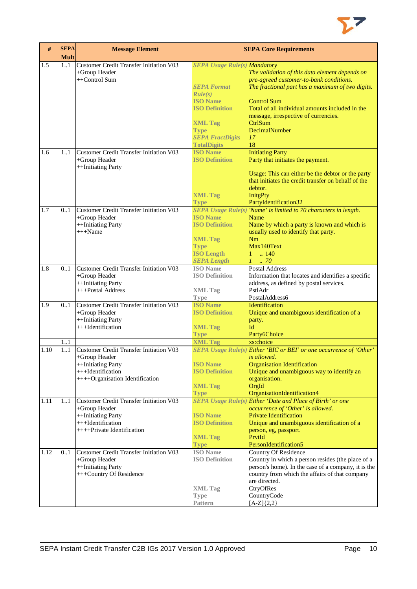

| $\#$ | <b>SEPA</b><br><b>Mult</b> | <b>Message Element</b>                         |                                     | <b>SEPA Core Requirements</b>                                       |
|------|----------------------------|------------------------------------------------|-------------------------------------|---------------------------------------------------------------------|
| 1.5  | 11                         | <b>Customer Credit Transfer Initiation V03</b> | <b>SEPA Usage Rule(s) Mandatory</b> |                                                                     |
|      |                            | +Group Header                                  |                                     | The validation of this data element depends on                      |
|      |                            | ++Control Sum                                  |                                     | pre-agreed customer-to-bank conditions.                             |
|      |                            |                                                | <b>SEPA Format</b>                  | The fractional part has a maximum of two digits.                    |
|      |                            |                                                | Rule(s)                             |                                                                     |
|      |                            |                                                | <b>ISO Name</b>                     | <b>Control Sum</b>                                                  |
|      |                            |                                                | <b>ISO Definition</b>               | Total of all individual amounts included in the                     |
|      |                            |                                                |                                     | message, irrespective of currencies.                                |
|      |                            |                                                | <b>XML Tag</b>                      | CtrlSum                                                             |
|      |                            |                                                | <b>Type</b>                         | DecimalNumber                                                       |
|      |                            |                                                | <b>SEPA FractDigits</b>             | 17                                                                  |
|      |                            |                                                | <b>TotalDigits</b>                  | 18                                                                  |
| 1.6  | 11                         | Customer Credit Transfer Initiation V03        | <b>ISO Name</b>                     | <b>Initiating Party</b>                                             |
|      |                            | +Group Header                                  | <b>ISO Definition</b>               | Party that initiates the payment.                                   |
|      |                            | ++Initiating Party                             |                                     |                                                                     |
|      |                            |                                                |                                     | Usage: This can either be the debtor or the party                   |
|      |                            |                                                |                                     | that initiates the credit transfer on behalf of the                 |
|      |                            |                                                |                                     | debtor.                                                             |
|      |                            |                                                | <b>XML Tag</b>                      | <b>InitgPty</b>                                                     |
|      |                            |                                                | <b>Type</b>                         | PartyIdentification32                                               |
| 1.7  | 0.1                        | Customer Credit Transfer Initiation V03        |                                     | SEPA Usage $Rule(s)$ 'Name' is limited to 70 characters in length.  |
|      |                            | +Group Header                                  | <b>ISO Name</b>                     | Name                                                                |
|      |                            | ++Initiating Party                             | <b>ISO Definition</b>               | Name by which a party is known and which is                         |
|      |                            | $+++Name$                                      |                                     | usually used to identify that party.                                |
|      |                            |                                                | <b>XML Tag</b>                      | Nm                                                                  |
|      |                            |                                                | <b>Type</b>                         | Max140Text                                                          |
|      |                            |                                                | <b>ISO Length</b>                   | $1 \t . 140$                                                        |
|      |                            |                                                | <b>SEPA Length</b>                  | $1 \thinspace \ldots \thinspace 70$                                 |
| 1.8  | 01                         | <b>Customer Credit Transfer Initiation V03</b> | <b>ISO</b> Name                     | <b>Postal Address</b>                                               |
|      |                            | +Group Header                                  | <b>ISO Definition</b>               | Information that locates and identifies a specific                  |
|      |                            | ++Initiating Party                             |                                     | address, as defined by postal services.                             |
|      |                            | +++Postal Address                              | <b>XML Tag</b>                      | PstlAdr                                                             |
|      |                            |                                                | <b>Type</b>                         | PostalAddress6                                                      |
| 1.9  | 0.1                        | <b>Customer Credit Transfer Initiation V03</b> | <b>ISO Name</b>                     | Identification                                                      |
|      |                            | +Group Header                                  | <b>ISO Definition</b>               | Unique and unambiguous identification of a                          |
|      |                            | ++Initiating Party                             |                                     | party.                                                              |
|      |                            | +++Identification                              | <b>XML Tag</b>                      | Id                                                                  |
|      |                            |                                                | <b>Type</b>                         | Party6Choice                                                        |
|      | 1.1                        |                                                | <b>XML Tag</b>                      | xs:choice                                                           |
| 1.10 | 1.1                        | Customer Credit Transfer Initiation V03        |                                     | SEPA Usage Rule(s) Either 'BIC or BEI' or one occurrence of 'Other' |
|      |                            | $+$ Group Header                               |                                     | is allowed.                                                         |
|      |                            | ++Initiating Party                             | <b>ISO Name</b>                     | <b>Organisation Identification</b>                                  |
|      |                            | +++Identification                              | <b>ISO Definition</b>               | Unique and unambiguous way to identify an                           |
|      |                            | ++++Organisation Identification                |                                     | organisation.                                                       |
|      |                            |                                                | <b>XML Tag</b>                      | OrgId                                                               |
|      |                            |                                                | <b>Type</b>                         | OrganisationIdentification4                                         |
| 1.11 | 1.1                        | Customer Credit Transfer Initiation V03        |                                     | SEPA Usage Rule(s) Either 'Date and Place of Birth' or one          |
|      |                            | +Group Header                                  |                                     | occurrence of 'Other' is allowed.                                   |
|      |                            | ++Initiating Party                             | <b>ISO Name</b>                     | <b>Private Identification</b>                                       |
|      |                            | +++Identification                              | <b>ISO Definition</b>               | Unique and unambiguous identification of a                          |
|      |                            | ++++Private Identification                     |                                     | person, eg, passport.                                               |
|      |                            |                                                | <b>XML Tag</b>                      | PrvtId                                                              |
|      |                            |                                                | <b>Type</b>                         | PersonIdentification5                                               |
| 1.12 | 0.1                        | <b>Customer Credit Transfer Initiation V03</b> | <b>ISO</b> Name                     | <b>Country Of Residence</b>                                         |
|      |                            | +Group Header                                  | <b>ISO Definition</b>               | Country in which a person resides (the place of a                   |
|      |                            | ++Initiating Party                             |                                     | person's home). In the case of a company, it is the                 |
|      |                            | +++Country Of Residence                        |                                     | country from which the affairs of that company                      |
|      |                            |                                                |                                     | are directed.                                                       |
|      |                            |                                                | <b>XML</b> Tag                      | CtryOfRes                                                           |
|      |                            |                                                | <b>Type</b>                         | CountryCode                                                         |
|      |                            |                                                | <b>Pattern</b>                      | $[A-Z]{2,2}$                                                        |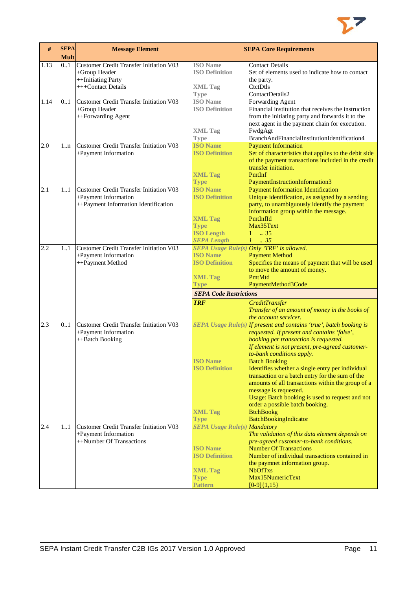

| $\#$ | <b>SEPA</b><br><b>Mult</b> | <b>Message Element</b>                                                                                         |                                                                                                                      | <b>SEPA Core Requirements</b>                                                                                                                                                                                                                                                                                                                                                                                                                                                                                                                                      |
|------|----------------------------|----------------------------------------------------------------------------------------------------------------|----------------------------------------------------------------------------------------------------------------------|--------------------------------------------------------------------------------------------------------------------------------------------------------------------------------------------------------------------------------------------------------------------------------------------------------------------------------------------------------------------------------------------------------------------------------------------------------------------------------------------------------------------------------------------------------------------|
| 1.13 | 01                         | Customer Credit Transfer Initiation V03<br>+Group Header<br>++Initiating Party<br>+++Contact Details           | <b>ISO</b> Name<br><b>ISO Definition</b><br><b>XML Tag</b><br>Type                                                   | <b>Contact Details</b><br>Set of elements used to indicate how to contact<br>the party.<br>CtctDtls<br>ContactDetails2                                                                                                                                                                                                                                                                                                                                                                                                                                             |
| 1.14 | 0.1                        | <b>Customer Credit Transfer Initiation V03</b><br>+Group Header<br>++Forwarding Agent                          | <b>ISO</b> Name<br><b>ISO Definition</b><br><b>XML Tag</b>                                                           | Forwarding Agent<br>Financial institution that receives the instruction<br>from the initiating party and forwards it to the<br>next agent in the payment chain for execution.<br>FwdgAgt                                                                                                                                                                                                                                                                                                                                                                           |
| 2.0  | $1 \dots n$                | <b>Customer Credit Transfer Initiation V03</b>                                                                 | <b>Type</b><br><b>ISO Name</b>                                                                                       | BranchAndFinancialInstitutionIdentification4<br><b>Payment Information</b>                                                                                                                                                                                                                                                                                                                                                                                                                                                                                         |
|      |                            | +Payment Information                                                                                           | <b>ISO Definition</b><br><b>XML Tag</b><br><b>Type</b>                                                               | Set of characteristics that applies to the debit side<br>of the payment transactions included in the credit<br>transfer initiation.<br>PmtInf<br>PaymentInstructionInformation3                                                                                                                                                                                                                                                                                                                                                                                    |
| 2.1  | 1.1                        | <b>Customer Credit Transfer Initiation V03</b><br>+Payment Information<br>++Payment Information Identification | <b>ISO</b> Name<br><b>ISO Definition</b><br><b>XML Tag</b><br><b>Type</b><br><b>ISO Length</b><br><b>SEPA Length</b> | <b>Payment Information Identification</b><br>Unique identification, as assigned by a sending<br>party, to unambiguously identify the payment<br>information group within the message.<br>PmtInfId<br>Max35Text<br>$1 \t . 35$<br>$1-.35$                                                                                                                                                                                                                                                                                                                           |
| 2.2  | 11                         | <b>Customer Credit Transfer Initiation V03</b><br>+Payment Information<br>++Payment Method                     | <b>ISO Name</b><br><b>ISO Definition</b><br><b>XML Tag</b><br><b>Type</b>                                            | SEPA Usage Rule(s) Only 'TRF' is allowed.<br><b>Payment Method</b><br>Specifies the means of payment that will be used<br>to move the amount of money.<br>PmtMtd<br>PaymentMethod3Code                                                                                                                                                                                                                                                                                                                                                                             |
|      |                            |                                                                                                                | <b>SEPA Code Restrictions</b>                                                                                        |                                                                                                                                                                                                                                                                                                                                                                                                                                                                                                                                                                    |
|      |                            |                                                                                                                | <b>TRF</b>                                                                                                           | <b>CreditTransfer</b><br>Transfer of an amount of money in the books of<br>the account servicer.                                                                                                                                                                                                                                                                                                                                                                                                                                                                   |
| 2.3  | 0.1                        | <b>Customer Credit Transfer Initiation V03</b><br>+Payment Information<br>++Batch Booking                      | <b>ISO Name</b><br><b>ISO Definition</b><br><b>XML Tag</b>                                                           | SEPA Usage Rule(s) If present and contains 'true', batch booking is<br>requested. If present and contains 'false',<br>booking per transaction is requested.<br>If element is not present, pre-agreed customer-<br>to-bank conditions apply.<br><b>Batch Booking</b><br>Identifies whether a single entry per individual<br>transaction or a batch entry for the sum of the<br>amounts of all transactions within the group of a<br>message is requested.<br>Usage: Batch booking is used to request and not<br>order a possible batch booking.<br><b>BtchBookg</b> |
| 2.4  | 11                         | <b>Customer Credit Transfer Initiation V03</b><br>+Payment Information                                         | <b>Type</b><br><b>SEPA Usage Rule(s) Mandatory</b>                                                                   | BatchBookingIndicator<br>The validation of this data element depends on                                                                                                                                                                                                                                                                                                                                                                                                                                                                                            |
|      |                            | ++Number Of Transactions                                                                                       | <b>ISO Name</b><br><b>ISO Definition</b><br><b>XML Tag</b><br><b>Type</b>                                            | pre-agreed customer-to-bank conditions.<br><b>Number Of Transactions</b><br>Number of individual transactions contained in<br>the paymnet information group.<br><b>NbOfTxs</b><br>Max15NumericText                                                                                                                                                                                                                                                                                                                                                                 |
|      |                            |                                                                                                                | <b>Pattern</b>                                                                                                       | $[0-9]{1,15}$                                                                                                                                                                                                                                                                                                                                                                                                                                                                                                                                                      |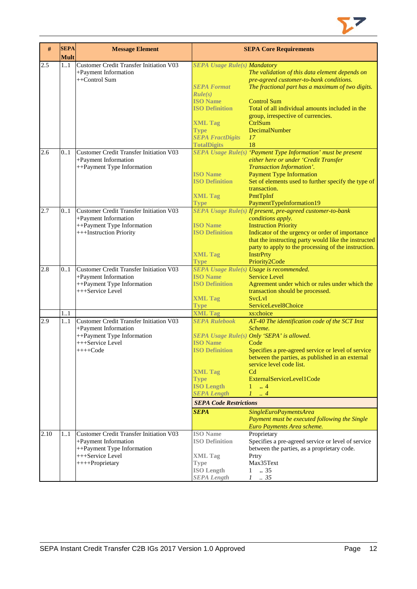

| #    | <b>SEPA</b><br><b>Mult</b> | <b>Message Element</b>                                |                                          | <b>SEPA Core Requirements</b>                                                             |
|------|----------------------------|-------------------------------------------------------|------------------------------------------|-------------------------------------------------------------------------------------------|
| 2.5  | 11                         | <b>Customer Credit Transfer Initiation V03</b>        | <b>SEPA Usage Rule(s) Mandatory</b>      |                                                                                           |
|      |                            | +Payment Information<br>++Control Sum                 |                                          | The validation of this data element depends on<br>pre-agreed customer-to-bank conditions. |
|      |                            |                                                       | <b>SEPA Format</b>                       | The fractional part has a maximum of two digits.                                          |
|      |                            |                                                       | Rule(s)                                  |                                                                                           |
|      |                            |                                                       | <b>ISO Name</b>                          | <b>Control Sum</b>                                                                        |
|      |                            |                                                       | <b>ISO Definition</b>                    | Total of all individual amounts included in the                                           |
|      |                            |                                                       |                                          | group, irrespective of currencies.                                                        |
|      |                            |                                                       | <b>XML Tag</b><br><b>Type</b>            | <b>CtrlSum</b><br>DecimalNumber                                                           |
|      |                            |                                                       | <b>SEPA FractDigits</b>                  | 17                                                                                        |
|      |                            |                                                       | <b>TotalDigits</b>                       | 18                                                                                        |
| 2.6  | 0.1                        | Customer Credit Transfer Initiation V03               |                                          | SEPA Usage Rule(s) 'Payment Type Information' must be present                             |
|      |                            | +Payment Information                                  |                                          | either here or under 'Credit Transfer                                                     |
|      |                            | ++Payment Type Information                            |                                          | Transaction Information'.                                                                 |
|      |                            |                                                       | <b>ISO Name</b><br><b>ISO Definition</b> | <b>Payment Type Information</b><br>Set of elements used to further specify the type of    |
|      |                            |                                                       |                                          | transaction.                                                                              |
|      |                            |                                                       | <b>XML Tag</b>                           | PmtTpInf                                                                                  |
|      |                            |                                                       | <b>Type</b>                              | PaymentTypeInformation19                                                                  |
| 2.7  | 0.1                        | <b>Customer Credit Transfer Initiation V03</b>        |                                          | SEPA Usage Rule(s) If present, pre-agreed customer-to-bank                                |
|      |                            | +Payment Information                                  |                                          | conditions apply.                                                                         |
|      |                            | ++Payment Type Information<br>+++Instruction Priority | <b>ISO Name</b><br><b>ISO Definition</b> | <b>Instruction Priority</b><br>Indicator of the urgency or order of importance            |
|      |                            |                                                       |                                          | that the instructing party would like the instructed                                      |
|      |                            |                                                       |                                          | party to apply to the processing of the instruction.                                      |
|      |                            |                                                       | <b>XML Tag</b>                           | <b>InstrPrty</b>                                                                          |
|      |                            |                                                       | <b>Type</b>                              | Priority2Code                                                                             |
| 2.8  | 0.1                        | <b>Customer Credit Transfer Initiation V03</b>        | <b>ISO Name</b>                          | SEPA Usage Rule(s) Usage is recommended.                                                  |
|      |                            | +Payment Information<br>++Payment Type Information    | <b>ISO Definition</b>                    | <b>Service Level</b><br>Agreement under which or rules under which the                    |
|      |                            | +++Service Level                                      |                                          | transaction should be processed.                                                          |
|      |                            |                                                       | <b>XML Tag</b>                           | <b>SvcLvl</b>                                                                             |
|      |                            |                                                       | Type                                     | ServiceLevel8Choice                                                                       |
|      | 1.1                        |                                                       | <b>XML Tag</b>                           | xs:choice                                                                                 |
| 2.9  | 1.1                        | Customer Credit Transfer Initiation V03               | <b>SEPA Rulebook</b>                     | AT-40 The identification code of the SCT Inst                                             |
|      |                            | +Payment Information                                  |                                          | Scheme.                                                                                   |
|      |                            | ++Payment Type Information<br>+++Service Level        | <b>ISO</b> Name                          | SEPA Usage Rule(s) Only 'SEPA' is allowed.<br>Code                                        |
|      |                            | $+++Code$                                             | <b>ISO Definition</b>                    | Specifies a pre-agreed service or level of service                                        |
|      |                            |                                                       |                                          | between the parties, as published in an external                                          |
|      |                            |                                                       |                                          | service level code list.                                                                  |
|      |                            |                                                       | <b>XML Tag</b>                           | C <sub>d</sub>                                                                            |
|      |                            |                                                       | <b>Type</b><br><b>ISO Length</b>         | ExternalServiceLevel1Code<br>$\ldots$ 4                                                   |
|      |                            |                                                       | <b>SEPA Length</b>                       | $\mathcal{I}$<br>$\cdot$ 4                                                                |
|      |                            |                                                       | <b>SEPA Code Restrictions</b>            |                                                                                           |
|      |                            |                                                       | <b>SEPA</b>                              | SingleEuroPaymentsArea                                                                    |
|      |                            |                                                       |                                          | Payment must be executed following the Single                                             |
|      |                            |                                                       |                                          | Euro Payments Area scheme.                                                                |
| 2.10 | 11                         | Customer Credit Transfer Initiation V03               | <b>ISO</b> Name                          | Proprietary                                                                               |
|      |                            | +Payment Information                                  | <b>ISO Definition</b>                    | Specifies a pre-agreed service or level of service                                        |
|      |                            | ++Payment Type Information                            |                                          | between the parties, as a proprietary code.                                               |
|      |                            | +++Service Level                                      | <b>XML Tag</b>                           | Prtry<br>Max35Text                                                                        |
|      |                            | ++++Proprietary                                       | <b>Type</b><br><b>ISO Length</b>         | .35<br>$\mathbf{1}$                                                                       |
|      |                            |                                                       | <b>SEPA Length</b>                       | $\mathcal{I}$<br>$\therefore$ 35                                                          |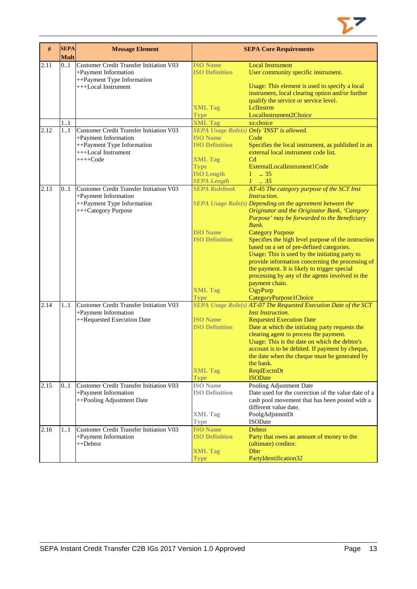

| #    | <b>SEPA</b> | <b>Message Element</b>                            |                       | <b>SEPA Core Requirements</b>                                    |
|------|-------------|---------------------------------------------------|-----------------------|------------------------------------------------------------------|
|      | <b>Mult</b> |                                                   |                       |                                                                  |
| 2.11 | 0.1         | Customer Credit Transfer Initiation V03           | <b>ISO Name</b>       | <b>Local Instrument</b>                                          |
|      |             | +Payment Information                              | <b>ISO Definition</b> | User community specific instrument.                              |
|      |             | ++Payment Type Information<br>+++Local Instrument |                       | Usage: This element is used to specify a local                   |
|      |             |                                                   |                       | instrument, local clearing option and/or further                 |
|      |             |                                                   |                       | qualify the service or service level.                            |
|      |             |                                                   | <b>XML Tag</b>        | LelInstrm                                                        |
|      |             |                                                   | <b>Type</b>           | LocalInstrument2Choice                                           |
|      | 1.1         |                                                   | <b>XML Tag</b>        | xs:choice                                                        |
| 2.12 | 11          | <b>Customer Credit Transfer Initiation V03</b>    |                       | SEPA Usage Rule(s) Only 'INST' is allowed.                       |
|      |             | +Payment Information                              | <b>ISO Name</b>       | Code                                                             |
|      |             | ++Payment Type Information                        | <b>ISO Definition</b> | Specifies the local instrument, as published in an               |
|      |             | +++Local Instrument                               |                       | external local instrument code list.                             |
|      |             | $++++Code$                                        | <b>XML Tag</b>        | C <sub>d</sub>                                                   |
|      |             |                                                   | <b>Type</b>           | ExternalLocalInstrument1Code                                     |
|      |             |                                                   | <b>ISO Length</b>     | 1<br>.35                                                         |
|      |             |                                                   | <b>SEPA Length</b>    | $1 \t35$                                                         |
| 2.13 | 0.1         | <b>Customer Credit Transfer Initiation V03</b>    | <b>SEPA Rulebook</b>  | AT-45 The category purpose of the SCT Inst                       |
|      |             | +Payment Information                              |                       | Instruction.                                                     |
|      |             | ++Payment Type Information                        |                       | SEPA Usage Rule(s) Depending on the agreement between the        |
|      |             | +++Category Purpose                               |                       | Originator and the Originator Bank, 'Category                    |
|      |             |                                                   |                       | Purpose' may be forwarded to the Beneficiary                     |
|      |             |                                                   |                       | Bank.                                                            |
|      |             |                                                   | <b>ISO Name</b>       | <b>Category Purpose</b>                                          |
|      |             |                                                   | <b>ISO Definition</b> | Specifies the high level purpose of the instruction              |
|      |             |                                                   |                       | based on a set of pre-defined categories.                        |
|      |             |                                                   |                       | Usage: This is used by the initiating party to                   |
|      |             |                                                   |                       | provide information concerning the processing of                 |
|      |             |                                                   |                       | the payment. It is likely to trigger special                     |
|      |             |                                                   |                       | processing by any of the agents involved in the                  |
|      |             |                                                   | <b>XML Tag</b>        | payment chain.<br>CtgyPurp                                       |
|      |             |                                                   | Type                  | CategoryPurpose1Choice                                           |
| 2.14 | 11          | <b>Customer Credit Transfer Initiation V03</b>    |                       | SEPA Usage Rule(s) AT-07 The Requested Execution Date of the SCT |
|      |             | +Payment Information                              |                       | <b>Inst Instruction.</b>                                         |
|      |             | ++Requested Execution Date                        | <b>ISO Name</b>       | <b>Requested Execution Date</b>                                  |
|      |             |                                                   | <b>ISO Definition</b> | Date at which the initiating party requests the                  |
|      |             |                                                   |                       | clearing agent to process the payment.                           |
|      |             |                                                   |                       | Usage: This is the date on which the debtor's                    |
|      |             |                                                   |                       | account is to be debited. If payment by cheque,                  |
|      |             |                                                   |                       | the date when the cheque must be generated by                    |
|      |             |                                                   |                       | the bank.                                                        |
|      |             |                                                   | <b>XML Tag</b>        | ReqdExctnDt                                                      |
|      |             |                                                   | <b>Type</b>           | <b>ISODate</b>                                                   |
| 2.15 | 0.1         | Customer Credit Transfer Initiation V03           | <b>ISO</b> Name       | Pooling Adjustment Date                                          |
|      |             | +Payment Information                              | <b>ISO Definition</b> | Date used for the correction of the value date of a              |
|      |             | ++Pooling Adjustment Date                         |                       | cash pool movement that has been posted with a                   |
|      |             |                                                   |                       | different value date.                                            |
|      |             |                                                   | <b>XML Tag</b>        | PoolgAdjstmntDt                                                  |
|      |             |                                                   | Type                  | <b>ISODate</b>                                                   |
| 2.16 | 11          | <b>Customer Credit Transfer Initiation V03</b>    | <b>ISO Name</b>       | <b>Debtor</b>                                                    |
|      |             | +Payment Information                              | <b>ISO Definition</b> | Party that owes an amount of money to the                        |
|      |             | ++Debtor                                          |                       | (ultimate) creditor.                                             |
|      |             |                                                   | <b>XML Tag</b>        | <b>D</b> btr                                                     |
|      |             |                                                   | <b>Type</b>           | PartyIdentification32                                            |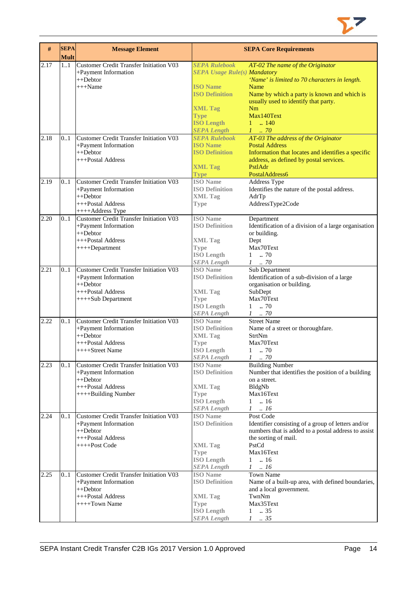

| $\#$ | <b>SEPA</b><br><b>Mult</b> | <b>Message Element</b>                                                                                                          |                                                                                                                      | <b>SEPA Core Requirements</b>                                                                                                                                                                       |
|------|----------------------------|---------------------------------------------------------------------------------------------------------------------------------|----------------------------------------------------------------------------------------------------------------------|-----------------------------------------------------------------------------------------------------------------------------------------------------------------------------------------------------|
| 2.17 | 1.1                        | <b>Customer Credit Transfer Initiation V03</b><br>+Payment Information<br>++Debtor<br>+++Name                                   | <b>SEPA Rulebook</b><br><b>SEPA Usage Rule(s) Mandatory</b><br><b>ISO Name</b><br><b>ISO Definition</b>              | AT-02 The name of the Originator<br>'Name' is limited to 70 characters in length.<br>Name<br>Name by which a party is known and which is                                                            |
|      |                            |                                                                                                                                 | <b>XML Tag</b><br><b>Type</b><br><b>ISO Length</b><br><b>SEPA Length</b>                                             | usually used to identify that party.<br>Nm<br>Max140Text<br>$1 \quad . \quad 140$<br>$1 \dots 70$                                                                                                   |
| 2.18 | 0.1                        | Customer Credit Transfer Initiation V03<br>+Payment Information<br>$++Dektor$<br>+++Postal Address                              | <b>SEPA Rulebook</b><br><b>ISO Name</b><br><b>ISO Definition</b><br><b>XML Tag</b><br><b>Type</b>                    | $AT-03$ The address of the Originator<br><b>Postal Address</b><br>Information that locates and identifies a specific<br>address, as defined by postal services.<br>PstlAdr<br>PostalAddress6        |
| 2.19 | 0.1                        | <b>Customer Credit Transfer Initiation V03</b><br>+Payment Information<br>$++Dektor$<br>+++Postal Address<br>++++Address Type   | <b>ISO</b> Name<br><b>ISO Definition</b><br><b>XML Tag</b><br><b>Type</b>                                            | Address Type<br>Identifies the nature of the postal address.<br>AdrTp<br>AddressType2Code                                                                                                           |
| 2.20 | 0.1                        | Customer Credit Transfer Initiation V03<br>+Payment Information<br>$++Dektor$<br>+++Postal Address<br>$+++Department$           | <b>ISO</b> Name<br><b>ISO Definition</b><br><b>XML</b> Tag<br><b>Type</b><br><b>ISO Length</b><br><b>SEPA Length</b> | Department<br>Identification of a division of a large organisation<br>or building.<br>Dept<br>Max70Text<br>70<br>1<br>$1$ $\,$ . $70$                                                               |
| 2.21 | 0.1                        | <b>Customer Credit Transfer Initiation V03</b><br>+Payment Information<br>$++Dektor$<br>+++Postal Address<br>++++Sub Department | <b>ISO</b> Name<br><b>ISO Definition</b><br><b>XML Tag</b><br><b>Type</b><br><b>ISO Length</b><br><b>SEPA Length</b> | Sub Department<br>Identification of a sub-division of a large<br>organisation or building.<br>SubDept<br>Max70Text<br>.70<br>$\mathbf{1}$<br>$1 \quad .70$                                          |
| 2.22 | 0.1                        | <b>Customer Credit Transfer Initiation V03</b><br>+Payment Information<br>$++Dektor$<br>+++Postal Address<br>++++Street Name    | <b>ISO</b> Name<br><b>ISO Definition</b><br><b>XML Tag</b><br>Type<br><b>ISO</b> Length<br><b>SEPA Length</b>        | <b>Street Name</b><br>Name of a street or thoroughfare.<br>StrtNm<br>Max70Text<br>$1 \t . 70$<br>$1 \t . 70$                                                                                        |
| 2.23 | 0.1                        | Customer Credit Transfer Initiation V03<br>+Payment Information<br>++Debtor<br>+++Postal Address<br>++++Building Number         | <b>ISO</b> Name<br><b>ISO Definition</b><br><b>XML Tag</b><br>Type<br><b>ISO Length</b><br><b>SEPA Length</b>        | <b>Building Number</b><br>Number that identifies the position of a building<br>on a street.<br>BldgNb<br>Max16Text<br>$1-.16$<br>$1 \ldots 16$                                                      |
| 2.24 | 0.1                        | <b>Customer Credit Transfer Initiation V03</b><br>+Payment Information<br>++Debtor<br>+++Postal Address<br>++++Post Code        | <b>ISO</b> Name<br><b>ISO Definition</b><br><b>XML Tag</b><br><b>Type</b><br><b>ISO Length</b><br><b>SEPA Length</b> | Post Code<br>Identifier consisting of a group of letters and/or<br>numbers that is added to a postal address to assist<br>the sorting of mail.<br>PstCd<br>Max16Text<br>$1-.16$<br>$1 \quad  \; 16$ |
| 2.25 | 01                         | Customer Credit Transfer Initiation V03<br>+Payment Information<br>++Debtor<br>+++Postal Address<br>++++Town Name               | <b>ISO</b> Name<br><b>ISO Definition</b><br><b>XML</b> Tag<br><b>Type</b><br><b>ISO Length</b><br><b>SEPA Length</b> | <b>Town Name</b><br>Name of a built-up area, with defined boundaries,<br>and a local government.<br>TwnNm<br>Max35Text<br>.35<br>1<br>$1 \t . 35$                                                   |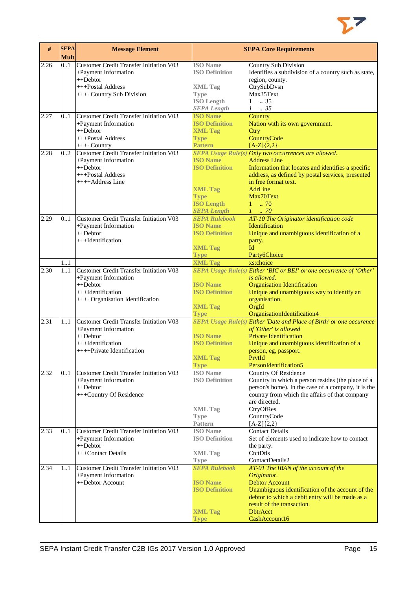

| #    | <b>SEPA</b><br><b>Mult</b> | <b>Message Element</b>                         |                                          | <b>SEPA Core Requirements</b>                                                                            |
|------|----------------------------|------------------------------------------------|------------------------------------------|----------------------------------------------------------------------------------------------------------|
| 2.26 | 01                         | <b>Customer Credit Transfer Initiation V03</b> | <b>ISO</b> Name                          | <b>Country Sub Division</b>                                                                              |
|      |                            | +Payment Information                           | <b>ISO Definition</b>                    | Identifies a subdivision of a country such as state,                                                     |
|      |                            | $++Dektor$                                     |                                          | region, county.                                                                                          |
|      |                            | +++Postal Address                              | <b>XML Tag</b>                           | CtrySubDvsn                                                                                              |
|      |                            | ++++Country Sub Division                       | <b>Type</b>                              | Max35Text                                                                                                |
|      |                            |                                                | <b>ISO Length</b>                        | $1 \t . 35$                                                                                              |
|      |                            |                                                | <b>SEPA Length</b>                       | $1 \t . 35$                                                                                              |
| 2.27 | 0.1                        | Customer Credit Transfer Initiation V03        | <b>ISO Name</b><br><b>ISO Definition</b> | Country                                                                                                  |
|      |                            | +Payment Information<br>++Debtor               | <b>XML Tag</b>                           | Nation with its own government.<br>Ctry                                                                  |
|      |                            | +++Postal Address                              | <b>Type</b>                              | CountryCode                                                                                              |
|      |                            | $+++$ Country                                  | <b>Pattern</b>                           | $[A-Z](2,2)$                                                                                             |
| 2.28 | 0.2                        | Customer Credit Transfer Initiation V03        |                                          | SEPA Usage Rule(s) Only two occurrences are allowed.                                                     |
|      |                            | +Payment Information                           | <b>ISO Name</b>                          | <b>Address Line</b>                                                                                      |
|      |                            | ++Debtor                                       | <b>ISO Definition</b>                    | Information that locates and identifies a specific                                                       |
|      |                            | +++Postal Address                              |                                          | address, as defined by postal services, presented                                                        |
|      |                            | ++++Address Line                               |                                          | in free format text.                                                                                     |
|      |                            |                                                | <b>XML Tag</b>                           | AdrLine                                                                                                  |
|      |                            |                                                | <b>Type</b>                              | Max70Text<br>$1 \t . 70$                                                                                 |
|      |                            |                                                | <b>ISO Length</b><br><b>SEPA Length</b>  | $1 \t 70$                                                                                                |
| 2.29 | 0.1                        | <b>Customer Credit Transfer Initiation V03</b> | <b>SEPA Rulebook</b>                     | AT-10 The Originator identification code                                                                 |
|      |                            | +Payment Information                           | <b>ISO Name</b>                          | <b>Identification</b>                                                                                    |
|      |                            | ++Debtor                                       | <b>ISO Definition</b>                    | Unique and unambiguous identification of a                                                               |
|      |                            | +++Identification                              |                                          | party.                                                                                                   |
|      |                            |                                                | <b>XML Tag</b>                           | Id                                                                                                       |
|      |                            |                                                | <b>Type</b>                              | Party6Choice                                                                                             |
|      | 11                         |                                                | <b>XML Tag</b>                           | xs:choice                                                                                                |
| 2.30 | 1.1                        | <b>Customer Credit Transfer Initiation V03</b> |                                          | SEPA Usage Rule(s) Either 'BIC or BEI' or one occurrence of 'Other'                                      |
|      |                            | +Payment Information                           |                                          | is allowed.                                                                                              |
|      |                            | $++Dektor$                                     | <b>ISO Name</b>                          | <b>Organisation Identification</b>                                                                       |
|      |                            | +++Identification                              | <b>ISO Definition</b>                    | Unique and unambiguous way to identify an                                                                |
|      |                            | ++++Organisation Identification                | <b>XML Tag</b>                           | organisation.<br>OrgId                                                                                   |
|      |                            |                                                | <b>Type</b>                              | OrganisationIdentification4                                                                              |
| 2.31 | 11                         | <b>Customer Credit Transfer Initiation V03</b> |                                          | <b>SEPA Usage Rule(s) Either 'Date and Place of Birth' or one occurence</b>                              |
|      |                            | +Payment Information                           |                                          | of 'Other' is allowed                                                                                    |
|      |                            | $++Dektor$                                     | <b>ISO Name</b>                          | <b>Private Identification</b>                                                                            |
|      |                            | +++Identification                              | <b>ISO Definition</b>                    | Unique and unambiguous identification of a                                                               |
|      |                            | ++++Private Identification                     |                                          | person, eg, passport.                                                                                    |
|      |                            |                                                | <b>XML Tag</b>                           | PrvtId                                                                                                   |
|      |                            |                                                | <b>Type</b>                              | PersonIdentification5                                                                                    |
| 2.32 | 0.1                        | <b>Customer Credit Transfer Initiation V03</b> | <b>ISO</b> Name<br><b>ISO Definition</b> | Country Of Residence                                                                                     |
|      |                            | +Payment Information<br>$++Dektor$             |                                          | Country in which a person resides (the place of a<br>person's home). In the case of a company, it is the |
|      |                            | +++Country Of Residence                        |                                          | country from which the affairs of that company                                                           |
|      |                            |                                                |                                          | are directed.                                                                                            |
|      |                            |                                                | <b>XML Tag</b>                           | CtryOfRes                                                                                                |
|      |                            |                                                | <b>Type</b>                              | CountryCode                                                                                              |
|      |                            |                                                | Pattern                                  | $[A-Z]\{2,2\}$                                                                                           |
| 2.33 | 0.1                        | <b>Customer Credit Transfer Initiation V03</b> | <b>ISO Name</b>                          | <b>Contact Details</b>                                                                                   |
|      |                            | +Payment Information                           | <b>ISO Definition</b>                    | Set of elements used to indicate how to contact                                                          |
|      |                            | ++Debtor                                       |                                          | the party.                                                                                               |
|      |                            | +++Contact Details                             | <b>XML Tag</b>                           | CtetDtls                                                                                                 |
| 2.34 | 11                         | <b>Customer Credit Transfer Initiation V03</b> | Type<br><b>SEPA Rulebook</b>             | ContactDetails2                                                                                          |
|      |                            | +Payment Information                           |                                          | AT-01 The IBAN of the account of the<br>Originator.                                                      |
|      |                            | ++Debtor Account                               | <b>ISO Name</b>                          | <b>Debtor Account</b>                                                                                    |
|      |                            |                                                | <b>ISO Definition</b>                    | Unambiguous identification of the account of the                                                         |
|      |                            |                                                |                                          | debtor to which a debit entry will be made as a                                                          |
|      |                            |                                                |                                          | result of the transaction.                                                                               |
|      |                            |                                                | <b>XML Tag</b>                           | <b>DbtrAcct</b>                                                                                          |
|      |                            |                                                | <b>Type</b>                              | CashAccount16                                                                                            |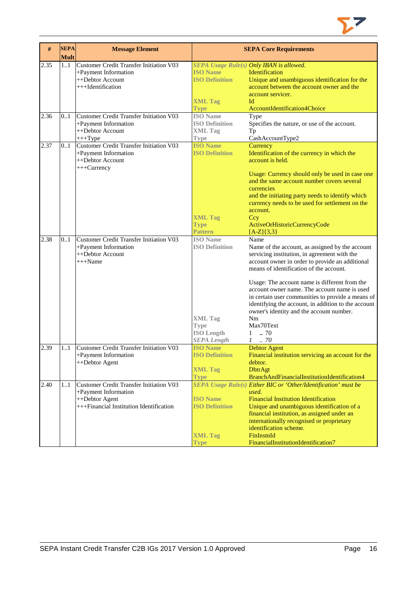

| #    | <b>SEPA</b><br><b>Mult</b> | <b>Message Element</b>                                                                                                              |                                                                                                                      | <b>SEPA Core Requirements</b>                                                                                                                                                                                                                                                                                                                                                                                                                                                                                     |
|------|----------------------------|-------------------------------------------------------------------------------------------------------------------------------------|----------------------------------------------------------------------------------------------------------------------|-------------------------------------------------------------------------------------------------------------------------------------------------------------------------------------------------------------------------------------------------------------------------------------------------------------------------------------------------------------------------------------------------------------------------------------------------------------------------------------------------------------------|
| 2.35 | $\overline{1}$ 1           | Customer Credit Transfer Initiation V03<br>+Payment Information<br>++Debtor Account<br>+++Identification                            | <b>ISO Name</b><br><b>ISO Definition</b><br><b>XML Tag</b><br><b>Type</b>                                            | SEPA Usage Rule(s) Only IBAN is allowed.<br>Identification<br>Unique and unambiguous identification for the<br>account between the account owner and the<br>account servicer.<br>Иd<br>AccountIdentification4Choice                                                                                                                                                                                                                                                                                               |
| 2.36 | 0.1                        | Customer Credit Transfer Initiation V03<br>+Payment Information<br>++Debtor Account<br>$+++Type$                                    | <b>ISO</b> Name<br><b>ISO Definition</b><br><b>XML Tag</b><br><b>Type</b>                                            | Type<br>Specifies the nature, or use of the account.<br>Tp<br>CashAccountType2                                                                                                                                                                                                                                                                                                                                                                                                                                    |
| 2.37 | 0.1                        | Customer Credit Transfer Initiation V03<br>+Payment Information<br>++Debtor Account<br>+++Currency                                  | <b>ISO Name</b><br><b>ISO Definition</b><br><b>XML Tag</b><br><b>Type</b><br><b>Pattern</b>                          | Currency<br>Identification of the currency in which the<br>account is held.<br>Usage: Currency should only be used in case one<br>and the same account number covers several<br>currencies<br>and the initiating party needs to identify which<br>currency needs to be used for settlement on the<br>account.<br>Ccy<br>ActiveOrHistoricCurrencyCode<br>$[A-Z](3,3)$                                                                                                                                              |
| 2.38 | 0.1                        | <b>Customer Credit Transfer Initiation V03</b><br>+Payment Information<br>++Debtor Account<br>$+++Name$                             | <b>ISO</b> Name<br><b>ISO Definition</b><br><b>XML Tag</b><br><b>Type</b><br><b>ISO Length</b><br><b>SEPA Length</b> | Name<br>Name of the account, as assigned by the account<br>servicing institution, in agreement with the<br>account owner in order to provide an additional<br>means of identification of the account.<br>Usage: The account name is different from the<br>account owner name. The account name is used<br>in certain user communities to provide a means of<br>identifying the account, in addition to the account<br>owner's identity and the account number.<br>Nm<br>Max70Text<br>$1 \t . 70$<br>$1 \quad .70$ |
| 2.39 | 11                         | <b>Customer Credit Transfer Initiation V03</b><br>+Payment Information<br>++Debtor Agent                                            | <b>ISO Name</b><br><b>ISO Definition</b><br><b>XML Tag</b><br><b>Type</b>                                            | <b>Debtor Agent</b><br>Financial institution servicing an account for the<br>debtor.<br><b>DbtrAgt</b><br>BranchAndFinancialInstitutionIdentification4                                                                                                                                                                                                                                                                                                                                                            |
| 2.40 | 11                         | <b>Customer Credit Transfer Initiation V03</b><br>+Payment Information<br>++Debtor Agent<br>+++Financial Institution Identification | <b>ISO Name</b><br><b>ISO Definition</b><br><b>XML Tag</b><br><b>Type</b>                                            | SEPA Usage Rule(s) Either BIC or 'Other/Identification' must be<br>used.<br><b>Financial Institution Identification</b><br>Unique and unambiguous identification of a<br>financial institution, as assigned under an<br>internationally recognised or proprietary<br>identification scheme.<br>FinInstnId<br>FinancialInstitutionIdentification7                                                                                                                                                                  |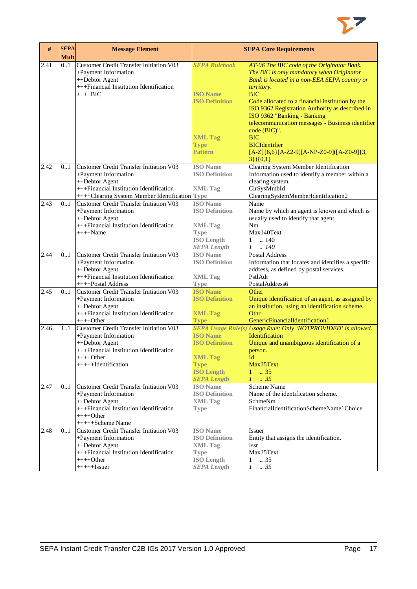

| $\#$ | <b>SEPA</b><br><b>Mult</b> | <b>Message Element</b>                                                                                                                                                         |                                                                                                                                     | <b>SEPA Core Requirements</b>                                                                                                                                                                                                                                                                                                                                                                                       |
|------|----------------------------|--------------------------------------------------------------------------------------------------------------------------------------------------------------------------------|-------------------------------------------------------------------------------------------------------------------------------------|---------------------------------------------------------------------------------------------------------------------------------------------------------------------------------------------------------------------------------------------------------------------------------------------------------------------------------------------------------------------------------------------------------------------|
| 2.41 | 0.1                        | <b>Customer Credit Transfer Initiation V03</b><br>+Payment Information<br>++Debtor Agent<br>+++Financial Institution Identification<br>$+++BIC$                                | <b>SEPA Rulebook</b><br><b>ISO</b> Name<br><b>ISO Definition</b><br><b>XML Tag</b><br><b>Type</b>                                   | AT-06 The BIC code of the Originator Bank.<br>The BIC is only mandatory when Originator<br>Bank is located in a non-EEA SEPA country or<br>territory.<br><b>BIC</b><br>Code allocated to a financial institution by the<br>ISO 9362 Registration Authority as described in<br>ISO 9362 "Banking - Banking<br>telecommunication messages - Business identifier<br>code (BIC)".<br><b>BIC</b><br><b>BICIdentifier</b> |
|      |                            |                                                                                                                                                                                | <b>Pattern</b>                                                                                                                      | $[A-Z]\{6,6\}[A-Z2-9][A-NP-Z0-9][A-Z0-9]\{3,$<br>$3\}$ (0,1)                                                                                                                                                                                                                                                                                                                                                        |
| 2.42 | 0.1                        | Customer Credit Transfer Initiation V03<br>+Payment Information<br>++Debtor Agent<br>+++Financial Institution Identification<br>++++Clearing System Member Identification Type | <b>ISO</b> Name<br><b>ISO Definition</b><br><b>XML</b> Tag                                                                          | Clearing System Member Identification<br>Information used to identify a member within a<br>clearing system.<br>ClrSysMmbId<br>ClearingSystemMemberIdentification2                                                                                                                                                                                                                                                   |
| 2.43 | 0.1                        | <b>Customer Credit Transfer Initiation V03</b><br>+Payment Information<br>++Debtor Agent<br>+++Financial Institution Identification<br>$+++$ Name                              | <b>ISO</b> Name<br><b>ISO Definition</b><br><b>XML Tag</b><br><b>Type</b><br><b>ISO Length</b><br><b>SEPA Length</b>                | Name<br>Name by which an agent is known and which is<br>usually used to identify that agent.<br>Nm<br>Max140Text<br>$\ldots$ 140<br>$\mathbf{1}$<br>$1 \quad . \quad 140$                                                                                                                                                                                                                                           |
| 2.44 | 0.1                        | <b>Customer Credit Transfer Initiation V03</b><br>+Payment Information<br>++Debtor Agent<br>+++Financial Institution Identification                                            | <b>ISO</b> Name<br><b>ISO Definition</b><br><b>XML Tag</b>                                                                          | <b>Postal Address</b><br>Information that locates and identifies a specific<br>address, as defined by postal services.<br>PstlAdr                                                                                                                                                                                                                                                                                   |
| 2.45 | 0.1                        | ++++Postal Address<br><b>Customer Credit Transfer Initiation V03</b><br>+Payment Information<br>++Debtor Agent<br>$++$ Financial Institution Identification<br>$+++Other$      | <b>Type</b><br><b>ISO</b> Name<br><b>ISO Definition</b><br><b>XML Tag</b>                                                           | PostalAddress6<br>Other<br>Unique identification of an agent, as assigned by<br>an institution, using an identification scheme.<br>Othr<br>GenericFinancialIdentification1                                                                                                                                                                                                                                          |
| 2.46 | 1.1                        | <b>Customer Credit Transfer Initiation V03</b><br>+Payment Information<br>++Debtor Agent<br>+++Financial Institution Identification<br>++++Other<br>+++++Hdentification        | <b>Type</b><br><b>ISO Name</b><br><b>ISO Definition</b><br><b>XML Tag</b><br><b>Type</b><br><b>ISO Length</b><br><b>SEPA Length</b> | SEPA Usage Rule(s) Usage Rule: Only 'NOTPROVIDED' is allowed.<br><b>Identification</b><br>Unique and unambiguous identification of a<br>person.<br>Id<br>Max35Text<br>$1 \t . 35$<br>$1 \t35$                                                                                                                                                                                                                       |
| 2.47 | 0.1                        | <b>Customer Credit Transfer Initiation V03</b><br>+Payment Information<br>++Debtor Agent<br>+++Financial Institution Identification<br>$+++Other$<br>+++++Scheme Name          | <b>ISO</b> Name<br><b>ISO Definition</b><br><b>XML Tag</b><br><b>Type</b>                                                           | Scheme Name<br>Name of the identification scheme.<br>SchmeNm<br>FinancialIdentificationSchemeName1Choice                                                                                                                                                                                                                                                                                                            |
| 2.48 | 01                         | <b>Customer Credit Transfer Initiation V03</b><br>+Payment Information<br>++Debtor Agent<br>+++Financial Institution Identification<br>$+++Other$<br>$+++++Issuer$             | <b>ISO</b> Name<br><b>ISO Definition</b><br><b>XML Tag</b><br><b>Type</b><br><b>ISO Length</b><br><b>SEPA Length</b>                | <b>Issuer</b><br>Entity that assigns the identification.<br><b>Issr</b><br>Max35Text<br>$1 \t . 35$<br>$1 \t . 35$                                                                                                                                                                                                                                                                                                  |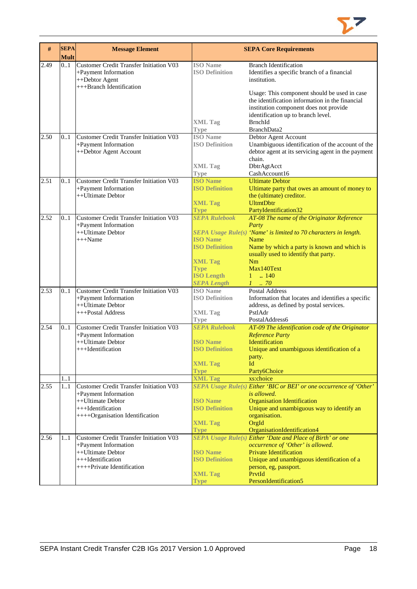

| #    | <b>SEPA</b><br><b>Mult</b> | <b>Message Element</b>                                                                                                                              |                                                                                                                                              | <b>SEPA Core Requirements</b>                                                                                                                                                                                                                                                                    |
|------|----------------------------|-----------------------------------------------------------------------------------------------------------------------------------------------------|----------------------------------------------------------------------------------------------------------------------------------------------|--------------------------------------------------------------------------------------------------------------------------------------------------------------------------------------------------------------------------------------------------------------------------------------------------|
| 2.49 | 0.1                        | Customer Credit Transfer Initiation V03<br>+Payment Information<br>++Debtor Agent<br>+++Branch Identification                                       | <b>ISO</b> Name<br><b>ISO Definition</b><br><b>XML Tag</b>                                                                                   | <b>Branch Identification</b><br>Identifies a specific branch of a financial<br>institution.<br>Usage: This component should be used in case<br>the identification information in the financial<br>institution component does not provide<br>identification up to branch level.<br><b>BrnchId</b> |
| 2.50 | 0.1                        | <b>Customer Credit Transfer Initiation V03</b><br>+Payment Information<br>++Debtor Agent Account                                                    | <b>Type</b><br><b>ISO</b> Name<br><b>ISO Definition</b>                                                                                      | BranchData2<br>Debtor Agent Account<br>Unambiguous identification of the account of the<br>debtor agent at its servicing agent in the payment<br>chain.                                                                                                                                          |
|      |                            |                                                                                                                                                     | <b>XML Tag</b><br><b>Type</b>                                                                                                                | DbtrAgtAcct<br>CashAccount16                                                                                                                                                                                                                                                                     |
| 2.51 | 0.1                        | <b>Customer Credit Transfer Initiation V03</b><br>+Payment Information<br>++Ultimate Debtor                                                         | <b>ISO Name</b><br><b>ISO Definition</b><br><b>XML Tag</b><br><b>Type</b>                                                                    | <b>Ultimate Debtor</b><br>Ultimate party that owes an amount of money to<br>the (ultimate) creditor.<br><b>UltmtDbtr</b><br>PartyIdentification32                                                                                                                                                |
| 2.52 | 01                         | <b>Customer Credit Transfer Initiation V03</b><br>+Payment Information<br>++Ultimate Debtor<br>$+++Name$                                            | <b>SEPA Rulebook</b><br><b>ISO Name</b><br><b>ISO Definition</b><br><b>XML Tag</b><br><b>Type</b><br><b>ISO Length</b><br><b>SEPA Length</b> | AT-08 The name of the Originator Reference<br>Party<br>SEPA Usage Rule(s) 'Name' is limited to 70 characters in length.<br>Name<br>Name by which a party is known and which is<br>usually used to identify that party.<br>Nm<br>Max140Text<br>$\ln 140$<br>$\mathbf{1}$<br>$1 \t 70$             |
| 2.53 | 0.1                        | Customer Credit Transfer Initiation V03<br>+Payment Information<br>++Ultimate Debtor<br>+++Postal Address                                           | <b>ISO</b> Name<br><b>ISO Definition</b><br><b>XML</b> Tag<br><b>Type</b>                                                                    | <b>Postal Address</b><br>Information that locates and identifies a specific<br>address, as defined by postal services.<br>PstlAdr<br>PostalAddress6                                                                                                                                              |
| 2.54 | 01<br>1.1                  | <b>Customer Credit Transfer Initiation V03</b><br>+Payment Information<br>++Ultimate Debtor<br>+++Identification                                    | <b>SEPA Rulebook</b><br><b>ISO</b> Name<br><b>ISO Definition</b><br><b>XML Tag</b><br><b>Type</b><br><b>XML Tag</b>                          | AT-09 The identification code of the Originator<br><b>Reference Party</b><br><b>Identification</b><br>Unique and unambiguous identification of a<br>party.<br>Id<br>Party6Choice<br>xs:choice                                                                                                    |
| 2.55 | 11                         | <b>Customer Credit Transfer Initiation V03</b><br>+Payment Information<br>++Ultimate Debtor<br>+++Identification<br>++++Organisation Identification | <b>ISO Name</b><br><b>ISO Definition</b><br><b>XML Tag</b><br><b>Type</b>                                                                    | SEPA Usage Rule(s) Either 'BIC or BEI' or one occurrence of 'Other'<br>is allowed.<br><b>Organisation Identification</b><br>Unique and unambiguous way to identify an<br>organisation.<br>OrgId<br>OrganisationIdentification4                                                                   |
| 2.56 | 11                         | <b>Customer Credit Transfer Initiation V03</b><br>+Payment Information<br>++Ultimate Debtor<br>$+++$ Identification<br>$+++$ Private Identification | <b>ISO Name</b><br><b>ISO Definition</b><br><b>XML Tag</b><br>Type                                                                           | SEPA Usage Rule(s) Either 'Date and Place of Birth' or one<br>occurrence of 'Other' is allowed.<br><b>Private Identification</b><br>Unique and unambiguous identification of a<br>person, eg, passport.<br>PrvtId<br>PersonIdentification5                                                       |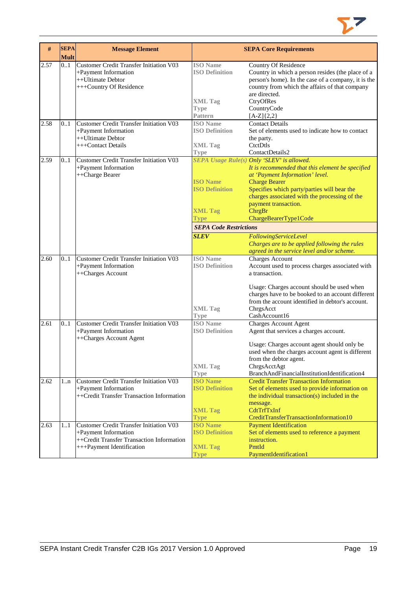

| #    | <b>SEPA</b> | <b>Message Element</b>                         |                               | <b>SEPA Core Requirements</b>                       |
|------|-------------|------------------------------------------------|-------------------------------|-----------------------------------------------------|
|      | <b>Mult</b> |                                                |                               |                                                     |
| 2.57 | 0.1         | Customer Credit Transfer Initiation V03        | <b>ISO</b> Name               | Country Of Residence                                |
|      |             | +Payment Information                           | <b>ISO Definition</b>         | Country in which a person resides (the place of a   |
|      |             | ++Ultimate Debtor                              |                               | person's home). In the case of a company, it is the |
|      |             | +++Country Of Residence                        |                               | country from which the affairs of that company      |
|      |             |                                                |                               | are directed.                                       |
|      |             |                                                | <b>XML</b> Tag                | CtryOfRes                                           |
|      |             |                                                | <b>Type</b>                   | CountryCode                                         |
|      |             |                                                | Pattern                       | $[A-Z]{2,2}$                                        |
| 2.58 | 01          | <b>Customer Credit Transfer Initiation V03</b> | <b>ISO</b> Name               | <b>Contact Details</b>                              |
|      |             | +Payment Information                           | <b>ISO Definition</b>         | Set of elements used to indicate how to contact     |
|      |             | ++Ultimate Debtor                              |                               | the party.                                          |
|      |             | +++Contact Details                             | <b>XML Tag</b>                | CtctDtls                                            |
|      |             |                                                | <b>Type</b>                   | ContactDetails2                                     |
| 2.59 | 0.1         | <b>Customer Credit Transfer Initiation V03</b> |                               | SEPA Usage Rule(s) Only 'SLEV' is allowed.          |
|      |             | +Payment Information                           |                               | It is recommended that this element be specified    |
|      |             | ++Charge Bearer                                |                               | at 'Payment Information' level.                     |
|      |             |                                                | <b>ISO Name</b>               | <b>Charge Bearer</b>                                |
|      |             |                                                | <b>ISO Definition</b>         | Specifies which party/parties will bear the         |
|      |             |                                                |                               | charges associated with the processing of the       |
|      |             |                                                |                               | payment transaction.                                |
|      |             |                                                | <b>XML Tag</b>                | ChrgBr                                              |
|      |             |                                                | Type                          | ChargeBearerType1Code                               |
|      |             |                                                | <b>SEPA Code Restrictions</b> |                                                     |
|      |             |                                                |                               |                                                     |
|      |             |                                                | <b>SLEV</b>                   | FollowingServiceLevel                               |
|      |             |                                                |                               | Charges are to be applied following the rules       |
|      |             |                                                |                               | agreed in the service level and/or scheme.          |
| 2.60 | 0.1         | <b>Customer Credit Transfer Initiation V03</b> | <b>ISO</b> Name               | <b>Charges Account</b>                              |
|      |             | +Payment Information                           | <b>ISO Definition</b>         | Account used to process charges associated with     |
|      |             | ++Charges Account                              |                               | a transaction.                                      |
|      |             |                                                |                               | Usage: Charges account should be used when          |
|      |             |                                                |                               | charges have to be booked to an account different   |
|      |             |                                                |                               | from the account identified in debtor's account.    |
|      |             |                                                | <b>XML Tag</b>                | ChrgsAcct                                           |
|      |             |                                                | <b>Type</b>                   | CashAccount16                                       |
| 2.61 | 0.1         | <b>Customer Credit Transfer Initiation V03</b> | <b>ISO</b> Name               | <b>Charges Account Agent</b>                        |
|      |             | +Payment Information                           | <b>ISO Definition</b>         | Agent that services a charges account.              |
|      |             | ++Charges Account Agent                        |                               |                                                     |
|      |             |                                                |                               | Usage: Charges account agent should only be         |
|      |             |                                                |                               | used when the charges account agent is different    |
|      |             |                                                |                               | from the debtor agent.                              |
|      |             |                                                | <b>XML Tag</b>                | ChrgsAcctAgt                                        |
|      |             |                                                | <b>Type</b>                   | BranchAndFinancialInstitutionIdentification4        |
| 2.62 | 1n          | Customer Credit Transfer Initiation V03        | <b>ISO Name</b>               | <b>Credit Transfer Transaction Information</b>      |
|      |             | +Payment Information                           | <b>ISO Definition</b>         | Set of elements used to provide information on      |
|      |             | ++Credit Transfer Transaction Information      |                               | the individual transaction(s) included in the       |
|      |             |                                                |                               | message.                                            |
|      |             |                                                | <b>XML Tag</b>                | CdtTrfTxInf                                         |
|      |             |                                                | <b>Type</b>                   | CreditTransferTransactionInformation10              |
| 2.63 | 11          | Customer Credit Transfer Initiation V03        | <b>ISO Name</b>               | <b>Payment Identification</b>                       |
|      |             | +Payment Information                           | <b>ISO Definition</b>         | Set of elements used to reference a payment         |
|      |             | ++Credit Transfer Transaction Information      |                               | instruction.                                        |
|      |             | +++Payment Identification                      | <b>XML Tag</b>                | PmtId                                               |
|      |             |                                                |                               | PaymentIdentification1                              |
|      |             |                                                | <b>Type</b>                   |                                                     |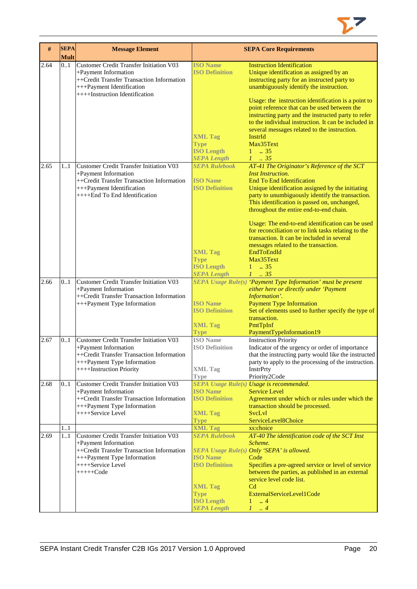

| #    | <b>SEPA</b><br><b>Mult</b> | <b>Message Element</b>                                                                                                                                                          |                                                                                                                                                                    | <b>SEPA Core Requirements</b>                                                                                                                                                                                                                                                                                                                                                                                                                                                                                                                                                         |
|------|----------------------------|---------------------------------------------------------------------------------------------------------------------------------------------------------------------------------|--------------------------------------------------------------------------------------------------------------------------------------------------------------------|---------------------------------------------------------------------------------------------------------------------------------------------------------------------------------------------------------------------------------------------------------------------------------------------------------------------------------------------------------------------------------------------------------------------------------------------------------------------------------------------------------------------------------------------------------------------------------------|
| 2.64 | 0.1                        | Customer Credit Transfer Initiation V03<br>+Payment Information<br>++Credit Transfer Transaction Information<br>+++Payment Identification<br>++++Instruction Identification     | <b>ISO Name</b><br><b>ISO Definition</b><br><b>XML Tag</b><br><b>Type</b><br><b>ISO Length</b>                                                                     | <b>Instruction Identification</b><br>Unique identification as assigned by an<br>instructing party for an instructed party to<br>unambiguously identify the instruction.<br>Usage: the instruction identification is a point to<br>point reference that can be used between the<br>instructing party and the instructed party to refer<br>to the individual instruction. It can be included in<br>several messages related to the instruction.<br>InstrId<br>Max35Text<br>$1 \t . 35$                                                                                                  |
| 2.65 | 11                         | Customer Credit Transfer Initiation V03<br>+Payment Information<br>++Credit Transfer Transaction Information<br>+++Payment Identification<br>++++End To End Identification      | <b>SEPA Length</b><br><b>SEPA Rulebook</b><br><b>ISO</b> Name<br><b>ISO Definition</b><br><b>XML Tag</b><br><b>Type</b><br><b>ISO Length</b><br><b>SEPA Length</b> | $1 \t 35$<br>AT-41 The Originator's Reference of the SCT<br><b>Inst Instruction.</b><br><b>End To End Identification</b><br>Unique identification assigned by the initiating<br>party to unumbiguously identify the transaction.<br>This identification is passed on, unchanged,<br>throughout the entire end-to-end chain.<br>Usage: The end-to-end identification can be used<br>for reconciliation or to link tasks relating to the<br>transaction. It can be included in several<br>messages related to the transaction.<br>EndToEndId<br>Max35Text<br>$1 \t . 35$<br>$1 \t . 35$ |
| 2.66 | 0.1                        | Customer Credit Transfer Initiation V03<br>+Payment Information<br>++Credit Transfer Transaction Information<br>+++Payment Type Information                                     | <b>ISO Name</b><br><b>ISO Definition</b><br><b>XML Tag</b><br><b>Type</b>                                                                                          | SEPA Usage Rule(s) 'Payment Type Information' must be present<br>either here or directly under 'Payment<br>Information'.<br><b>Payment Type Information</b><br>Set of elements used to further specify the type of<br>transaction.<br>PmtTpInf<br>PaymentTypeInformation19                                                                                                                                                                                                                                                                                                            |
| 2.67 | 01                         | <b>Customer Credit Transfer Initiation V03</b><br>+Payment Information<br>++Credit Transfer Transaction Information<br>+++Payment Type Information<br>++++Instruction Priority  | <b>ISO</b> Name<br><b>ISO Definition</b><br><b>XML Tag</b><br><b>Type</b>                                                                                          | <b>Instruction Priority</b><br>Indicator of the urgency or order of importance<br>that the instructing party would like the instructed<br>party to apply to the processing of the instruction.<br><b>InstrPrty</b><br>Priority2Code                                                                                                                                                                                                                                                                                                                                                   |
| 2.68 | 01                         | Customer Credit Transfer Initiation V03<br>+Payment Information<br>++Credit Transfer Transaction Information<br>+++Payment Type Information<br>++++Service Level                | <b>ISO</b> Name<br><b>ISO Definition</b><br><b>XML Tag</b><br><b>Type</b>                                                                                          | <b>SEPA Usage Rule(s) Usage is recommended.</b><br><b>Service Level</b><br>Agreement under which or rules under which the<br>transaction should be processed.<br>SvcLvl<br>ServiceLevel8Choice                                                                                                                                                                                                                                                                                                                                                                                        |
| 2.69 | 11<br>1.1                  | Customer Credit Transfer Initiation V03<br>+Payment Information<br>++Credit Transfer Transaction Information<br>+++Payment Type Information<br>++++Service Level<br>$++++-Code$ | <b>XML Tag</b><br><b>SEPA Rulebook</b><br><b>ISO Name</b><br><b>ISO Definition</b><br><b>XML Tag</b><br><b>Type</b><br><b>ISO Length</b><br><b>SEPA Length</b>     | xs:choice<br>AT-40 The identification code of the SCT Inst<br>Scheme.<br>SEPA Usage Rule(s) Only 'SEPA' is allowed.<br>Code<br>Specifies a pre-agreed service or level of service<br>between the parties, as published in an external<br>service level code list.<br>C <sub>d</sub><br>ExternalServiceLevel1Code<br>$1 \dots 4$<br>$1 \ldots 4$                                                                                                                                                                                                                                       |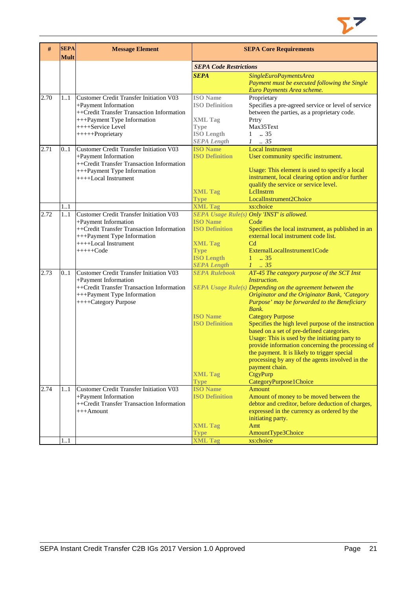

| #    | <b>SEPA</b><br><b>Mult</b> | <b>Message Element</b>                                                                                                                                                                      |                                                                                                                      | <b>SEPA Core Requirements</b>                                                                                                                                                                                                                                                                                                                                                                                                                                                                                                                                                                                                     |
|------|----------------------------|---------------------------------------------------------------------------------------------------------------------------------------------------------------------------------------------|----------------------------------------------------------------------------------------------------------------------|-----------------------------------------------------------------------------------------------------------------------------------------------------------------------------------------------------------------------------------------------------------------------------------------------------------------------------------------------------------------------------------------------------------------------------------------------------------------------------------------------------------------------------------------------------------------------------------------------------------------------------------|
|      |                            |                                                                                                                                                                                             | <b>SEPA Code Restrictions</b>                                                                                        |                                                                                                                                                                                                                                                                                                                                                                                                                                                                                                                                                                                                                                   |
|      |                            |                                                                                                                                                                                             | <b>SEPA</b>                                                                                                          | SingleEuroPaymentsArea<br>Payment must be executed following the Single<br>Euro Payments Area scheme.                                                                                                                                                                                                                                                                                                                                                                                                                                                                                                                             |
| 2.70 | 11                         | <b>Customer Credit Transfer Initiation V03</b><br>+Payment Information<br>++Credit Transfer Transaction Information<br>+++Payment Type Information<br>++++Service Level<br>+++++Proprietary | <b>ISO</b> Name<br><b>ISO Definition</b><br><b>XML Tag</b><br><b>Type</b><br><b>ISO</b> Length<br><b>SEPA Length</b> | Proprietary<br>Specifies a pre-agreed service or level of service<br>between the parties, as a proprietary code.<br>Prtry<br>Max35Text<br>$\therefore$ 35<br>$\mathbf{1}$<br>$1 \t . 35$                                                                                                                                                                                                                                                                                                                                                                                                                                          |
| 2.71 | 0.1                        | <b>Customer Credit Transfer Initiation V03</b><br>+Payment Information<br>++Credit Transfer Transaction Information<br>+++Payment Type Information<br>++++Local Instrument                  | <b>ISO Name</b><br><b>ISO Definition</b><br><b>XML Tag</b><br><b>Type</b>                                            | <b>Local Instrument</b><br>User community specific instrument.<br>Usage: This element is used to specify a local<br>instrument, local clearing option and/or further<br>qualify the service or service level.<br>LelInstrm<br>LocalInstrument2Choice                                                                                                                                                                                                                                                                                                                                                                              |
|      | 11                         |                                                                                                                                                                                             | <b>XML Tag</b>                                                                                                       | xs:choice                                                                                                                                                                                                                                                                                                                                                                                                                                                                                                                                                                                                                         |
| 2.72 | 11                         | <b>Customer Credit Transfer Initiation V03</b><br>+Payment Information<br>++Credit Transfer Transaction Information<br>+++Payment Type Information<br>++++Local Instrument<br>$+++++Code$   | <b>ISO Name</b><br><b>ISO Definition</b><br><b>XML Tag</b><br><b>Type</b><br><b>ISO Length</b><br><b>SEPA Length</b> | SEPA Usage Rule(s) Only 'INST' is allowed.<br>Code<br>Specifies the local instrument, as published in an<br>external local instrument code list.<br>C <sub>d</sub><br>ExternalLocalInstrument1Code<br>$1 \t . 35$<br>$1 \t35$                                                                                                                                                                                                                                                                                                                                                                                                     |
| 2.73 | 0.1                        | <b>Customer Credit Transfer Initiation V03</b><br>+Payment Information<br>++Credit Transfer Transaction Information<br>+++Payment Type Information<br>++++Category Purpose                  | <b>SEPA Rulebook</b><br><b>ISO Name</b><br><b>ISO Definition</b><br><b>XML Tag</b><br><b>Type</b>                    | AT-45 The category purpose of the SCT Inst<br>Instruction.<br>SEPA Usage Rule(s) Depending on the agreement between the<br>Originator and the Originator Bank, 'Category<br>Purpose' may be forwarded to the Beneficiary<br>Bank.<br><b>Category Purpose</b><br>Specifies the high level purpose of the instruction<br>based on a set of pre-defined categories.<br>Usage: This is used by the initiating party to<br>provide information concerning the processing of<br>the payment. It is likely to trigger special<br>processing by any of the agents involved in the<br>payment chain.<br>CtgyPurp<br>CategoryPurpose1Choice |
| 2.74 | 11                         | <b>Customer Credit Transfer Initiation V03</b><br>+Payment Information<br>++Credit Transfer Transaction Information<br>$+++A$ mount                                                         | <b>ISO Name</b><br><b>ISO Definition</b><br><b>XML Tag</b><br><b>Type</b>                                            | <b>Amount</b><br>Amount of money to be moved between the<br>debtor and creditor, before deduction of charges,<br>expressed in the currency as ordered by the<br>initiating party.<br>Amt<br>AmountType3Choice                                                                                                                                                                                                                                                                                                                                                                                                                     |
|      | 11                         |                                                                                                                                                                                             | <b>XML Tag</b>                                                                                                       | xs:choice                                                                                                                                                                                                                                                                                                                                                                                                                                                                                                                                                                                                                         |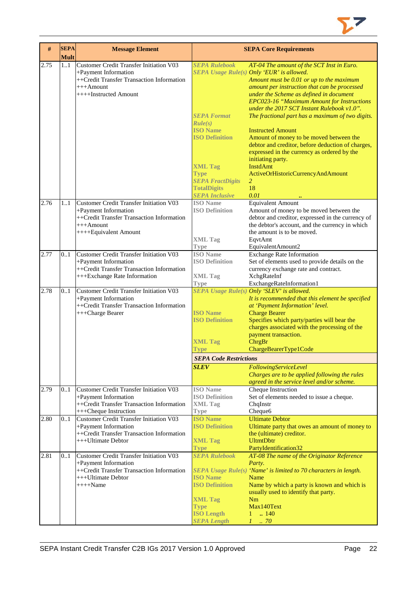

| #    | <b>SEPA</b><br><b>Mult</b> | <b>Message Element</b>                                                                                                                                       |                                                                                                                                                                                                              | <b>SEPA Core Requirements</b>                                                                                                                                                                                                                                                                                                                                                                                                                                                                                                                                                                                                                            |
|------|----------------------------|--------------------------------------------------------------------------------------------------------------------------------------------------------------|--------------------------------------------------------------------------------------------------------------------------------------------------------------------------------------------------------------|----------------------------------------------------------------------------------------------------------------------------------------------------------------------------------------------------------------------------------------------------------------------------------------------------------------------------------------------------------------------------------------------------------------------------------------------------------------------------------------------------------------------------------------------------------------------------------------------------------------------------------------------------------|
| 2.75 | 1.1                        | Customer Credit Transfer Initiation V03<br>+Payment Information<br>++Credit Transfer Transaction Information<br>$+++A$ mount<br>++++Instructed Amount        | <b>SEPA Rulebook</b><br><b>SEPA Format</b><br>Rule(s)<br><b>ISO Name</b><br><b>ISO Definition</b><br><b>XML Tag</b><br><b>Type</b><br><b>SEPA FractDigits</b><br><b>TotalDigits</b><br><b>SEPA Inclusive</b> | AT-04 The amount of the SCT Inst in Euro.<br>SEPA Usage Rule(s) Only 'EUR' is allowed.<br>Amount must be 0.01 or up to the maximum<br>amount per instruction that can be processed<br>under the Scheme as defined in document<br>EPC023-16 "Maximum Amount for Instructions<br>under the 2017 SCT Instant Rulebook v1.0".<br>The fractional part has a maximum of two digits.<br><b>Instructed Amount</b><br>Amount of money to be moved between the<br>debtor and creditor, before deduction of charges,<br>expressed in the currency as ordered by the<br>initiating party.<br><b>InstdAmt</b><br>ActiveOrHistoricCurrencyAndAmount<br>2<br>18<br>0.01 |
| 2.76 | 11                         | <b>Customer Credit Transfer Initiation V03</b><br>+Payment Information<br>++Credit Transfer Transaction Information<br>$+++A$ mount<br>++++Equivalent Amount | <b>ISO</b> Name<br><b>ISO Definition</b><br><b>XML Tag</b>                                                                                                                                                   | <b>Equivalent Amount</b><br>Amount of money to be moved between the<br>debtor and creditor, expressed in the currency of<br>the debtor's account, and the currency in which<br>the amount is to be moved.<br>EqvtAmt                                                                                                                                                                                                                                                                                                                                                                                                                                     |
| 2.77 | 0.1                        | Customer Credit Transfer Initiation V03<br>+Payment Information<br>++Credit Transfer Transaction Information<br>+++Exchange Rate Information                 | <b>Type</b><br><b>ISO</b> Name<br><b>ISO Definition</b><br><b>XML Tag</b><br><b>Type</b>                                                                                                                     | EquivalentAmount2<br><b>Exchange Rate Information</b><br>Set of elements used to provide details on the<br>currency exchange rate and contract.<br>XchgRateInf<br>ExchangeRateInformation1                                                                                                                                                                                                                                                                                                                                                                                                                                                               |
| 2.78 | 0.1                        | Customer Credit Transfer Initiation V03<br>+Payment Information<br>++Credit Transfer Transaction Information<br>+++Charge Bearer                             | <b>ISO Name</b><br><b>ISO Definition</b><br><b>XML Tag</b><br>Type<br><b>SEPA Code Restrictions</b><br><b>SLEV</b>                                                                                           | SEPA Usage Rule(s) Only 'SLEV' is allowed.<br>It is recommended that this element be specified<br>at 'Payment Information' level.<br><b>Charge Bearer</b><br>Specifies which party/parties will bear the<br>charges associated with the processing of the<br>payment transaction.<br>ChrgBr<br>ChargeBearerType1Code<br>FollowingServiceLevel<br>Charges are to be applied following the rules                                                                                                                                                                                                                                                           |
| 2.79 | 01                         | Customer Credit Transfer Initiation V03<br>+Payment Information<br>++Credit Transfer Transaction Information<br>+++Cheque Instruction                        | <b>ISO</b> Name<br><b>ISO Definition</b><br><b>XML</b> Tag<br>Type                                                                                                                                           | agreed in the service level and/or scheme.<br>Cheque Instruction<br>Set of elements needed to issue a cheque.<br>ChqInstr<br>Cheque6                                                                                                                                                                                                                                                                                                                                                                                                                                                                                                                     |
| 2.80 | 0.1                        | Customer Credit Transfer Initiation V03<br>+Payment Information<br>++Credit Transfer Transaction Information<br>+++Ultimate Debtor                           | <b>ISO Name</b><br><b>ISO Definition</b><br><b>XML Tag</b><br><b>Type</b>                                                                                                                                    | <b>Ultimate Debtor</b><br>Ultimate party that owes an amount of money to<br>the (ultimate) creditor.<br><b>UltmtDbtr</b><br>PartyIdentification32                                                                                                                                                                                                                                                                                                                                                                                                                                                                                                        |
| 2.81 | 01                         | Customer Credit Transfer Initiation V03<br>+Payment Information<br>++Credit Transfer Transaction Information<br>$+++$ Ultimate Debtor<br>$++++$ Name         | <b>SEPA Rulebook</b><br><b>ISO Name</b><br><b>ISO Definition</b><br><b>XML Tag</b><br><b>Type</b><br><b>ISO Length</b><br><b>SEPA Length</b>                                                                 | AT-08 The name of the Originator Reference<br>Party.<br>SEPA Usage Rule(s) 'Name' is limited to 70 characters in length.<br>Name<br>Name by which a party is known and which is<br>usually used to identify that party.<br>Nm<br>Max140Text<br>.140<br>1<br>$1 \thinspace \ldots \thinspace 70$                                                                                                                                                                                                                                                                                                                                                          |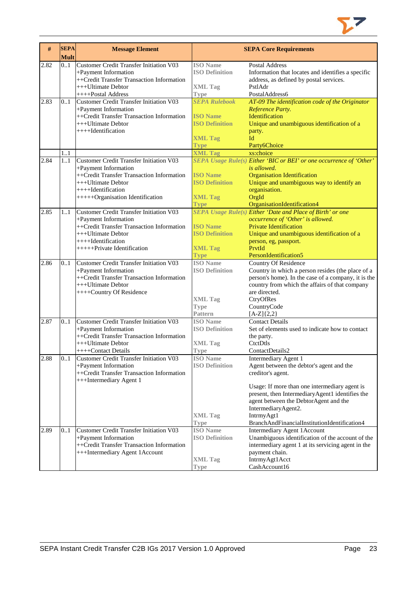

| #    | <b>SEPA</b><br><b>Mult</b> | <b>Message Element</b>                                                                                                                                                                              |                                                                                                   | <b>SEPA Core Requirements</b>                                                                                                                                                                                                                                                                                           |
|------|----------------------------|-----------------------------------------------------------------------------------------------------------------------------------------------------------------------------------------------------|---------------------------------------------------------------------------------------------------|-------------------------------------------------------------------------------------------------------------------------------------------------------------------------------------------------------------------------------------------------------------------------------------------------------------------------|
| 2.82 | 0.1                        | <b>Customer Credit Transfer Initiation V03</b><br>+Payment Information<br>++Credit Transfer Transaction Information<br>+++Ultimate Debtor<br>++++Postal Address                                     | <b>ISO</b> Name<br><b>ISO Definition</b><br><b>XML Tag</b><br><b>Type</b>                         | <b>Postal Address</b><br>Information that locates and identifies a specific<br>address, as defined by postal services.<br>PstlAdr<br>PostalAddress6                                                                                                                                                                     |
| 2.83 | 01                         | <b>Customer Credit Transfer Initiation V03</b><br>+Payment Information<br>++Credit Transfer Transaction Information<br>+++Ultimate Debtor<br>++++Identification                                     | <b>SEPA Rulebook</b><br><b>ISO</b> Name<br><b>ISO Definition</b><br><b>XML Tag</b><br><b>Type</b> | AT-09 The identification code of the Originator<br>Reference Party.<br>Identification<br>Unique and unambiguous identification of a<br>party.<br>Id<br>Party6Choice                                                                                                                                                     |
| 2.84 | 1.1<br>1.1                 | <b>Customer Credit Transfer Initiation V03</b><br>+Payment Information<br>++Credit Transfer Transaction Information<br>+++Ultimate Debtor<br>++++Identification<br>+++++Organisation Identification | <b>XML Tag</b><br><b>ISO Name</b><br><b>ISO Definition</b><br><b>XML Tag</b><br><b>Type</b>       | xs:choice<br>SEPA Usage Rule(s) Either 'BIC or BEI' or one occurrence of 'Other'<br>is allowed.<br><b>Organisation Identification</b><br>Unique and unambiguous way to identify an<br>organisation.<br>OrgId<br>OrganisationIdentification4                                                                             |
| 2.85 | 11                         | <b>Customer Credit Transfer Initiation V03</b><br>+Payment Information<br>++Credit Transfer Transaction Information<br>+++Ultimate Debtor<br>++++Identification<br>++++++Private Identification     | <b>ISO Name</b><br><b>ISO Definition</b><br><b>XML Tag</b><br><b>Type</b>                         | SEPA Usage Rule(s) Either 'Date and Place of Birth' or one<br>occurrence of 'Other' is allowed.<br><b>Private Identification</b><br>Unique and unambiguous identification of a<br>person, eg, passport.<br>PrvtId<br>PersonIdentification5                                                                              |
| 2.86 | 0.1                        | Customer Credit Transfer Initiation V03<br>+Payment Information<br>++Credit Transfer Transaction Information<br>+++Ultimate Debtor<br>++++Country Of Residence                                      | <b>ISO</b> Name<br><b>ISO Definition</b><br><b>XML Tag</b><br><b>Type</b><br><b>Pattern</b>       | Country Of Residence<br>Country in which a person resides (the place of a<br>person's home). In the case of a company, it is the<br>country from which the affairs of that company<br>are directed.<br>CtryOfRes<br>CountryCode<br>$[A-Z]{2,2}$                                                                         |
| 2.87 | 0.1                        | Customer Credit Transfer Initiation V03<br>+Payment Information<br>++Credit Transfer Transaction Information<br>+++Ultimate Debtor<br>++++Contact Details                                           | <b>ISO</b> Name<br><b>ISO Definition</b><br><b>XML Tag</b><br><b>Type</b>                         | <b>Contact Details</b><br>Set of elements used to indicate how to contact<br>the party.<br>CtctDtls<br>ContactDetails2                                                                                                                                                                                                  |
| 2.88 | 0.1                        | Customer Credit Transfer Initiation V03<br>+Payment Information<br>++Credit Transfer Transaction Information<br>+++Intermediary Agent 1                                                             | <b>ISO</b> Name<br><b>ISO Definition</b><br><b>XML Tag</b><br><b>Type</b>                         | Intermediary Agent 1<br>Agent between the debtor's agent and the<br>creditor's agent.<br>Usage: If more than one intermediary agent is<br>present, then IntermediaryAgent1 identifies the<br>agent between the DebtorAgent and the<br>IntermediaryAgent2.<br>IntrmyAgt1<br>BranchAndFinancialInstitutionIdentification4 |
| 2.89 | 0.1                        | <b>Customer Credit Transfer Initiation V03</b><br>+Payment Information<br>++Credit Transfer Transaction Information<br>+++Intermediary Agent 1Account                                               | <b>ISO</b> Name<br><b>ISO Definition</b><br><b>XML Tag</b><br><b>Type</b>                         | <b>Intermediary Agent 1Account</b><br>Unambiguous identification of the account of the<br>intermediary agent 1 at its servicing agent in the<br>payment chain.<br>IntrmyAgt1Acct<br>CashAccount16                                                                                                                       |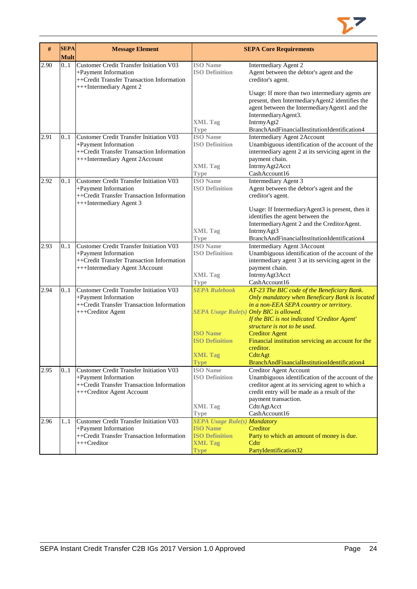

| #    | <b>SEPA</b> | <b>Message Element</b>                                                                                                                                |                                          | <b>SEPA Core Requirements</b>                                                                                                                                  |
|------|-------------|-------------------------------------------------------------------------------------------------------------------------------------------------------|------------------------------------------|----------------------------------------------------------------------------------------------------------------------------------------------------------------|
|      | Mult        |                                                                                                                                                       |                                          |                                                                                                                                                                |
| 2.90 | 0.1         | Customer Credit Transfer Initiation V03<br>+Payment Information<br>++Credit Transfer Transaction Information<br>+++Intermediary Agent 2               | <b>ISO</b> Name<br><b>ISO Definition</b> | Intermediary Agent 2<br>Agent between the debtor's agent and the<br>creditor's agent.                                                                          |
|      |             |                                                                                                                                                       |                                          | Usage: If more than two intermediary agents are<br>present, then IntermediaryAgent2 identifies the<br>agent between the IntermediaryAgent1 and the             |
|      |             |                                                                                                                                                       | <b>XML Tag</b>                           | IntermediaryAgent3.<br>IntrmyAgt2                                                                                                                              |
|      |             |                                                                                                                                                       | <b>Type</b>                              | BranchAndFinancialInstitutionIdentification4                                                                                                                   |
| 2.91 | 0.1         | <b>Customer Credit Transfer Initiation V03</b><br>+Payment Information<br>++Credit Transfer Transaction Information<br>+++Intermediary Agent 2Account | <b>ISO</b> Name<br><b>ISO Definition</b> | <b>Intermediary Agent 2Account</b><br>Unambiguous identification of the account of the<br>intermediary agent 2 at its servicing agent in the<br>payment chain. |
|      |             |                                                                                                                                                       | <b>XML Tag</b>                           | IntrmyAgt2Acct                                                                                                                                                 |
|      |             |                                                                                                                                                       | <b>Type</b>                              | CashAccount16                                                                                                                                                  |
| 2.92 | 0.1         | <b>Customer Credit Transfer Initiation V03</b><br>+Payment Information<br>++Credit Transfer Transaction Information<br>+++Intermediary Agent 3        | <b>ISO</b> Name<br><b>ISO Definition</b> | Intermediary Agent 3<br>Agent between the debtor's agent and the<br>creditor's agent.                                                                          |
|      |             |                                                                                                                                                       |                                          | Usage: If IntermediaryAgent3 is present, then it<br>identifies the agent between the<br>IntermediaryAgent 2 and the CreditorAgent.                             |
|      |             |                                                                                                                                                       | <b>XML Tag</b>                           | IntrmyAgt3                                                                                                                                                     |
| 2.93 | 0.1         | <b>Customer Credit Transfer Initiation V03</b>                                                                                                        | <b>Type</b><br><b>ISO</b> Name           | BranchAndFinancialInstitutionIdentification4<br><b>Intermediary Agent 3Account</b>                                                                             |
|      |             | +Payment Information                                                                                                                                  | <b>ISO Definition</b>                    | Unambiguous identification of the account of the                                                                                                               |
|      |             | ++Credit Transfer Transaction Information                                                                                                             |                                          | intermediary agent 3 at its servicing agent in the                                                                                                             |
|      |             | +++Intermediary Agent 3Account                                                                                                                        |                                          | payment chain.                                                                                                                                                 |
|      |             |                                                                                                                                                       | <b>XML Tag</b>                           | IntrmyAgt3Acct                                                                                                                                                 |
|      |             |                                                                                                                                                       | <b>Type</b>                              | CashAccount16                                                                                                                                                  |
| 2.94 | 0.1         | <b>Customer Credit Transfer Initiation V03</b>                                                                                                        | <b>SEPA Rulebook</b>                     | AT-23 The BIC code of the Beneficiary Bank.                                                                                                                    |
|      |             | +Payment Information                                                                                                                                  |                                          | Only mandatory when Beneficary Bank is located                                                                                                                 |
|      |             | ++Credit Transfer Transaction Information<br>+++Creditor Agent                                                                                        |                                          | in a non-EEA SEPA country or territory.<br>SEPA Usage Rule(s) Only BIC is allowed.                                                                             |
|      |             |                                                                                                                                                       |                                          | If the BIC is not indicated 'Creditor Agent'                                                                                                                   |
|      |             |                                                                                                                                                       |                                          | structure is not to be used.                                                                                                                                   |
|      |             |                                                                                                                                                       | <b>ISO Name</b>                          | <b>Creditor Agent</b>                                                                                                                                          |
|      |             |                                                                                                                                                       | <b>ISO Definition</b>                    | Financial institution servicing an account for the                                                                                                             |
|      |             |                                                                                                                                                       |                                          | creditor.                                                                                                                                                      |
|      |             |                                                                                                                                                       | <b>XML Tag</b>                           | CdtrAgt                                                                                                                                                        |
|      |             |                                                                                                                                                       | <b>Type</b>                              | BranchAndFinancialInstitutionIdentification4                                                                                                                   |
| 2.95 | 0.1         | Customer Credit Transfer Initiation V03<br>+Payment Information                                                                                       | <b>ISO</b> Name<br><b>ISO Definition</b> | <b>Creditor Agent Account</b><br>Unambiguous identification of the account of the                                                                              |
|      |             | ++Credit Transfer Transaction Information                                                                                                             |                                          | creditor agent at its servicing agent to which a                                                                                                               |
|      |             | +++Creditor Agent Account                                                                                                                             |                                          | credit entry will be made as a result of the                                                                                                                   |
|      |             |                                                                                                                                                       |                                          | payment transaction.                                                                                                                                           |
|      |             |                                                                                                                                                       | <b>XML Tag</b>                           | CdtrAgtAcct                                                                                                                                                    |
|      |             |                                                                                                                                                       | <b>Type</b>                              | CashAccount16                                                                                                                                                  |
| 2.96 | 1.1         | <b>Customer Credit Transfer Initiation V03</b>                                                                                                        | <b>SEPA Usage Rule(s) Mandatory</b>      |                                                                                                                                                                |
|      |             | +Payment Information                                                                                                                                  | <b>ISO</b> Name                          | Creditor                                                                                                                                                       |
|      |             | ++Credit Transfer Transaction Information                                                                                                             | <b>ISO Definition</b>                    | Party to which an amount of money is due.                                                                                                                      |
|      |             | +++Creditor                                                                                                                                           | <b>XML Tag</b><br><b>Type</b>            | Cdtr<br>PartyIdentification32                                                                                                                                  |
|      |             |                                                                                                                                                       |                                          |                                                                                                                                                                |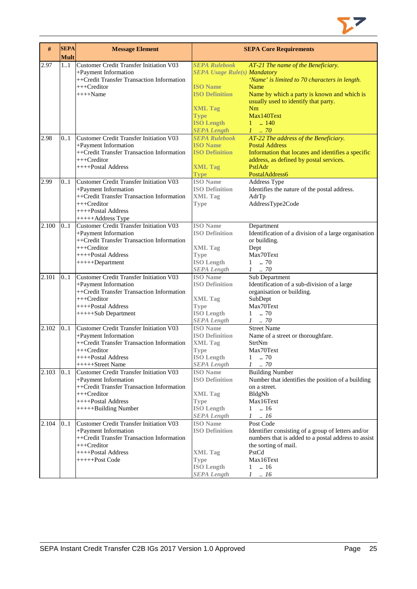

| #     | <b>SEPA</b><br><b>Mult</b> | <b>Message Element</b>                         |                                     | <b>SEPA Core Requirements</b>                        |
|-------|----------------------------|------------------------------------------------|-------------------------------------|------------------------------------------------------|
| 2.97  | 1.1                        | <b>Customer Credit Transfer Initiation V03</b> | <b>SEPA Rulebook</b>                | AT-21 The name of the Beneficiary.                   |
|       |                            | +Payment Information                           | <b>SEPA Usage Rule(s) Mandatory</b> |                                                      |
|       |                            | ++Credit Transfer Transaction Information      |                                     | 'Name' is limited to 70 characters in length.        |
|       |                            | $++$ Creditor                                  | <b>ISO</b> Name                     | Name                                                 |
|       |                            | $+++$ Name                                     | <b>ISO Definition</b>               | Name by which a party is known and which is          |
|       |                            |                                                |                                     | usually used to identify that party.                 |
|       |                            |                                                | <b>XML Tag</b>                      | Nm                                                   |
|       |                            |                                                | <b>Type</b>                         | Max140Text                                           |
|       |                            |                                                | <b>ISO Length</b>                   | $1 \t  140$                                          |
|       |                            |                                                | <b>SEPA Length</b>                  | $1 \dots 70$                                         |
| 2.98  | 0.1                        | <b>Customer Credit Transfer Initiation V03</b> | <b>SEPA Rulebook</b>                | AT-22 The address of the Beneficiary.                |
|       |                            | +Payment Information                           | <b>ISO Name</b>                     | <b>Postal Address</b>                                |
|       |                            | ++Credit Transfer Transaction Information      | <b>ISO Definition</b>               | Information that locates and identifies a specific   |
|       |                            | +++Creditor                                    |                                     | address, as defined by postal services.              |
|       |                            | ++++Postal Address                             | <b>XML Tag</b>                      | PstlAdr                                              |
|       |                            |                                                | <b>Type</b>                         | PostalAddress6                                       |
| 2.99  | 0.1                        | Customer Credit Transfer Initiation V03        | <b>ISO Name</b>                     | Address Type                                         |
|       |                            | +Payment Information                           | <b>ISO Definition</b>               | Identifies the nature of the postal address.         |
|       |                            | ++Credit Transfer Transaction Information      | <b>XML Tag</b>                      | AdrTp                                                |
|       |                            | +++Creditor                                    | <b>Type</b>                         | AddressType2Code                                     |
|       |                            | ++++Postal Address                             |                                     |                                                      |
|       |                            | +++++Address Type                              |                                     |                                                      |
| 2.100 | 0.1                        | Customer Credit Transfer Initiation V03        | <b>ISO</b> Name                     | Department                                           |
|       |                            | +Payment Information                           | <b>ISO Definition</b>               | Identification of a division of a large organisation |
|       |                            | ++Credit Transfer Transaction Information      |                                     | or building.                                         |
|       |                            | +++Creditor                                    | <b>XML Tag</b>                      | Dept                                                 |
|       |                            | ++++Postal Address                             | <b>Type</b>                         | Max70Text                                            |
|       |                            | $+++++Department$                              | <b>ISO</b> Length                   | $1-.70$                                              |
|       |                            |                                                | <b>SEPA Length</b>                  | $1 \t . 70$                                          |
| 2.101 | 0.1                        | <b>Customer Credit Transfer Initiation V03</b> | <b>ISO</b> Name                     | Sub Department                                       |
|       |                            | +Payment Information                           | <b>ISO Definition</b>               | Identification of a sub-division of a large          |
|       |                            | ++Credit Transfer Transaction Information      |                                     | organisation or building.                            |
|       |                            | +++Creditor                                    | <b>XML Tag</b>                      | SubDept                                              |
|       |                            | ++++Postal Address                             | <b>Type</b>                         | Max70Text                                            |
|       |                            | +++++Sub Department                            | <b>ISO Length</b>                   | $1 \t . 70$                                          |
|       |                            |                                                | <b>SEPA Length</b>                  | $1 \t . 70$                                          |
| 2.102 | 0.1                        | <b>Customer Credit Transfer Initiation V03</b> | <b>ISO</b> Name                     | <b>Street Name</b>                                   |
|       |                            | +Payment Information                           | <b>ISO Definition</b>               | Name of a street or thoroughfare.                    |
|       |                            | ++Credit Transfer Transaction Information      | <b>XML Tag</b>                      | <b>StrtNm</b>                                        |
|       |                            | +++Creditor                                    | Type                                | Max70Text                                            |
|       |                            | ++++Postal Address                             | <b>ISO Length</b>                   | 70<br>1                                              |
|       |                            | $+++++ Street Name$                            | <b>SEPA Length</b>                  | $1$ $\,$ . $70$                                      |
| 2.103 | 01                         | Customer Credit Transfer Initiation V03        | <b>ISO</b> Name                     | <b>Building Number</b>                               |
|       |                            | +Payment Information                           | <b>ISO Definition</b>               | Number that identifies the position of a building    |
|       |                            | ++Credit Transfer Transaction Information      |                                     | on a street.                                         |
|       |                            | +++Creditor                                    | <b>XML Tag</b>                      | BldgNb                                               |
|       |                            | ++++Postal Address                             | <b>Type</b>                         | Max16Text                                            |
|       |                            | +++++Building Number                           | <b>ISO Length</b>                   | .16<br>$\mathbf{1}$                                  |
|       |                            |                                                | <b>SEPA Length</b>                  | $1-.16$                                              |
| 2.104 | 0.1                        | <b>Customer Credit Transfer Initiation V03</b> | <b>ISO</b> Name                     | Post Code                                            |
|       |                            | +Payment Information                           | <b>ISO Definition</b>               | Identifier consisting of a group of letters and/or   |
|       |                            | ++Credit Transfer Transaction Information      |                                     | numbers that is added to a postal address to assist  |
|       |                            | +++Creditor                                    |                                     | the sorting of mail.                                 |
|       |                            | ++++Postal Address                             | <b>XML Tag</b>                      | PstCd                                                |
|       |                            | +++++Post Code                                 | <b>Type</b>                         | Max16Text                                            |
|       |                            |                                                | <b>ISO Length</b>                   | .16<br>1                                             |
|       |                            |                                                | <b>SEPA</b> Length                  | $\cdot$ 16<br>$\mathcal{I}$                          |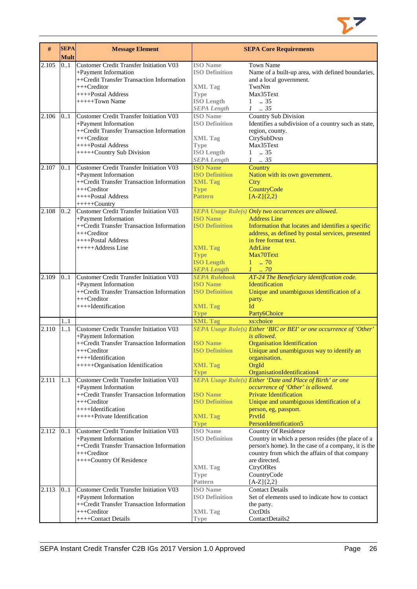

| #     | <b>SEPA</b><br><b>Mult</b> | <b>Message Element</b>                                            |                                          | <b>SEPA Core Requirements</b>                                       |
|-------|----------------------------|-------------------------------------------------------------------|------------------------------------------|---------------------------------------------------------------------|
| 2.105 | 0.1                        | <b>Customer Credit Transfer Initiation V03</b>                    | <b>ISO</b> Name                          | <b>Town Name</b>                                                    |
|       |                            | +Payment Information                                              | <b>ISO Definition</b>                    | Name of a built-up area, with defined boundaries,                   |
|       |                            | ++Credit Transfer Transaction Information                         |                                          | and a local government.                                             |
|       |                            | +++Creditor                                                       | <b>XML Tag</b>                           | TwnNm                                                               |
|       |                            | ++++Postal Address                                                | <b>Type</b>                              | Max35Text                                                           |
|       |                            | $+++++Town Name$                                                  | <b>ISO Length</b>                        | .35<br>$\mathbf{1}$                                                 |
|       |                            |                                                                   | <b>SEPA Length</b>                       | $1 \t . 35$                                                         |
| 2.106 | 0.1                        | <b>Customer Credit Transfer Initiation V03</b>                    | <b>ISO</b> Name                          | <b>Country Sub Division</b>                                         |
|       |                            | +Payment Information                                              | <b>ISO Definition</b>                    | Identifies a subdivision of a country such as state,                |
|       |                            | ++Credit Transfer Transaction Information                         |                                          | region, county.                                                     |
|       |                            | +++Creditor                                                       | <b>XML Tag</b>                           | CtrySubDvsn                                                         |
|       |                            | ++++Postal Address                                                | <b>Type</b>                              | Max35Text                                                           |
|       |                            | +++++Country Sub Division                                         | <b>ISO Length</b>                        | $1 \t . 35$                                                         |
|       |                            |                                                                   | <b>SEPA Length</b>                       | $1 \t . 35$                                                         |
| 2.107 | 0.1                        | Customer Credit Transfer Initiation V03                           | <b>ISO</b> Name                          | Country                                                             |
|       |                            | +Payment Information                                              | <b>ISO Definition</b>                    | Nation with its own government.                                     |
|       |                            | ++Credit Transfer Transaction Information                         | <b>XML Tag</b>                           | Ctry                                                                |
|       |                            | $++$ Creditor                                                     | <b>Type</b>                              | CountryCode                                                         |
|       |                            | ++++Postal Address                                                | <b>Pattern</b>                           | $[A-Z](2,2)$                                                        |
|       |                            | $++++$ Country                                                    |                                          |                                                                     |
| 2.108 | 0.2                        | <b>Customer Credit Transfer Initiation V03</b>                    |                                          | SEPA Usage Rule(s) Only two occurrences are allowed.                |
|       |                            | +Payment Information                                              | <b>ISO Name</b>                          | <b>Address Line</b>                                                 |
|       |                            | ++Credit Transfer Transaction Information                         | <b>ISO Definition</b>                    | Information that locates and identifies a specific                  |
|       |                            | +++Creditor                                                       |                                          | address, as defined by postal services, presented                   |
|       |                            | ++++Postal Address                                                |                                          | in free format text.                                                |
|       |                            | +++++Address Line                                                 | <b>XML Tag</b>                           | AdrLine                                                             |
|       |                            |                                                                   | <b>Type</b>                              | Max70Text                                                           |
|       |                            |                                                                   | <b>ISO Length</b>                        | $1 - .70$                                                           |
|       |                            |                                                                   | <b>SEPA Length</b>                       | $1 \thinspace \ldots \thinspace 70$                                 |
| 2.109 | 0.1                        | <b>Customer Credit Transfer Initiation V03</b>                    | <b>SEPA Rulebook</b>                     | AT-24 The Beneficiary identification code.                          |
|       |                            | +Payment Information                                              | <b>ISO Name</b>                          | Identification                                                      |
|       |                            | ++Credit Transfer Transaction Information                         | <b>ISO Definition</b>                    | Unique and unambiguous identification of a                          |
|       |                            | +++Creditor                                                       |                                          | party.                                                              |
|       |                            | ++++Identification                                                | <b>XML Tag</b>                           | Id                                                                  |
|       |                            |                                                                   | <b>Type</b>                              | Party6Choice                                                        |
|       | 1.1                        |                                                                   | <b>XML Tag</b>                           | xs:choice                                                           |
| 2.110 | 1.1                        | <b>Customer Credit Transfer Initiation V03</b>                    |                                          | SEPA Usage Rule(s) Either 'BIC or BEI' or one occurrence of 'Other' |
|       |                            | +Payment Information                                              |                                          | is allowed.                                                         |
|       |                            | ++Credit Transfer Transaction Information                         | <b>ISO Name</b>                          | <b>Organisation Identification</b>                                  |
|       |                            | +++Creditor                                                       | <b>ISO Definition</b>                    | Unique and unambiguous way to identify an                           |
|       |                            | ++++Identification                                                |                                          | organisation.                                                       |
|       |                            | +++++Organisation Identification                                  | <b>XML Tag</b>                           | OrgId                                                               |
|       |                            |                                                                   | <b>Type</b>                              | OrganisationIdentification4                                         |
| 2.111 | 1.1                        | <b>Customer Credit Transfer Initiation V03</b>                    |                                          | SEPA Usage Rule(s) Either 'Date and Place of Birth' or one          |
|       |                            | +Payment Information                                              |                                          | occurrence of 'Other' is allowed.                                   |
|       |                            | ++Credit Transfer Transaction Information                         | <b>ISO Name</b>                          | <b>Private Identification</b>                                       |
|       |                            | +++Creditor                                                       | <b>ISO Definition</b>                    | Unique and unambiguous identification of a                          |
|       |                            | ++++Identification                                                |                                          | person, eg, passport.                                               |
|       |                            | ++++++Private Identification                                      | <b>XML Tag</b>                           | PrvtId                                                              |
|       |                            |                                                                   | <b>Type</b>                              | PersonIdentification5                                               |
| 2.112 | 0.1                        | <b>Customer Credit Transfer Initiation V03</b>                    | <b>ISO</b> Name<br><b>ISO Definition</b> | <b>Country Of Residence</b>                                         |
|       |                            | +Payment Information<br>++Credit Transfer Transaction Information |                                          | Country in which a person resides (the place of a                   |
|       |                            | +++Creditor                                                       |                                          | person's home). In the case of a company, it is the                 |
|       |                            |                                                                   |                                          | country from which the affairs of that company                      |
|       |                            | ++++Country Of Residence                                          |                                          | are directed.                                                       |
|       |                            |                                                                   | XML Tag                                  | CtryOfRes                                                           |
|       |                            |                                                                   | <b>Type</b><br>Pattern                   | CountryCode                                                         |
|       |                            |                                                                   |                                          | $[A-Z]\{2,2\}$                                                      |
| 2.113 | 0.1                        | <b>Customer Credit Transfer Initiation V03</b>                    | <b>ISO</b> Name                          | <b>Contact Details</b>                                              |
|       |                            | +Payment Information<br>++Credit Transfer Transaction Information | <b>ISO Definition</b>                    | Set of elements used to indicate how to contact                     |
|       |                            | $+++Creditor$                                                     |                                          | the party.                                                          |
|       |                            |                                                                   | <b>XML Tag</b>                           | CtctDtls                                                            |
|       |                            | ++++Contact Details                                               | <b>Type</b>                              | ContactDetails2                                                     |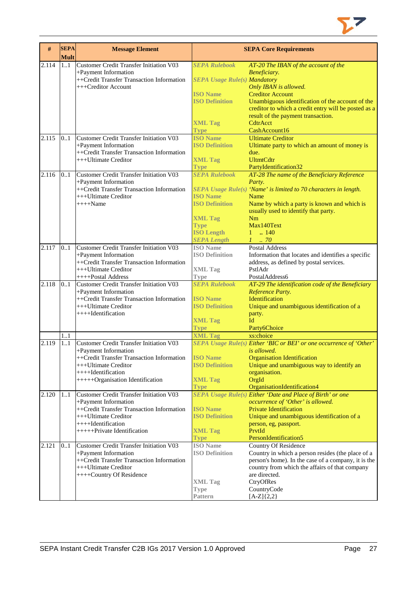

| #                  | <b>SEPA</b><br><b>Mult</b> | <b>Message Element</b>                                            |                                          | <b>SEPA Core Requirements</b>                                       |
|--------------------|----------------------------|-------------------------------------------------------------------|------------------------------------------|---------------------------------------------------------------------|
| 2.114              | 11                         | <b>Customer Credit Transfer Initiation V03</b>                    | <b>SEPA Rulebook</b>                     | AT-20 The IBAN of the account of the                                |
|                    |                            | +Payment Information                                              |                                          | Beneficiary.                                                        |
|                    |                            | ++Credit Transfer Transaction Information                         | <b>SEPA Usage Rule(s) Mandatory</b>      |                                                                     |
|                    |                            | +++Creditor Account                                               |                                          | Only IBAN is allowed.                                               |
|                    |                            |                                                                   | <b>ISO Name</b>                          | <b>Creditor Account</b>                                             |
|                    |                            |                                                                   | <b>ISO Definition</b>                    | Unambiguous identification of the account of the                    |
|                    |                            |                                                                   |                                          | creditor to which a credit entry will be posted as a                |
|                    |                            |                                                                   |                                          | result of the payment transaction.                                  |
|                    |                            |                                                                   | <b>XML Tag</b>                           | CdtrAcct                                                            |
|                    |                            |                                                                   | <b>Type</b>                              | CashAccount16                                                       |
| 2.115              | 0.1                        | Customer Credit Transfer Initiation V03                           | <b>ISO Name</b>                          | <b>Ultimate Creditor</b>                                            |
|                    |                            | +Payment Information<br>++Credit Transfer Transaction Information | <b>ISO Definition</b>                    | Ultimate party to which an amount of money is<br>due.               |
|                    |                            | +++Ultimate Creditor                                              | <b>XML Tag</b>                           | <b>UltmtCdtr</b>                                                    |
|                    |                            |                                                                   | <b>Type</b>                              | PartyIdentification32                                               |
| 2.116              | 0.1                        | Customer Credit Transfer Initiation V03                           | <b>SEPA Rulebook</b>                     | AT-28 The name of the Beneficiary Reference                         |
|                    |                            | +Payment Information                                              |                                          | Party.                                                              |
|                    |                            | ++Credit Transfer Transaction Information                         |                                          | SEPA Usage Rule(s) 'Name' is limited to 70 characters in length.    |
|                    |                            | +++Ultimate Creditor                                              | <b>ISO Name</b>                          | Name                                                                |
|                    |                            | $+++$ Name                                                        | <b>ISO Definition</b>                    | Name by which a party is known and which is                         |
|                    |                            |                                                                   |                                          | usually used to identify that party.                                |
|                    |                            |                                                                   | <b>XML Tag</b>                           | Nm                                                                  |
|                    |                            |                                                                   | <b>Type</b>                              | Max140Text                                                          |
|                    |                            |                                                                   | <b>ISO Length</b>                        | $1 \t . 140$                                                        |
| 2.117              | 0.1                        | Customer Credit Transfer Initiation V03                           | <b>SEPA Length</b><br><b>ISO</b> Name    | $1 \cdot .70$<br><b>Postal Address</b>                              |
|                    |                            | +Payment Information                                              | <b>ISO Definition</b>                    | Information that locates and identifies a specific                  |
|                    |                            | ++Credit Transfer Transaction Information                         |                                          | address, as defined by postal services.                             |
|                    |                            | +++Ultimate Creditor                                              | <b>XML Tag</b>                           | PstlAdr                                                             |
|                    |                            | ++++Postal Address                                                | Type                                     | PostalAddress6                                                      |
| 2.118              | 0.1                        | <b>Customer Credit Transfer Initiation V03</b>                    | <b>SEPA Rulebook</b>                     | AT-29 The identification code of the Beneficiary                    |
|                    |                            | +Payment Information                                              |                                          | Reference Party.                                                    |
|                    |                            | ++Credit Transfer Transaction Information                         | <b>ISO</b> Name                          | Identification                                                      |
|                    |                            | +++Ultimate Creditor                                              | <b>ISO Definition</b>                    | Unique and unambiguous identification of a                          |
|                    |                            | $++++$ Identification                                             |                                          | party.                                                              |
|                    |                            |                                                                   | <b>XML Tag</b>                           | Id<br>Party6Choice                                                  |
|                    | 1.1                        |                                                                   | <b>Type</b><br><b>XML Tag</b>            | xs:choice                                                           |
| $\overline{2.119}$ | 1.1                        | <b>Customer Credit Transfer Initiation V03</b>                    |                                          | SEPA Usage Rule(s) Either 'BIC or BEI' or one occurrence of 'Other' |
|                    |                            | +Payment Information                                              |                                          | is allowed.                                                         |
|                    |                            | ++Credit Transfer Transaction Information                         | <b>ISO</b> Name                          | <b>Organisation Identification</b>                                  |
|                    |                            | +++Ultimate Creditor                                              | <b>ISO Definition</b>                    | Unique and unambiguous way to identify an                           |
|                    |                            | ++++Identification                                                |                                          | organisation.                                                       |
|                    |                            | +++++Organisation Identification                                  | <b>XML Tag</b>                           | OrgId                                                               |
|                    |                            |                                                                   | <b>Type</b>                              | OrganisationIdentification4                                         |
| 2.120              | 11                         | Customer Credit Transfer Initiation V03                           |                                          | <b>SEPA Usage Rule(s) Either 'Date and Place of Birth' or one</b>   |
|                    |                            | +Payment Information                                              |                                          | occurrence of 'Other' is allowed.                                   |
|                    |                            | ++Credit Transfer Transaction Information<br>+++Ultimate Creditor | <b>ISO Name</b><br><b>ISO Definition</b> | <b>Private Identification</b>                                       |
|                    |                            | ++++Identification                                                |                                          | Unique and unambiguous identification of a<br>person, eg, passport. |
|                    |                            | ++++++Private Identification                                      | <b>XML Tag</b>                           | PrvtId                                                              |
|                    |                            |                                                                   | <b>Type</b>                              | PersonIdentification5                                               |
| 2.121              | 0.1                        | <b>Customer Credit Transfer Initiation V03</b>                    | <b>ISO</b> Name                          | <b>Country Of Residence</b>                                         |
|                    |                            | +Payment Information                                              | <b>ISO Definition</b>                    | Country in which a person resides (the place of a                   |
|                    |                            | ++Credit Transfer Transaction Information                         |                                          | person's home). In the case of a company, it is the                 |
|                    |                            | +++Ultimate Creditor                                              |                                          | country from which the affairs of that company                      |
|                    |                            | ++++Country Of Residence                                          |                                          | are directed.                                                       |
|                    |                            |                                                                   | <b>XML Tag</b>                           | CtryOfRes                                                           |
|                    |                            |                                                                   | <b>Type</b><br>Pattern                   | CountryCode                                                         |
|                    |                            |                                                                   |                                          | $[A-Z]\{2,2\}$                                                      |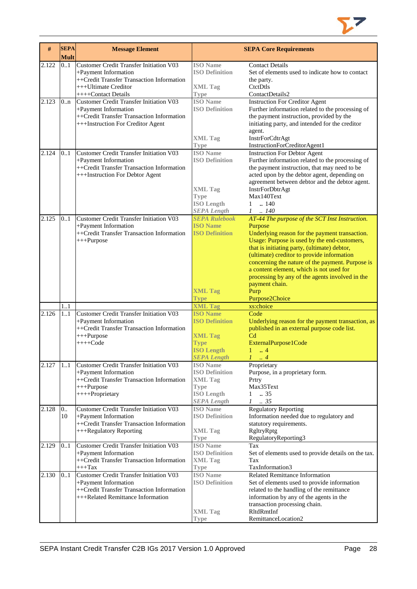

| #     | <b>SEPA</b><br><b>Mult</b> | <b>Message Element</b>                                                                                                                                             |                                                                                                                      | <b>SEPA Core Requirements</b>                                                                                                                                                                                                                                                                                                                                                                                                                            |
|-------|----------------------------|--------------------------------------------------------------------------------------------------------------------------------------------------------------------|----------------------------------------------------------------------------------------------------------------------|----------------------------------------------------------------------------------------------------------------------------------------------------------------------------------------------------------------------------------------------------------------------------------------------------------------------------------------------------------------------------------------------------------------------------------------------------------|
| 2.122 | 0.1                        | <b>Customer Credit Transfer Initiation V03</b><br>+Payment Information<br>++Credit Transfer Transaction Information<br>+++Ultimate Creditor<br>++++Contact Details | <b>ISO</b> Name<br><b>ISO Definition</b><br><b>XML Tag</b><br>Type                                                   | <b>Contact Details</b><br>Set of elements used to indicate how to contact<br>the party.<br>CtctDtls<br>ContactDetails2                                                                                                                                                                                                                                                                                                                                   |
| 2.123 | 0 <sub>nn</sub>            | <b>Customer Credit Transfer Initiation V03</b><br>+Payment Information<br>++Credit Transfer Transaction Information<br>+++Instruction For Creditor Agent           | <b>ISO</b> Name<br><b>ISO Definition</b><br><b>XML Tag</b><br>Type                                                   | <b>Instruction For Creditor Agent</b><br>Further information related to the processing of<br>the payment instruction, provided by the<br>initiating party, and intended for the creditor<br>agent.<br>InstrForCdtrAgt<br>InstructionForCreditorAgent1                                                                                                                                                                                                    |
| 2.124 | 0.1                        | <b>Customer Credit Transfer Initiation V03</b><br>+Payment Information<br>++Credit Transfer Transaction Information<br>+++Instruction For Debtor Agent             | <b>ISO</b> Name<br><b>ISO Definition</b><br><b>XML Tag</b><br><b>Type</b><br><b>ISO Length</b><br><b>SEPA Length</b> | <b>Instruction For Debtor Agent</b><br>Further information related to the processing of<br>the payment instruction, that may need to be<br>acted upon by the debtor agent, depending on<br>agreement between debtor and the debtor agent.<br>InstrForDbtrAgt<br>Max140Text<br>.140<br>$\mathbf{1}$<br>$1 \quad .140$                                                                                                                                     |
| 2.125 | 0.1                        | <b>Customer Credit Transfer Initiation V03</b><br>+Payment Information<br>++Credit Transfer Transaction Information<br>+++Purpose                                  | <b>SEPA Rulebook</b><br><b>ISO Name</b><br><b>ISO Definition</b><br><b>XML Tag</b><br><b>Type</b>                    | AT-44 The purpose of the SCT Inst Instruction.<br>Purpose<br>Underlying reason for the payment transaction.<br>Usage: Purpose is used by the end-customers,<br>that is initiating party, (ultimate) debtor,<br>(ultimate) creditor to provide information<br>concerning the nature of the payment. Purpose is<br>a content element, which is not used for<br>processing by any of the agents involved in the<br>payment chain.<br>Purp<br>Purpose2Choice |
|       | 11                         |                                                                                                                                                                    | <b>XML Tag</b>                                                                                                       | xs:choice                                                                                                                                                                                                                                                                                                                                                                                                                                                |
| 2.126 | 1.1                        | <b>Customer Credit Transfer Initiation V03</b><br>+Payment Information<br>++Credit Transfer Transaction Information<br>$+++Purpose$<br>$++++Code$                  | <b>ISO Name</b><br><b>ISO Definition</b><br><b>XML Tag</b><br><b>Type</b><br><b>ISO Length</b><br><b>SEPA Length</b> | Code<br>Underlying reason for the payment transaction, as<br>published in an external purpose code list.<br>C <sub>d</sub><br>ExternalPurpose1Code<br>$1 \t . 4$<br>$\cdot$ 4                                                                                                                                                                                                                                                                            |
| 2.127 | 1.1                        | <b>Customer Credit Transfer Initiation V03</b><br>+Payment Information<br>++Credit Transfer Transaction Information<br>$+++P$ urpose<br>++++Proprietary            | <b>ISO</b> Name<br><b>ISO Definition</b><br><b>XML Tag</b><br><b>Type</b><br><b>ISO Length</b><br><b>SEPA Length</b> | Proprietary<br>Purpose, in a proprietary form.<br>Prtry<br>Max35Text<br>$\mathbf{1}$<br>.35<br>$\mathcal{I}$<br>.35                                                                                                                                                                                                                                                                                                                                      |
| 2.128 | 0<br>10                    | <b>Customer Credit Transfer Initiation V03</b><br>+Payment Information<br>++Credit Transfer Transaction Information<br>+++Regulatory Reporting                     | <b>ISO</b> Name<br><b>ISO Definition</b><br><b>XML Tag</b><br><b>Type</b>                                            | <b>Regulatory Reporting</b><br>Information needed due to regulatory and<br>statutory requirements.<br>RgltryRptg<br>RegulatoryReporting3                                                                                                                                                                                                                                                                                                                 |
| 2.129 | 0.1                        | <b>Customer Credit Transfer Initiation V03</b><br>+Payment Information<br>++Credit Transfer Transaction Information<br>$+++$ Tax                                   | <b>ISO</b> Name<br><b>ISO Definition</b><br><b>XML Tag</b><br><b>Type</b>                                            | Tax<br>Set of elements used to provide details on the tax.<br>Tax<br>TaxInformation3                                                                                                                                                                                                                                                                                                                                                                     |
| 2.130 | 0.1                        | <b>Customer Credit Transfer Initiation V03</b><br>+Payment Information<br>++Credit Transfer Transaction Information<br>+++Related Remittance Information           | <b>ISO</b> Name<br><b>ISO Definition</b><br><b>XML Tag</b><br><b>Type</b>                                            | <b>Related Remittance Information</b><br>Set of elements used to provide information<br>related to the handling of the remittance<br>information by any of the agents in the<br>transaction processing chain.<br>RltdRmtInf<br>RemittanceLocation2                                                                                                                                                                                                       |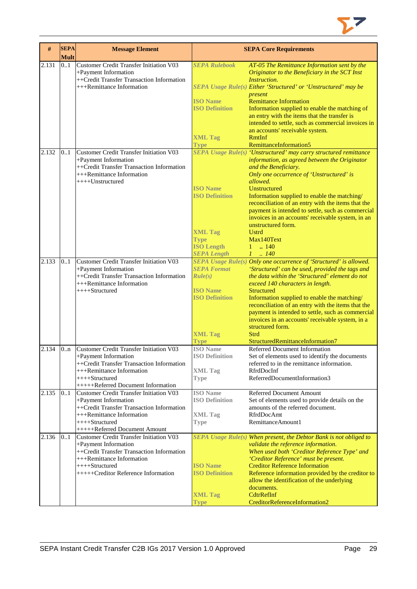

| #     | <b>SEPA</b><br><b>Mult</b> | <b>Message Element</b>                                                 |                                          | <b>SEPA Core Requirements</b>                                                                         |
|-------|----------------------------|------------------------------------------------------------------------|------------------------------------------|-------------------------------------------------------------------------------------------------------|
| 2.131 | 0.1                        | <b>Customer Credit Transfer Initiation V03</b>                         | <b>SEPA Rulebook</b>                     | AT-05 The Remittance Information sent by the                                                          |
|       |                            | +Payment Information<br>++Credit Transfer Transaction Information      |                                          | Originator to the Beneficiary in the SCT Inst<br>Instruction.                                         |
|       |                            | +++Remittance Information                                              |                                          | SEPA Usage Rule(s) Either 'Structured' or 'Unstructured' may be                                       |
|       |                            |                                                                        |                                          | present                                                                                               |
|       |                            |                                                                        | <b>ISO Name</b>                          | <b>Remittance Information</b>                                                                         |
|       |                            |                                                                        | <b>ISO Definition</b>                    | Information supplied to enable the matching of                                                        |
|       |                            |                                                                        |                                          | an entry with the items that the transfer is                                                          |
|       |                            |                                                                        |                                          | intended to settle, such as commercial invoices in<br>an accounts' receivable system.                 |
|       |                            |                                                                        | <b>XML Tag</b>                           | <b>RmtInf</b>                                                                                         |
|       |                            |                                                                        | <b>Type</b>                              | RemittanceInformation5                                                                                |
| 2.132 | 0.1                        | <b>Customer Credit Transfer Initiation V03</b>                         |                                          | SEPA Usage Rule(s) 'Unstructured' may carry structured remittance                                     |
|       |                            | +Payment Information                                                   |                                          | information, as agreed between the Originator                                                         |
|       |                            | ++Credit Transfer Transaction Information                              |                                          | and the Beneficiary.                                                                                  |
|       |                            | +++Remittance Information                                              |                                          | Only one occurrence of 'Unstructured' is                                                              |
|       |                            | ++++Unstructured                                                       |                                          | allowed.<br><b>Unstructured</b>                                                                       |
|       |                            |                                                                        | <b>ISO</b> Name<br><b>ISO Definition</b> | Information supplied to enable the matching/                                                          |
|       |                            |                                                                        |                                          | reconciliation of an entry with the items that the                                                    |
|       |                            |                                                                        |                                          | payment is intended to settle, such as commercial                                                     |
|       |                            |                                                                        |                                          | invoices in an accounts' receivable system, in an                                                     |
|       |                            |                                                                        |                                          | unstructured form.                                                                                    |
|       |                            |                                                                        | <b>XML Tag</b>                           | <b>Ustrd</b>                                                                                          |
|       |                            |                                                                        | <b>Type</b>                              | Max140Text                                                                                            |
|       |                            |                                                                        | <b>ISO Length</b>                        | $1 \t  140$                                                                                           |
| 2.133 | 0.1                        | <b>Customer Credit Transfer Initiation V03</b>                         | <b>SEPA Length</b>                       | $1 \t . 140$<br>SEPA Usage Rule(s) Only one occurrence of 'Structured' is allowed.                    |
|       |                            | +Payment Information                                                   | <b>SEPA Format</b>                       | 'Structured' can be used, provided the tags and                                                       |
|       |                            | ++Credit Transfer Transaction Information                              | Rule(s)                                  | the data within the 'Structured' element do not                                                       |
|       |                            | +++Remittance Information                                              |                                          | exceed 140 characters in length.                                                                      |
|       |                            | ++++Structured                                                         | <b>ISO Name</b>                          | <b>Structured</b>                                                                                     |
|       |                            |                                                                        | <b>ISO Definition</b>                    | Information supplied to enable the matching/                                                          |
|       |                            |                                                                        |                                          | reconciliation of an entry with the items that the                                                    |
|       |                            |                                                                        |                                          | payment is intended to settle, such as commercial<br>invoices in an accounts' receivable system, in a |
|       |                            |                                                                        |                                          | structured form.                                                                                      |
|       |                            |                                                                        | <b>XML Tag</b>                           | Strd                                                                                                  |
|       |                            |                                                                        | Type                                     | StructuredRemittanceInformation7                                                                      |
| 2.134 | 0 <sub>nn</sub>            | <b>Customer Credit Transfer Initiation V03</b>                         | <b>ISO</b> Name                          | Referred Document Information                                                                         |
|       |                            | +Payment Information                                                   | <b>ISO Definition</b>                    | Set of elements used to identify the documents                                                        |
|       |                            | ++Credit Transfer Transaction Information<br>+++Remittance Information | <b>XML Tag</b>                           | referred to in the remittance information.<br>RfrdDocInf                                              |
|       |                            | ++++Structured                                                         | <b>Type</b>                              | ReferredDocumentInformation3                                                                          |
|       |                            | +++++Referred Document Information                                     |                                          |                                                                                                       |
| 2.135 | 0.1                        | Customer Credit Transfer Initiation V03                                | <b>ISO</b> Name                          | <b>Referred Document Amount</b>                                                                       |
|       |                            | +Payment Information                                                   | <b>ISO Definition</b>                    | Set of elements used to provide details on the                                                        |
|       |                            | ++Credit Transfer Transaction Information                              |                                          | amounts of the referred document.                                                                     |
|       |                            | +++Remittance Information<br>++++Structured                            | <b>XML</b> Tag                           | RfrdDocAmt<br>RemittanceAmount1                                                                       |
|       |                            | +++++Referred Document Amount                                          | <b>Type</b>                              |                                                                                                       |
| 2.136 | 01                         | <b>Customer Credit Transfer Initiation V03</b>                         |                                          | SEPA Usage Rule(s) When present, the Debtor Bank is not obliged to                                    |
|       |                            | +Payment Information                                                   |                                          | validate the reference information.                                                                   |
|       |                            | ++Credit Transfer Transaction Information                              |                                          | When used both 'Creditor Reference Type' and                                                          |
|       |                            | +++Remittance Information                                              |                                          | 'Creditor Reference' must be present.                                                                 |
|       |                            | ++++Structured<br>+++++Creditor Reference Information                  | <b>ISO</b> Name<br><b>ISO Definition</b> | <b>Creditor Reference Information</b>                                                                 |
|       |                            |                                                                        |                                          | Reference information provided by the creditor to<br>allow the identification of the underlying       |
|       |                            |                                                                        |                                          | documents.                                                                                            |
|       |                            |                                                                        | <b>XML Tag</b>                           | CdtrRefInf                                                                                            |
|       |                            |                                                                        | <b>Type</b>                              | CreditorReferenceInformation2                                                                         |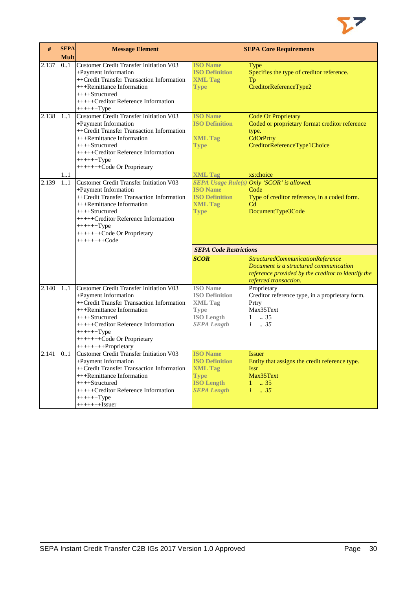

| #     | <b>SEPA</b><br><b>Mult</b> | <b>Message Element</b>                                                                                                                                                                                                                                                     |                                                                                                                      | <b>SEPA Core Requirements</b>                                                                                                              |
|-------|----------------------------|----------------------------------------------------------------------------------------------------------------------------------------------------------------------------------------------------------------------------------------------------------------------------|----------------------------------------------------------------------------------------------------------------------|--------------------------------------------------------------------------------------------------------------------------------------------|
| 2.137 | 0.1                        | <b>Customer Credit Transfer Initiation V03</b><br>+Payment Information<br>++Credit Transfer Transaction Information<br>+++Remittance Information<br>$++++-Structured$<br>+++++Creditor Reference Information<br>$+++++Type$                                                | <b>ISO Name</b><br><b>ISO Definition</b><br><b>XML Tag</b><br><b>Type</b>                                            | Type<br>Specifies the type of creditor reference.<br>Tp<br>CreditorReferenceType2                                                          |
| 2.138 | 1.1                        | <b>Customer Credit Transfer Initiation V03</b><br>+Payment Information<br>++Credit Transfer Transaction Information<br>+++Remittance Information<br>++++Structured<br>+++++Creditor Reference Information<br>$+++++Type$<br>++++++++Code Or Proprietary                    | <b>ISO Name</b><br><b>ISO Definition</b><br><b>XML Tag</b><br><b>Type</b>                                            | <b>Code Or Proprietary</b><br>Coded or proprietary format creditor reference<br>type.<br>CdOrPrtry<br>CreditorReferenceType1Choice         |
| 2.139 | 11<br>11                   | <b>Customer Credit Transfer Initiation V03</b><br>+Payment Information<br>++Credit Transfer Transaction Information<br>+++Remittance Information<br>$++++-Structured$<br>+++++Creditor Reference Information<br>$+++++Type$<br>++++++++Code Or Proprietary<br>$++++++Code$ | <b>XML Tag</b><br><b>ISO Name</b><br><b>ISO Definition</b><br><b>XML Tag</b><br><b>Type</b>                          | xs:choice<br>SEPA Usage Rule(s) Only 'SCOR' is allowed.<br>Code<br>Type of creditor reference, in a coded form.<br>Cd<br>DocumentType3Code |
|       |                            |                                                                                                                                                                                                                                                                            | <b>SEPA Code Restrictions</b><br><b>SCOR</b>                                                                         | StructuredCommunicationReference<br>Document is a structured communication<br>reference provided by the creditor to identify the           |
| 2.140 | 11                         | Customer Credit Transfer Initiation V03<br>+Payment Information<br>++Credit Transfer Transaction Information<br>+++Remittance Information<br>++++Structured<br>+++++Creditor Reference Information<br>$+++++Type$<br>++++++++Code Or Proprietary<br>+++++++++Proprietary   | <b>ISO</b> Name<br><b>ISO Definition</b><br><b>XML Tag</b><br><b>Type</b><br><b>ISO Length</b><br><b>SEPA Length</b> | referred transaction.<br>Proprietary<br>Creditor reference type, in a proprietary form.<br>Prtry<br>Max35Text<br>$1 \t . 35$<br>$1-.35$    |
| 2.141 | 0.1                        | Customer Credit Transfer Initiation V03<br>+Payment Information<br>++Credit Transfer Transaction Information<br>+++Remittance Information<br>++++Structured<br>+++++Creditor Reference Information<br>$+++++Type$<br>$+++++$ - $Issuer$                                    | <b>ISO</b> Name<br><b>ISO Definition</b><br><b>XML Tag</b><br><b>Type</b><br><b>ISO Length</b><br><b>SEPA Length</b> | <b>Issuer</b><br>Entity that assigns the credit reference type.<br><b>Issr</b><br>Max35Text<br>$1 \t . 35$<br>$1 \t35$                     |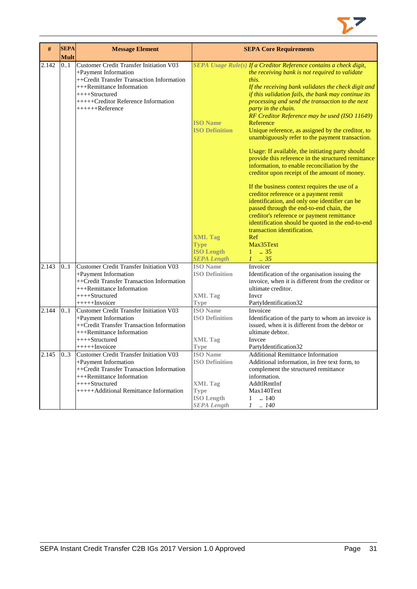

| #     | <b>SEPA</b> | <b>Message Element</b>                                                                                                                                                                                                                |                                                                                                                      | <b>SEPA Core Requirements</b>                                                                                                                                                                                                                                                                                                                                                                                                                                                                                                                                                                                                                                                                           |
|-------|-------------|---------------------------------------------------------------------------------------------------------------------------------------------------------------------------------------------------------------------------------------|----------------------------------------------------------------------------------------------------------------------|---------------------------------------------------------------------------------------------------------------------------------------------------------------------------------------------------------------------------------------------------------------------------------------------------------------------------------------------------------------------------------------------------------------------------------------------------------------------------------------------------------------------------------------------------------------------------------------------------------------------------------------------------------------------------------------------------------|
|       | <b>Mult</b> |                                                                                                                                                                                                                                       |                                                                                                                      |                                                                                                                                                                                                                                                                                                                                                                                                                                                                                                                                                                                                                                                                                                         |
| 2.142 | 0.1         | <b>Customer Credit Transfer Initiation V03</b><br>+Payment Information<br>++Credit Transfer Transaction Information<br>$+++$ Remittance Information<br>$++++$ Structured<br>$+++++Creditor$ Reference Information<br>$+++++Reference$ | <b>ISO Name</b><br><b>ISO Definition</b>                                                                             | SEPA Usage Rule(s) If a Creditor Reference contains a check digit,<br>the receiving bank is not required to validate<br>this.<br>If the receiving bank validates the check digit and<br>if this validation fails, the bank may continue its<br>processing and send the transaction to the next<br>party in the chain.<br>RF Creditor Reference may be used (ISO 11649)<br>Reference<br>Unique reference, as assigned by the creditor, to<br>unambiguously refer to the payment transaction.<br>Usage: If available, the initiating party should<br>provide this reference in the structured remittance<br>information, to enable reconciliation by the<br>creditor upon receipt of the amount of money. |
|       |             |                                                                                                                                                                                                                                       | <b>XML Tag</b><br><b>Type</b><br><b>ISO Length</b><br><b>SEPA Length</b>                                             | If the business context requires the use of a<br>creditor reference or a payment remit<br>identification, and only one identifier can be<br>passed through the end-to-end chain, the<br>creditor's reference or payment remittance<br>identification should be quoted in the end-to-end<br>transaction identification.<br>Ref<br>Max35Text<br>$1 \t . 35$<br>$1-.35$                                                                                                                                                                                                                                                                                                                                    |
| 2.143 | 0.1         | <b>Customer Credit Transfer Initiation V03</b><br>+Payment Information<br>++Credit Transfer Transaction Information<br>+++Remittance Information<br>$+++Structured$<br>$+++++Invoicer$                                                | <b>ISO</b> Name<br><b>ISO Definition</b><br><b>XML Tag</b><br><b>Type</b>                                            | Invoicer<br>Identification of the organisation issuing the<br>invoice, when it is different from the creditor or<br>ultimate creditor.<br>Inver<br>PartyIdentification32                                                                                                                                                                                                                                                                                                                                                                                                                                                                                                                                |
| 2.144 | 0.1         | Customer Credit Transfer Initiation V03<br>+Payment Information<br>++Credit Transfer Transaction Information<br>+++Remittance Information<br>$++++-Structured$<br>$+++++Invoicee$                                                     | <b>ISO</b> Name<br><b>ISO Definition</b><br><b>XML Tag</b><br><b>Type</b>                                            | Invoicee<br>Identification of the party to whom an invoice is<br>issued, when it is different from the debtor or<br>ultimate debtor.<br>Invcee<br>PartyIdentification32                                                                                                                                                                                                                                                                                                                                                                                                                                                                                                                                 |
| 2.145 | 03          | Customer Credit Transfer Initiation V03<br>+Payment Information<br>++Credit Transfer Transaction Information<br>+++Remittance Information<br>++++Structured<br>+++++Additional Remittance Information                                 | <b>ISO</b> Name<br><b>ISO Definition</b><br><b>XML Tag</b><br><b>Type</b><br><b>ISO Length</b><br><b>SEPA</b> Length | <b>Additional Remittance Information</b><br>Additional information, in free text form, to<br>complement the structured remittance<br>information.<br>AddtlRmtInf<br>Max140Text<br>$1 \quad .140$<br>$1-.140$                                                                                                                                                                                                                                                                                                                                                                                                                                                                                            |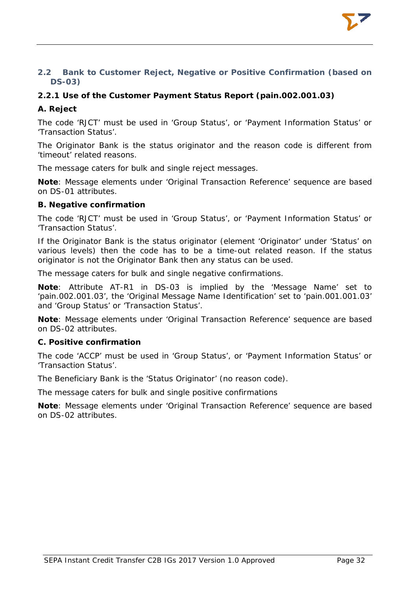# <span id="page-32-0"></span>**2.2 Bank to Customer Reject, Negative or Positive Confirmation (based on DS-03)**

# <span id="page-32-1"></span>**2.2.1 Use of the Customer Payment Status Report (pain.002.001.03)**

# **A. Reject**

The code 'RJCT' must be used in 'Group Status', or 'Payment Information Status' or 'Transaction Status'.

The Originator Bank is the status originator and the reason code is different from 'timeout' related reasons.

The message caters for bulk and single reject messages.

**Note**: Message elements under 'Original Transaction Reference' sequence are based on DS-01 attributes.

# **B. Negative confirmation**

The code 'RJCT' must be used in 'Group Status', or 'Payment Information Status' or 'Transaction Status'.

If the Originator Bank is the status originator (element 'Originator' under 'Status' on various levels) then the code has to be a time-out related reason. If the status originator is not the Originator Bank then any status can be used.

The message caters for bulk and single negative confirmations.

**Note**: Attribute AT-R1 in DS-03 is implied by the 'Message Name' set to 'pain.002.001.03', the 'Original Message Name Identification' set to 'pain.001.001.03' and 'Group Status' or 'Transaction Status'.

**Note**: Message elements under 'Original Transaction Reference' sequence are based on DS-02 attributes.

#### **C. Positive confirmation**

The code 'ACCP' must be used in 'Group Status', or 'Payment Information Status' or 'Transaction Status'.

The Beneficiary Bank is the 'Status Originator' (no reason code).

The message caters for bulk and single positive confirmations

**Note**: Message elements under 'Original Transaction Reference' sequence are based on DS-02 attributes.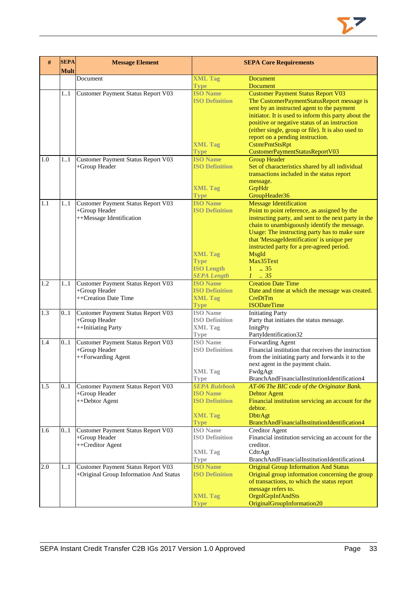

| #   | <b>SEPA</b><br><b>Mult</b> | <b>Message Element</b>                                                          |                                                                                                                      | <b>SEPA Core Requirements</b>                                                                                                                                                                                                                                                                                                                                                                |
|-----|----------------------------|---------------------------------------------------------------------------------|----------------------------------------------------------------------------------------------------------------------|----------------------------------------------------------------------------------------------------------------------------------------------------------------------------------------------------------------------------------------------------------------------------------------------------------------------------------------------------------------------------------------------|
|     |                            | Document                                                                        | <b>XML Tag</b><br><b>Type</b>                                                                                        | <b>Document</b><br><b>Document</b>                                                                                                                                                                                                                                                                                                                                                           |
|     | 1.1                        | Customer Payment Status Report V03                                              | <b>ISO Name</b><br><b>ISO Definition</b><br><b>XML Tag</b><br><b>Type</b>                                            | <b>Customer Payment Status Report V03</b><br>The CustomerPaymentStatusReport message is<br>sent by an instructed agent to the payment<br>initiator. It is used to inform this party about the<br>positive or negative status of an instruction<br>(either single, group or file). It is also used to<br>report on a pending instruction.<br>CstmrPmtStsRpt<br>CustomerPaymentStatusReportV03 |
| 1.0 | 1.1                        | Customer Payment Status Report V03<br>+Group Header                             | <b>ISO</b> Name<br><b>ISO Definition</b><br><b>XML Tag</b><br><b>Type</b>                                            | <b>Group Header</b><br>Set of characteristics shared by all individual<br>transactions included in the status report<br>message.<br>GrpHdr<br>GroupHeader36                                                                                                                                                                                                                                  |
| 1.1 | 1.1                        | Customer Payment Status Report V03<br>+Group Header<br>++Message Identification | <b>ISO Name</b><br><b>ISO Definition</b><br><b>XML Tag</b><br><b>Type</b><br><b>ISO Length</b><br><b>SEPA Length</b> | <b>Message Identification</b><br>Point to point reference, as assigned by the<br>instructing party, and sent to the next party in the<br>chain to unambiguously identify the message.<br>Usage: The instructing party has to make sure<br>that 'MessageIdentification' is unique per<br>instructed party for a pre-agreed period.<br>MsgId<br>Max35Text<br>$1 \t . 35$<br>$1 \t35$           |
| 1.2 | 1.1                        | Customer Payment Status Report V03<br>+Group Header<br>++Creation Date Time     | <b>ISO Name</b><br><b>ISO Definition</b><br><b>XML Tag</b><br><b>Type</b>                                            | <b>Creation Date Time</b><br>Date and time at which the message was created.<br>CreDtTm<br><b>ISODateTime</b>                                                                                                                                                                                                                                                                                |
| 1.3 | 0.1                        | Customer Payment Status Report V03<br>+Group Header<br>++Initiating Party       | <b>ISO</b> Name<br><b>ISO Definition</b><br><b>XML Tag</b><br><b>Type</b>                                            | <b>Initiating Party</b><br>Party that initiates the status message.<br>InitgPty<br>PartyIdentification32                                                                                                                                                                                                                                                                                     |
| 1.4 | 0.1                        | Customer Payment Status Report V03<br>+Group Header<br>++Forwarding Agent       | <b>ISO</b> Name<br><b>ISO Definition</b><br>XML Tag<br><b>Type</b>                                                   | Forwarding Agent<br>Financial institution that receives the instruction<br>from the initiating party and forwards it to the<br>next agent in the payment chain.<br>FwdgAgt<br>BranchAndFinancialInstitutionIdentification4                                                                                                                                                                   |
| 1.5 | 0.1                        | Customer Payment Status Report V03<br>+Group Header<br>++Debtor Agent           | <b>SEPA Rulebook</b><br><b>ISO</b> Name<br><b>ISO Definition</b><br><b>XML Tag</b><br><b>Type</b>                    | AT-06 The BIC code of the Originator Bank.<br><b>Debtor Agent</b><br>Financial institution servicing an account for the<br>debtor.<br><b>DbtrAgt</b><br>BranchAndFinancialInstitutionIdentification4                                                                                                                                                                                         |
| 1.6 | 0.1                        | Customer Payment Status Report V03<br>+Group Header<br>++Creditor Agent         | <b>ISO</b> Name<br><b>ISO Definition</b><br><b>XML Tag</b><br><b>Type</b>                                            | <b>Creditor Agent</b><br>Financial institution servicing an account for the<br>creditor.<br>CdtrAgt<br>BranchAndFinancialInstitutionIdentification4                                                                                                                                                                                                                                          |
| 2.0 | 1.1                        | Customer Payment Status Report V03<br>+Original Group Information And Status    | <b>ISO Name</b><br><b>ISO Definition</b><br><b>XML Tag</b><br>Type                                                   | <b>Original Group Information And Status</b><br>Original group information concerning the group<br>of transactions, to which the status report<br>message refers to.<br>OrgnlGrpInfAndSts<br>OriginalGroupInformation20                                                                                                                                                                      |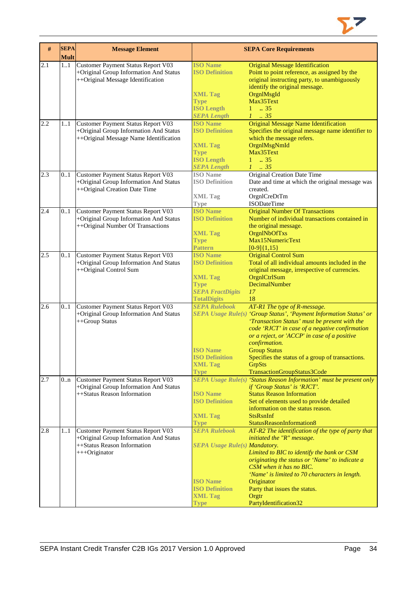

| #   | <b>SEPA</b><br><b>Mult</b> | <b>Message Element</b>                                                                                            |                                                              | <b>SEPA Core Requirements</b>                                                                                                                                                                                                          |
|-----|----------------------------|-------------------------------------------------------------------------------------------------------------------|--------------------------------------------------------------|----------------------------------------------------------------------------------------------------------------------------------------------------------------------------------------------------------------------------------------|
| 2.1 | 11                         | Customer Payment Status Report V03<br>+Original Group Information And Status<br>++Original Message Identification | <b>ISO</b> Name<br><b>ISO Definition</b>                     | <b>Original Message Identification</b><br>Point to point reference, as assigned by the<br>original instructing party, to unambiguously<br>identify the original message.                                                               |
|     |                            |                                                                                                                   | <b>XML Tag</b><br><b>Type</b><br><b>ISO Length</b>           | OrgnlMsgId<br>Max35Text<br>$1 \t . 35$                                                                                                                                                                                                 |
| 2.2 | 11                         | Customer Payment Status Report V03                                                                                | <b>SEPA Length</b><br><b>ISO Name</b>                        | $1-.35$<br><b>Original Message Name Identification</b>                                                                                                                                                                                 |
|     |                            | +Original Group Information And Status<br>++Original Message Name Identification                                  | <b>ISO Definition</b><br><b>XML Tag</b><br><b>Type</b>       | Specifies the original message name identifier to<br>which the message refers.<br>OrgnlMsgNmId<br>Max35Text                                                                                                                            |
|     |                            |                                                                                                                   | <b>ISO Length</b><br><b>SEPA Length</b>                      | $1 \t . 35$<br>$1-.35$                                                                                                                                                                                                                 |
| 2.3 | 0.1                        | Customer Payment Status Report V03<br>+Original Group Information And Status<br>++Original Creation Date Time     | <b>ISO</b> Name<br><b>ISO Definition</b><br><b>XML Tag</b>   | Original Creation Date Time<br>Date and time at which the original message was<br>created.<br>OrgnlCreDtTm                                                                                                                             |
|     |                            |                                                                                                                   | Type                                                         | <b>ISODateTime</b>                                                                                                                                                                                                                     |
| 2.4 | 0.1                        | Customer Payment Status Report V03<br>+Original Group Information And Status<br>++Original Number Of Transactions | <b>ISO Name</b><br><b>ISO Definition</b>                     | <b>Original Number Of Transactions</b><br>Number of individual transactions contained in<br>the original message.                                                                                                                      |
|     |                            |                                                                                                                   | <b>XML Tag</b><br><b>Type</b><br><b>Pattern</b>              | OrgnlNbOfTxs<br>Max15NumericText<br>$[0-9]{1,15}$                                                                                                                                                                                      |
| 2.5 | 0.1                        | Customer Payment Status Report V03<br>+Original Group Information And Status                                      | <b>ISO Name</b><br><b>ISO Definition</b>                     | <b>Original Control Sum</b><br>Total of all individual amounts included in the                                                                                                                                                         |
|     |                            | ++Original Control Sum                                                                                            | <b>XML Tag</b><br><b>Type</b>                                | original message, irrespective of currencies.<br>OrgnlCtrlSum<br>DecimalNumber                                                                                                                                                         |
|     |                            |                                                                                                                   | <b>SEPA FractDigits</b><br><b>TotalDigits</b>                | 17<br>18                                                                                                                                                                                                                               |
| 2.6 | 0.1                        | Customer Payment Status Report V03                                                                                | <b>SEPA Rulebook</b>                                         | AT-R1 The type of R-message.                                                                                                                                                                                                           |
|     |                            | +Original Group Information And Status<br>++Group Status                                                          |                                                              | SEPA Usage Rule(s) 'Group Status', 'Payment Information Status' or<br>'Transaction Status' must be present with the<br>code 'RJCT' in case of a negative confirmation<br>or a reject, or 'ACCP' in case of a positive<br>confirmation. |
|     |                            |                                                                                                                   | <b>ISO Name</b><br><b>ISO Definition</b>                     | <b>Group Status</b><br>Specifies the status of a group of transactions.                                                                                                                                                                |
|     |                            |                                                                                                                   | <b>XML Tag</b><br><b>Type</b>                                | GrpSts<br>TransactionGroupStatus3Code                                                                                                                                                                                                  |
| 2.7 | 0n                         | Customer Payment Status Report V03<br>+Original Group Information And Status<br>++Status Reason Information       | <b>ISO</b> Name                                              | <b>SEPA Usage Rule(s) 'Status Reason Information' must be present only</b><br>if 'Group Status' is 'RJCT'.<br><b>Status Reason Information</b>                                                                                         |
|     |                            |                                                                                                                   | <b>ISO Definition</b>                                        | Set of elements used to provide detailed<br>information on the status reason.                                                                                                                                                          |
|     |                            |                                                                                                                   | <b>XML Tag</b><br><b>Type</b>                                | <b>StsRsnInf</b><br>StatusReasonInformation8                                                                                                                                                                                           |
| 2.8 | 11                         | Customer Payment Status Report V03<br>+Original Group Information And Status<br>++Status Reason Information       | <b>SEPA Rulebook</b><br><b>SEPA Usage Rule(s) Mandatory.</b> | AT-R2 The identification of the type of party that<br>initiated the "R" message.                                                                                                                                                       |
|     |                            | +++Originator                                                                                                     |                                                              | Limited to BIC to identify the bank or CSM<br>originating the status or 'Name' to indicate a                                                                                                                                           |
|     |                            |                                                                                                                   | <b>ISO Name</b>                                              | CSM when it has no BIC.<br>'Name' is limited to 70 characters in length.<br>Originator                                                                                                                                                 |
|     |                            |                                                                                                                   | <b>ISO Definition</b><br><b>XML Tag</b>                      | Party that issues the status.<br>Orgtr                                                                                                                                                                                                 |
|     |                            |                                                                                                                   | <b>Type</b>                                                  | PartyIdentification32                                                                                                                                                                                                                  |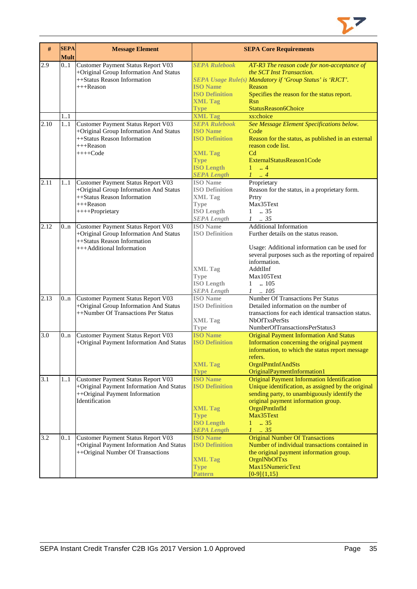

| $\#$             | <b>SEPA</b><br><b>Mult</b> | <b>Message Element</b>                                                                                                                         |                                                                                                                                              | <b>SEPA Core Requirements</b>                                                                                                                                                                                                                               |
|------------------|----------------------------|------------------------------------------------------------------------------------------------------------------------------------------------|----------------------------------------------------------------------------------------------------------------------------------------------|-------------------------------------------------------------------------------------------------------------------------------------------------------------------------------------------------------------------------------------------------------------|
| 2.9              | 0.1                        | Customer Payment Status Report V03<br>+Original Group Information And Status<br>++Status Reason Information<br>+++Reason                       | <b>SEPA Rulebook</b><br><b>ISO Name</b><br><b>ISO Definition</b><br><b>XML Tag</b><br>Type                                                   | AT-R3 The reason code for non-acceptance of<br>the SCT Inst Transaction.<br>SEPA Usage Rule(s) Mandatory if 'Group Status' is 'RJCT'.<br>Reason<br>Specifies the reason for the status report.<br><b>Rsn</b><br>StatusReason6Choice                         |
|                  | 1.1                        |                                                                                                                                                | <b>XML Tag</b>                                                                                                                               | xs:choice                                                                                                                                                                                                                                                   |
| 2.10             | 11                         | Customer Payment Status Report V03<br>+Original Group Information And Status<br>++Status Reason Information<br>+++Reason<br>$+++Code$          | <b>SEPA Rulebook</b><br><b>ISO Name</b><br><b>ISO Definition</b><br><b>XML Tag</b><br><b>Type</b><br><b>ISO Length</b><br><b>SEPA Length</b> | See Message Element Specifications below.<br>Code<br>Reason for the status, as published in an external<br>reason code list.<br>C <sub>d</sub><br>ExternalStatusReason1Code<br>$1 \t  4$<br>$1 \ldots 4$                                                    |
| 2.11             | 11                         | Customer Payment Status Report V03<br>+Original Group Information And Status<br>++Status Reason Information<br>$+++$ Reason<br>++++Proprietary | <b>ISO</b> Name<br><b>ISO Definition</b><br><b>XML Tag</b><br><b>Type</b><br><b>ISO</b> Length<br><b>SEPA Length</b>                         | Proprietary<br>Reason for the status, in a proprietary form.<br>Prtry<br>Max35Text<br>$1 \t . 35$<br>$1 \t . 35$                                                                                                                                            |
| 2.12             | 0n                         | Customer Payment Status Report V03<br>+Original Group Information And Status<br>++Status Reason Information<br>+++Additional Information       | <b>ISO</b> Name<br><b>ISO Definition</b><br><b>XML Tag</b><br><b>Type</b><br><b>ISO Length</b><br><b>SEPA Length</b>                         | <b>Additional Information</b><br>Further details on the status reason.<br>Usage: Additional information can be used for<br>several purposes such as the reporting of repaired<br>information.<br>AddtlInf<br>Max105Text<br>$1 \quad .105$<br>$1 \quad .105$ |
| 2.13             | 0.n                        | Customer Payment Status Report V03<br>+Original Group Information And Status<br>++Number Of Transactions Per Status                            | <b>ISO</b> Name<br><b>ISO Definition</b><br><b>XML Tag</b><br><b>Type</b>                                                                    | Number Of Transactions Per Status<br>Detailed information on the number of<br>transactions for each identical transaction status.<br><b>NbOfTxsPerSts</b><br>NumberOfTransactionsPerStatus3                                                                 |
| 3.0              | 0.n                        | Customer Payment Status Report V03<br>+Original Payment Information And Status                                                                 | <b>ISO Name</b><br><b>ISO Definition</b><br><b>XML Tag</b><br><b>Type</b>                                                                    | <b>Original Payment Information And Status</b><br>Information concerning the original payment<br>information, to which the status report message<br>refers.<br>OrgnlPmtInfAndSts<br>OriginalPaymentInformation1                                             |
| $\overline{3.1}$ | 11                         | Customer Payment Status Report V03<br>+Original Payment Information And Status<br>++Original Payment Information<br>Identification             | <b>ISO Name</b><br><b>ISO Definition</b><br><b>XML Tag</b><br><b>Type</b><br><b>ISO Length</b><br><b>SEPA Length</b>                         | <b>Original Payment Information Identification</b><br>Unique identification, as assigned by the original<br>sending party, to unambiguously identify the<br>original payment information group.<br>OrgnlPmtInfId<br>Max35Text<br>1<br>.35<br>$1 \t35$       |
| 3.2              | 0.1                        | Customer Payment Status Report V03<br>+Original Payment Information And Status<br>++Original Number Of Transactions                            | <b>ISO Name</b><br><b>ISO Definition</b><br><b>XML Tag</b><br><b>Type</b><br>Pattern                                                         | <b>Original Number Of Transactions</b><br>Number of individual transactions contained in<br>the original payment information group.<br>OrgnlNbOfTxs<br>Max15NumericText<br>$[0-9]{1,15}$                                                                    |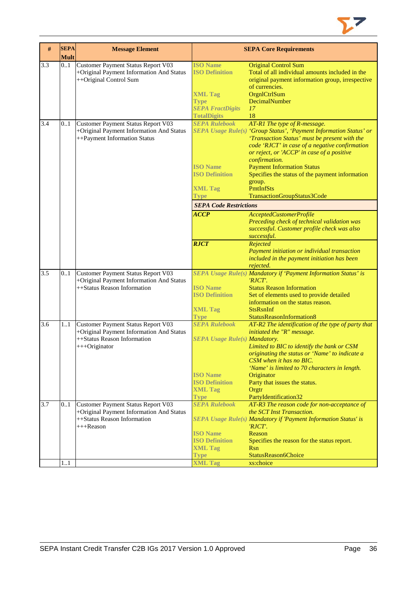

| #                | <b>SEPA</b><br><b>Mult</b> | <b>Message Element</b>                                                                                                         |                                                                                                                                                   | <b>SEPA Core Requirements</b>                                                                                                                                                                                                                                                                                                                                                                                                                        |
|------------------|----------------------------|--------------------------------------------------------------------------------------------------------------------------------|---------------------------------------------------------------------------------------------------------------------------------------------------|------------------------------------------------------------------------------------------------------------------------------------------------------------------------------------------------------------------------------------------------------------------------------------------------------------------------------------------------------------------------------------------------------------------------------------------------------|
| 3.3              | 0.1                        | Customer Payment Status Report V03<br>+Original Payment Information And Status<br>++Original Control Sum                       | <b>ISO Name</b><br><b>ISO Definition</b><br><b>XML Tag</b><br><b>Type</b><br><b>SEPA FractDigits</b><br><b>TotalDigits</b>                        | <b>Original Control Sum</b><br>Total of all individual amounts included in the<br>original payment information group, irrespective<br>of currencies.<br>OrgnlCtrlSum<br>DecimalNumber<br>17<br>18                                                                                                                                                                                                                                                    |
| 3.4              | 0.1                        | Customer Payment Status Report V03<br>+Original Payment Information And Status<br>++Payment Information Status                 | <b>SEPA Rulebook</b><br><b>ISO Name</b><br><b>ISO Definition</b><br><b>XML Tag</b><br><b>Type</b><br><b>SEPA Code Restrictions</b><br><b>ACCP</b> | AT-R1 The type of R-message.<br>SEPA Usage Rule(s) 'Group Status', 'Payment Information Status' or<br>'Transaction Status' must be present with the<br>code 'RJCT' in case of a negative confirmation<br>or reject, or 'ACCP' in case of a positive<br>confirmation.<br><b>Payment Information Status</b><br>Specifies the status of the payment information<br>group.<br><b>PmtInfSts</b><br>TransactionGroupStatus3Code<br>AcceptedCustomerProfile |
| 3.5              | 0.1                        | Customer Payment Status Report V03                                                                                             | <b>RJCT</b>                                                                                                                                       | Preceding check of technical validation was<br>successful. Customer profile check was also<br>successful.<br>Rejected<br>Payment initiation or individual transaction<br>included in the payment initiation has been<br>rejected.<br>SEPA Usage Rule(s) Mandatory if 'Payment Information Status' is                                                                                                                                                 |
|                  |                            | +Original Payment Information And Status<br>++Status Reason Information                                                        | <b>ISO</b> Name<br><b>ISO Definition</b><br><b>XML Tag</b><br><b>Type</b>                                                                         | $'RICT'$ .<br><b>Status Reason Information</b><br>Set of elements used to provide detailed<br>information on the status reason.<br><b>StsRsnInf</b><br>StatusReasonInformation8                                                                                                                                                                                                                                                                      |
| $\overline{3.6}$ | 11                         | Customer Payment Status Report V03<br>+Original Payment Information And Status<br>++Status Reason Information<br>+++Originator | <b>SEPA Rulebook</b><br><b>SEPA Usage Rule(s) Mandatory.</b><br><b>ISO Name</b><br><b>ISO Definition</b><br><b>XML Tag</b><br><b>Type</b>         | AT-R2 The identification of the type of party that<br>initiated the "R" message.<br>Limited to BIC to identify the bank or CSM<br>originating the status or 'Name' to indicate a<br>CSM when it has no BIC.<br>'Name' is limited to 70 characters in length.<br>Originator<br>Party that issues the status.<br>Orgtr<br>PartyIdentification32                                                                                                        |
| 3.7              | 01                         | Customer Payment Status Report V03<br>+Original Payment Information And Status<br>++Status Reason Information<br>$+++$ Reason  | <b>SEPA Rulebook</b><br><b>ISO Name</b><br><b>ISO Definition</b><br><b>XML Tag</b><br><b>Type</b>                                                 | AT-R3 The reason code for non-acceptance of<br>the SCT Inst Transaction.<br>SEPA Usage Rule(s) Mandatory if 'Payment Information Status' is<br>'RJCT'.<br>Reason<br>Specifies the reason for the status report.<br><b>Rsn</b><br>StatusReason6Choice                                                                                                                                                                                                 |
|                  | 11                         |                                                                                                                                | <b>XML Tag</b>                                                                                                                                    | xs:choice                                                                                                                                                                                                                                                                                                                                                                                                                                            |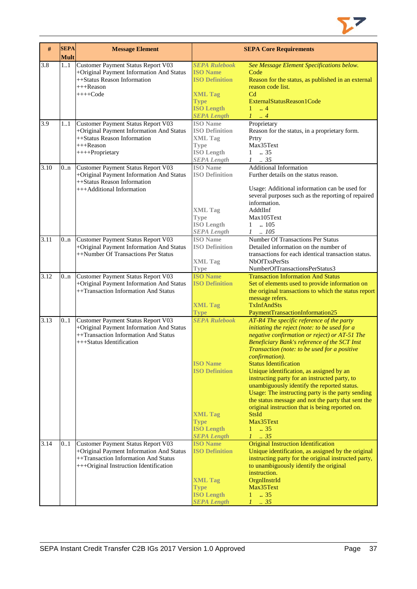

| #    | <b>SEPA</b><br><b>Mult</b> | <b>Message Element</b>                                                           |                                          | <b>SEPA Core Requirements</b>                          |
|------|----------------------------|----------------------------------------------------------------------------------|------------------------------------------|--------------------------------------------------------|
| 3.8  | 1.1                        | Customer Payment Status Report V03                                               | <b>SEPA Rulebook</b>                     | See Message Element Specifications below.              |
|      |                            | +Original Payment Information And Status                                         | <b>ISO Name</b>                          | Code                                                   |
|      |                            | ++Status Reason Information                                                      | <b>ISO Definition</b>                    | Reason for the status, as published in an external     |
|      |                            | $+++$ Reason                                                                     |                                          | reason code list.                                      |
|      |                            | $+++Code$                                                                        | <b>XML Tag</b>                           | C <sub>d</sub>                                         |
|      |                            |                                                                                  |                                          | ExternalStatusReason1Code                              |
|      |                            |                                                                                  | <b>Type</b><br><b>ISO Length</b>         | $1 -$<br>$\therefore$ 4                                |
|      |                            |                                                                                  | <b>SEPA Length</b>                       | $1 \dots 4$                                            |
| 3.9  |                            |                                                                                  | <b>ISO</b> Name                          | Proprietary                                            |
|      | 11                         | Customer Payment Status Report V03                                               | <b>ISO Definition</b>                    |                                                        |
|      |                            | +Original Payment Information And Status                                         |                                          | Reason for the status, in a proprietary form.          |
|      |                            | ++Status Reason Information<br>$+++$ Reason                                      | <b>XML Tag</b>                           | Prtry<br>Max35Text                                     |
|      |                            |                                                                                  | <b>Type</b>                              |                                                        |
|      |                            | ++++Proprietary                                                                  | <b>ISO Length</b>                        | $1 \t . 35$                                            |
|      |                            |                                                                                  | <b>SEPA</b> Length                       | $1 \t . 35$                                            |
| 3.10 | 0 <sub>nn</sub>            | Customer Payment Status Report V03                                               | <b>ISO</b> Name                          | <b>Additional Information</b>                          |
|      |                            | +Original Payment Information And Status                                         | <b>ISO Definition</b>                    | Further details on the status reason.                  |
|      |                            | ++Status Reason Information                                                      |                                          |                                                        |
|      |                            | +++Additional Information                                                        |                                          | Usage: Additional information can be used for          |
|      |                            |                                                                                  |                                          | several purposes such as the reporting of repaired     |
|      |                            |                                                                                  |                                          | information.                                           |
|      |                            |                                                                                  | <b>XML Tag</b>                           | AddtlInf                                               |
|      |                            |                                                                                  | <b>Type</b>                              | Max105Text                                             |
|      |                            |                                                                                  | <b>ISO Length</b>                        | $1 \quad .105$                                         |
|      |                            |                                                                                  | <b>SEPA</b> Length                       | $1 \quad .105$                                         |
| 3.11 | 0 <sub>nn</sub>            | Customer Payment Status Report V03                                               | <b>ISO</b> Name                          | Number Of Transactions Per Status                      |
|      |                            | +Original Payment Information And Status                                         | <b>ISO Definition</b>                    | Detailed information on the number of                  |
|      |                            | ++Number Of Transactions Per Status                                              |                                          | transactions for each identical transaction status.    |
|      |                            |                                                                                  | <b>XML Tag</b>                           | <b>NbOfTxsPerSts</b>                                   |
|      |                            |                                                                                  | <b>Type</b>                              | NumberOfTransactionsPerStatus3                         |
| 3.12 | 0n                         | Customer Payment Status Report V03                                               | <b>ISO Name</b>                          | <b>Transaction Information And Status</b>              |
|      |                            | +Original Payment Information And Status                                         | <b>ISO Definition</b>                    | Set of elements used to provide information on         |
|      |                            | ++Transaction Information And Status                                             |                                          | the original transactions to which the status report   |
|      |                            |                                                                                  |                                          | message refers.                                        |
|      |                            |                                                                                  | <b>XML Tag</b>                           | <b>TxInfAndSts</b>                                     |
|      |                            |                                                                                  | <b>Type</b><br><b>SEPA Rulebook</b>      | PaymentTransactionInformation25                        |
| 3.13 | 0.1                        | <b>Customer Payment Status Report V03</b>                                        |                                          | AT-R4 The specific reference of the party              |
|      |                            | +Original Payment Information And Status<br>++Transaction Information And Status |                                          | initiating the reject (note: to be used for a          |
|      |                            |                                                                                  |                                          | negative confirmation or reject) or AT-51 The          |
|      |                            | +++Status Identification                                                         |                                          | Beneficiary Bank's reference of the SCT Inst           |
|      |                            |                                                                                  |                                          | Transaction (note: to be used for a positive           |
|      |                            |                                                                                  |                                          | <i>confirmation</i> ).                                 |
|      |                            |                                                                                  | <b>ISO Name</b><br><b>ISO Definition</b> | <b>Status Identification</b>                           |
|      |                            |                                                                                  |                                          | Unique identification, as assigned by an               |
|      |                            |                                                                                  |                                          | instructing party for an instructed party, to          |
|      |                            |                                                                                  |                                          | unambiguously identify the reported status.            |
|      |                            |                                                                                  |                                          | Usage: The instructing party is the party sending      |
|      |                            |                                                                                  |                                          | the status message and not the party that sent the     |
|      |                            |                                                                                  |                                          | original instruction that is being reported on.        |
|      |                            |                                                                                  | <b>XML Tag</b>                           | <b>StsId</b>                                           |
|      |                            |                                                                                  | <b>Type</b>                              | Max35Text                                              |
|      |                            |                                                                                  | <b>ISO Length</b>                        | $1 - .35$<br>$1-.35$                                   |
|      |                            |                                                                                  | <b>SEPA Length</b><br><b>ISO Name</b>    | <b>Original Instruction Identification</b>             |
| 3.14 | 0.1                        | Customer Payment Status Report V03                                               | <b>ISO Definition</b>                    |                                                        |
|      |                            | +Original Payment Information And Status<br>++Transaction Information And Status |                                          | Unique identification, as assigned by the original     |
|      |                            |                                                                                  |                                          | instructing party for the original instructed party,   |
|      |                            | +++Original Instruction Identification                                           |                                          | to unambiguously identify the original<br>instruction. |
|      |                            |                                                                                  |                                          |                                                        |
|      |                            |                                                                                  | <b>XML Tag</b>                           | OrgnIInstrId<br>Max35Text                              |
|      |                            |                                                                                  | <b>Type</b><br><b>ISO Length</b>         | .35<br>$\mathbf{1}$                                    |
|      |                            |                                                                                  |                                          |                                                        |
|      |                            |                                                                                  | <b>SEPA Length</b>                       | $1 \t35$                                               |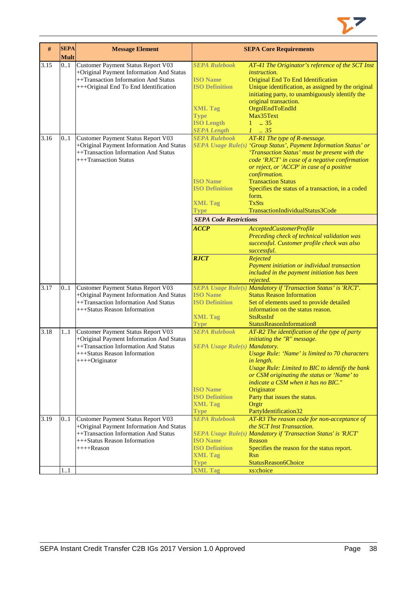

| #    | <b>SEPA</b><br><b>Mult</b> | <b>Message Element</b>                                                                                                                                                   |                                                                                                                                              | <b>SEPA Core Requirements</b>                                                                                                                                                                                                                                                                                                                                                                                                                                                                                                                              |
|------|----------------------------|--------------------------------------------------------------------------------------------------------------------------------------------------------------------------|----------------------------------------------------------------------------------------------------------------------------------------------|------------------------------------------------------------------------------------------------------------------------------------------------------------------------------------------------------------------------------------------------------------------------------------------------------------------------------------------------------------------------------------------------------------------------------------------------------------------------------------------------------------------------------------------------------------|
| 3.15 | 01                         | Customer Payment Status Report V03<br>+Original Payment Information And Status<br>++Transaction Information And Status<br>+++Original End To End Identification          | <b>SEPA Rulebook</b><br><b>ISO</b> Name<br><b>ISO Definition</b><br><b>XML Tag</b><br><b>Type</b><br><b>ISO Length</b><br><b>SEPA Length</b> | AT-41 The Originator's reference of the SCT Inst<br><i>instruction.</i><br>Original End To End Identification<br>Unique identification, as assigned by the original<br>initiating party, to unambiguously identify the<br>original transaction.<br>OrgnlEndToEndId<br>Max35Text<br>$1 \t . 35$<br>$1 \t35$                                                                                                                                                                                                                                                 |
| 3.16 | 0.1                        | Customer Payment Status Report V03<br>+Original Payment Information And Status<br>++Transaction Information And Status<br>+++Transaction Status                          | <b>SEPA Rulebook</b><br><b>ISO Name</b><br><b>ISO Definition</b><br><b>XML Tag</b><br>Type<br><b>SEPA Code Restrictions</b><br><b>ACCP</b>   | AT-R1 The type of R-message.<br>SEPA Usage Rule(s) 'Group Status', Payment Information Status' or<br>'Transaction Status' must be present with the<br>code 'RJCT' in case of a negative confirmation<br>or reject, or 'ACCP' in case of a positive<br>confirmation.<br><b>Transaction Status</b><br>Specifies the status of a transaction, in a coded<br>form.<br><b>TxSts</b><br>TransactionIndividualStatus3Code<br>AcceptedCustomerProfile<br>Preceding check of technical validation was<br>successful. Customer profile check was also<br>successful. |
|      |                            |                                                                                                                                                                          | <b>RJCT</b>                                                                                                                                  | Rejected<br>Payment initiation or individual transaction<br>included in the payment initiation has been<br>rejected.                                                                                                                                                                                                                                                                                                                                                                                                                                       |
| 3.17 | 0.1                        | <b>Customer Payment Status Report V03</b><br>+Original Payment Information And Status<br>++Transaction Information And Status<br>+++Status Reason Information            | <b>ISO Name</b><br><b>ISO Definition</b><br><b>XML Tag</b><br><b>Type</b>                                                                    | SEPA Usage Rule(s) Mandatory if 'Transaction Status' is 'RJCT'.<br><b>Status Reason Information</b><br>Set of elements used to provide detailed<br>information on the status reason.<br><b>StsRsnInf</b><br>StatusReasonInformation8                                                                                                                                                                                                                                                                                                                       |
| 3.18 | 11                         | Customer Payment Status Report V03<br>+Original Payment Information And Status<br>++Transaction Information And Status<br>+++Status Reason Information<br>++++Originator | <b>SEPA Rulebook</b><br><b>SEPA Usage Rule(s) Mandatory.</b><br><b>ISO Name</b><br><b>ISO Definition</b><br><b>XML Tag</b><br><b>Type</b>    | AT-R2 The identification of the type of party<br>initiating the "R" message.<br>Usage Rule: 'Name' is limited to 70 characters<br>in length.<br>Usage Rule: Limited to BIC to identify the bank<br>or CSM originating the status or 'Name' to<br>indicate a CSM when it has no BIC."<br>Originator<br>Party that issues the status.<br>Orgtr<br>PartyIdentification32                                                                                                                                                                                      |
| 3.19 | 01                         | Customer Payment Status Report V03<br>+Original Payment Information And Status<br>++Transaction Information And Status<br>+++Status Reason Information<br>$++++Reason$   | <b>SEPA Rulebook</b><br><b>ISO Name</b><br><b>ISO Definition</b><br><b>XML Tag</b>                                                           | AT-R3 The reason code for non-acceptance of<br>the SCT Inst Transaction.<br>SEPA Usage Rule(s) Mandatory if 'Transaction Status' is 'RJCT'<br>Reason<br>Specifies the reason for the status report.<br><b>Rsn</b>                                                                                                                                                                                                                                                                                                                                          |
|      | 11                         |                                                                                                                                                                          | <b>Type</b><br><b>XML Tag</b>                                                                                                                | StatusReason6Choice<br>xs:choice                                                                                                                                                                                                                                                                                                                                                                                                                                                                                                                           |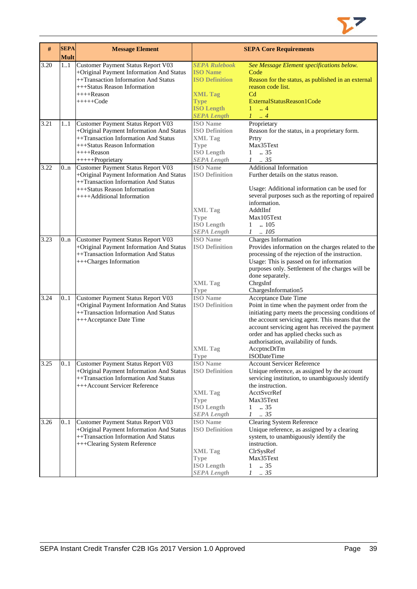

| #    | <b>SEPA</b><br><b>Mult</b> | <b>Message Element</b>                                                                                                                                                                     |                                                                                                                                              | <b>SEPA Core Requirements</b>                                                                                                                                                                                                                                                                                                                              |
|------|----------------------------|--------------------------------------------------------------------------------------------------------------------------------------------------------------------------------------------|----------------------------------------------------------------------------------------------------------------------------------------------|------------------------------------------------------------------------------------------------------------------------------------------------------------------------------------------------------------------------------------------------------------------------------------------------------------------------------------------------------------|
| 3.20 | 11                         | Customer Payment Status Report V03<br>+Original Payment Information And Status<br>++Transaction Information And Status<br>+++Status Reason Information<br>$+++$ Reason<br>$+++++Code$      | <b>SEPA Rulebook</b><br><b>ISO Name</b><br><b>ISO Definition</b><br><b>XML Tag</b><br><b>Type</b><br><b>ISO Length</b><br><b>SEPA Length</b> | See Message Element specifications below.<br>Code<br>Reason for the status, as published in an external<br>reason code list.<br>C <sub>d</sub><br>ExternalStatusReason1Code<br>$\mathbf{1}$<br>$\,$ . 4<br>$1 \ldots 4$                                                                                                                                    |
| 3.21 | 11                         | Customer Payment Status Report V03<br>+Original Payment Information And Status<br>++Transaction Information And Status<br>+++Status Reason Information<br>$+++$ Reason<br>+++++Proprietary | <b>ISO</b> Name<br><b>ISO Definition</b><br><b>XML Tag</b><br><b>Type</b><br><b>ISO Length</b><br><b>SEPA Length</b>                         | Proprietary<br>Reason for the status, in a proprietary form.<br>Prtry<br>Max35Text<br>$1 \t . 35$<br>$1 \t . 35$                                                                                                                                                                                                                                           |
| 3.22 | 0 <sub>nn</sub>            | Customer Payment Status Report V03<br>+Original Payment Information And Status<br>++Transaction Information And Status<br>+++Status Reason Information<br>++++Additional Information       | <b>ISO</b> Name<br><b>ISO Definition</b><br><b>XML Tag</b><br><b>Type</b><br><b>ISO Length</b><br><b>SEPA Length</b>                         | <b>Additional Information</b><br>Further details on the status reason.<br>Usage: Additional information can be used for<br>several purposes such as the reporting of repaired<br>information.<br>AddtlInf<br>Max105Text<br>.105<br>1<br>$1-.105$                                                                                                           |
| 3.23 | 0.n                        | Customer Payment Status Report V03<br>+Original Payment Information And Status<br>++Transaction Information And Status<br>+++Charges Information                                           | <b>ISO</b> Name<br><b>ISO Definition</b><br><b>XML Tag</b><br><b>Type</b>                                                                    | Charges Information<br>Provides information on the charges related to the<br>processing of the rejection of the instruction.<br>Usage: This is passed on for information<br>purposes only. Settlement of the charges will be<br>done separately.<br>ChrgsInf<br>ChargesInformation5                                                                        |
| 3.24 | 0.1                        | Customer Payment Status Report V03<br>+Original Payment Information And Status<br>++Transaction Information And Status<br>+++Acceptance Date Time                                          | <b>ISO</b> Name<br><b>ISO Definition</b><br><b>XML Tag</b><br>Type                                                                           | Acceptance Date Time<br>Point in time when the payment order from the<br>initiating party meets the processing conditions of<br>the account servicing agent. This means that the<br>account servicing agent has received the payment<br>order and has applied checks such as<br>authorisation, availability of funds.<br>AccptncDtTm<br><b>ISODateTime</b> |
| 3.25 | 01                         | Customer Payment Status Report V03<br>+Original Payment Information And Status<br>++Transaction Information And Status<br>+++Account Servicer Reference                                    | <b>ISO</b> Name<br><b>ISO Definition</b><br><b>XML Tag</b><br><b>Type</b><br><b>ISO Length</b><br><b>SEPA Length</b>                         | <b>Account Servicer Reference</b><br>Unique reference, as assigned by the account<br>servicing institution, to unambiguously identify<br>the instruction.<br>AcctSvcrRef<br>Max35Text<br>.35<br>1<br>$1 \t . 35$                                                                                                                                           |
| 3.26 | 01                         | Customer Payment Status Report V03<br>+Original Payment Information And Status<br>++Transaction Information And Status<br>+++Clearing System Reference                                     | <b>ISO</b> Name<br><b>ISO Definition</b><br><b>XML Tag</b><br><b>Type</b><br><b>ISO Length</b><br><b>SEPA Length</b>                         | <b>Clearing System Reference</b><br>Unique reference, as assigned by a clearing<br>system, to unambiguously identify the<br>instruction.<br>ClrSysRef<br>Max35Text<br>$\ldots$ 35<br>1<br>$1 \t . 35$                                                                                                                                                      |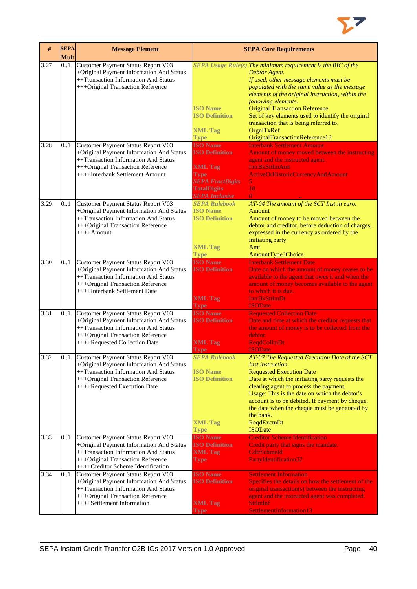

| #    | <b>SEPA</b><br><b>Mult</b> | <b>Message Element</b>                   | <b>SEPA Core Requirements</b> |                                                                |
|------|----------------------------|------------------------------------------|-------------------------------|----------------------------------------------------------------|
| 3.27 | 0.1                        | Customer Payment Status Report V03       |                               | $SEPA$ Usage Rule(s) The minimum requirement is the BIC of the |
|      |                            | +Original Payment Information And Status |                               | Debtor Agent.                                                  |
|      |                            | ++Transaction Information And Status     |                               | If used, other message elements must be                        |
|      |                            |                                          |                               |                                                                |
|      |                            | +++Original Transaction Reference        |                               | populated with the same value as the message                   |
|      |                            |                                          |                               | elements of the original instruction, within the               |
|      |                            |                                          |                               | following elements.                                            |
|      |                            |                                          | <b>ISO Name</b>               | <b>Original Transaction Reference</b>                          |
|      |                            |                                          | <b>ISO Definition</b>         | Set of key elements used to identify the original              |
|      |                            |                                          |                               | transaction that is being referred to.                         |
|      |                            |                                          | <b>XML Tag</b>                | OrgnITxRef                                                     |
|      |                            |                                          | <b>Type</b>                   | OriginalTransactionReference13                                 |
| 3.28 | 0.1                        | Customer Payment Status Report V03       | <b>ISO Name</b>               | <b>Interbank Settlement Amount</b>                             |
|      |                            | +Original Payment Information And Status | <b>ISO Definition</b>         | Amount of money moved between the instructing                  |
|      |                            | ++Transaction Information And Status     |                               | agent and the instructed agent.                                |
|      |                            | +++Original Transaction Reference        | <b>XML Tag</b>                | <b>IntrBkSttImAmt</b>                                          |
|      |                            | ++++Interbank Settlement Amount          | <b>Type</b>                   | ActiveOrHistoricCurrencyAndAmount                              |
|      |                            |                                          | <b>SEPA FractDigits</b>       | 5.                                                             |
|      |                            |                                          | <b>TotalDigits</b>            | 18                                                             |
|      |                            |                                          | <b>SEPA Inclusive</b>         | $\theta$                                                       |
| 3.29 | 0.1                        | Customer Payment Status Report V03       | <b>SEPA Rulebook</b>          | AT-04 The amount of the SCT Inst in euro.                      |
|      |                            | +Original Payment Information And Status | <b>ISO Name</b>               | Amount                                                         |
|      |                            | ++Transaction Information And Status     | <b>ISO Definition</b>         | Amount of money to be moved between the                        |
|      |                            | +++Original Transaction Reference        |                               | debtor and creditor, before deduction of charges,              |
|      |                            | $+++Amount$                              |                               | expressed in the currency as ordered by the                    |
|      |                            |                                          |                               | initiating party.                                              |
|      |                            |                                          | <b>XML Tag</b>                | Amt                                                            |
|      |                            |                                          | <b>Type</b>                   | AmountType3Choice                                              |
| 3.30 | 0.1                        | Customer Payment Status Report V03       | <b>ISO Name</b>               | <b>Interbank Settlement Date</b>                               |
|      |                            | +Original Payment Information And Status | <b>ISO Definition</b>         | Date on which the amount of money ceases to be                 |
|      |                            | ++Transaction Information And Status     |                               | available to the agent that owes it and when the               |
|      |                            | +++Original Transaction Reference        |                               | amount of money becomes available to the agent                 |
|      |                            | ++++Interbank Settlement Date            |                               | to which it is due.                                            |
|      |                            |                                          | <b>XML Tag</b>                | <b>IntrBkSttImDt</b>                                           |
|      |                            |                                          | Type                          | <b>ISODate</b>                                                 |
| 3.31 | 0.1                        | Customer Payment Status Report V03       | <b>ISO Name</b>               | <b>Requested Collection Date</b>                               |
|      |                            | +Original Payment Information And Status | <b>ISO Definition</b>         | Date and time at which the creditor requests that              |
|      |                            | ++Transaction Information And Status     |                               | the amount of money is to be collected from the                |
|      |                            | +++Original Transaction Reference        |                               | debtor.                                                        |
|      |                            | ++++Requested Collection Date            | <b>XML Tag</b>                | <b>ReqdColltnDt</b>                                            |
|      |                            |                                          | Type                          | <b>ISODate</b>                                                 |
| 3.32 | 01                         | Customer Payment Status Report V03       | <b>SEPA Rulebook</b>          | AT-07 The Requested Execution Date of the SCT                  |
|      |                            | +Original Payment Information And Status |                               | Inst instruction.                                              |
|      |                            | ++Transaction Information And Status     | <b>ISO Name</b>               | <b>Requested Execution Date</b>                                |
|      |                            | +++Original Transaction Reference        | <b>ISO Definition</b>         | Date at which the initiating party requests the                |
|      |                            | ++++Requested Execution Date             |                               | clearing agent to process the payment.                         |
|      |                            |                                          |                               | Usage: This is the date on which the debtor's                  |
|      |                            |                                          |                               | account is to be debited. If payment by cheque,                |
|      |                            |                                          |                               | the date when the cheque must be generated by                  |
|      |                            |                                          |                               | the bank.                                                      |
|      |                            |                                          | <b>XML Tag</b>                | ReqdExctnDt                                                    |
|      |                            |                                          | <b>Type</b>                   | <b>ISODate</b>                                                 |
| 3.33 | 0.1                        | Customer Payment Status Report V03       | <b>ISO Name</b>               | <b>Creditor Scheme Identification</b>                          |
|      |                            | +Original Payment Information And Status | <b>ISO Definition</b>         | Credit party that signs the mandate.                           |
|      |                            | ++Transaction Information And Status     | <b>XML Tag</b>                | <b>CdtrSchmeId</b>                                             |
|      |                            | +++Original Transaction Reference        | Type                          | PartyIdentification32                                          |
|      |                            | ++++Creditor Scheme Identification       |                               |                                                                |
| 3.34 | 0.1                        | Customer Payment Status Report V03       | <b>ISO Name</b>               | <b>Settlement Information</b>                                  |
|      |                            | +Original Payment Information And Status | <b>ISO Definition</b>         | Specifies the details on how the settlement of the             |
|      |                            | ++Transaction Information And Status     |                               | original transaction(s) between the instructing                |
|      |                            | +++Original Transaction Reference        |                               | agent and the instructed agent was completed.                  |
|      |                            | ++++Settlement Information               | <b>XML Tag</b>                | <b>SttlmInf</b>                                                |
|      |                            |                                          | <b>Type</b>                   | SettlementInformation13                                        |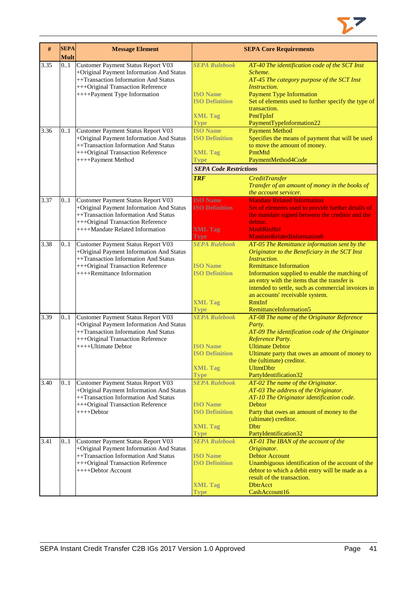

| #    | <b>SEPA</b><br><b>Mult</b> | <b>Message Element</b>                                                                                                                                                                           |                                                                                                   | <b>SEPA Core Requirements</b>                                                                                                                                                                                                                                                                                                                                                        |
|------|----------------------------|--------------------------------------------------------------------------------------------------------------------------------------------------------------------------------------------------|---------------------------------------------------------------------------------------------------|--------------------------------------------------------------------------------------------------------------------------------------------------------------------------------------------------------------------------------------------------------------------------------------------------------------------------------------------------------------------------------------|
| 3.35 | 0.1                        | Customer Payment Status Report V03<br>+Original Payment Information And Status<br>++Transaction Information And Status<br>+++Original Transaction Reference<br>++++Payment Type Information      | <b>SEPA Rulebook</b><br><b>ISO Name</b><br><b>ISO Definition</b><br><b>XML Tag</b><br><b>Type</b> | AT-40 The identification code of the SCT Inst<br>Scheme.<br>AT-45 The category purpose of the SCT Inst<br>Instruction.<br><b>Payment Type Information</b><br>Set of elements used to further specify the type of<br>transaction.<br>PmtTpInf<br>PaymentTypeInformation22                                                                                                             |
| 3.36 | 0.1                        | Customer Payment Status Report V03<br>+Original Payment Information And Status<br>++Transaction Information And Status<br>+++Original Transaction Reference<br>++++Payment Method                | <b>ISO Name</b><br><b>ISO Definition</b><br><b>XML Tag</b><br><b>Type</b>                         | <b>Payment Method</b><br>Specifies the means of payment that will be used<br>to move the amount of money.<br>PmtMtd<br>PaymentMethod4Code                                                                                                                                                                                                                                            |
|      |                            |                                                                                                                                                                                                  | <b>SEPA Code Restrictions</b><br><b>TRF</b>                                                       | <b>CreditTransfer</b><br>Transfer of an amount of money in the books of<br>the account servicer.                                                                                                                                                                                                                                                                                     |
| 3.37 | 0.1                        | Customer Payment Status Report V03<br>+Original Payment Information And Status<br>++Transaction Information And Status<br>+++Original Transaction Reference<br>++++Mandate Related Information   | <b>ISO Name</b><br><b>ISO Definition</b><br><b>XML Tag</b><br><b>Type</b>                         | <b>Mandate Related Information</b><br>Set of elements used to provide further details of<br>the mandate signed between the creditor and the<br>debtor.<br><b>MndtRltdInf</b><br><b>MandateRelatedInformation6</b>                                                                                                                                                                    |
| 3.38 | 0.1                        | <b>Customer Payment Status Report V03</b><br>+Original Payment Information And Status<br>++Transaction Information And Status<br>+++Original Transaction Reference<br>++++Remittance Information | <b>SEPA Rulebook</b><br><b>ISO Name</b><br><b>ISO Definition</b><br><b>XML Tag</b><br><b>Type</b> | AT-05 The Remittance information sent by the<br>Originator to the Beneficiary in the SCT Inst<br><i>Instruction.</i><br><b>Remittance Information</b><br>Information supplied to enable the matching of<br>an entry with the items that the transfer is<br>intended to settle, such as commercial invoices in<br>an accounts' receivable system.<br>RmtInf<br>RemittanceInformation5 |
| 3.39 | 0.1                        | Customer Payment Status Report V03<br>+Original Payment Information And Status<br>++Transaction Information And Status<br>+++Original Transaction Reference<br>++++Ultimate Debtor               | <b>SEPA Rulebook</b><br><b>ISO Name</b><br><b>ISO Definition</b><br><b>XML Tag</b><br><b>Type</b> | AT-08 The name of the Originator Reference<br>Party.<br>AT-09 The identification code of the Originator<br>Reference Party.<br><b>Ultimate Debtor</b><br>Ultimate party that owes an amount of money to<br>the (ultimate) creditor.<br><b>UltmtDbtr</b><br>PartyIdentification32                                                                                                     |
| 3.40 | 0.1                        | Customer Payment Status Report V03<br>+Original Payment Information And Status<br>++Transaction Information And Status<br>+++Original Transaction Reference<br>$+++$ Debtor                      | <b>SEPA Rulebook</b><br><b>ISO</b> Name<br><b>ISO Definition</b><br><b>XML Tag</b><br><b>Type</b> | AT-02 The name of the Originator.<br>AT-03 The address of the Originator.<br>AT-10 The Originator identification code.<br><b>Debtor</b><br>Party that owes an amount of money to the<br>(ultimate) creditor.<br><b>D</b> btr<br>PartyIdentification32                                                                                                                                |
| 3.41 | 0.1                        | Customer Payment Status Report V03<br>+Original Payment Information And Status<br>++Transaction Information And Status<br>+++Original Transaction Reference<br>++++Debtor Account                | <b>SEPA Rulebook</b><br><b>ISO</b> Name<br><b>ISO Definition</b><br><b>XML Tag</b><br><b>Type</b> | AT-01 The IBAN of the account of the<br>Originator.<br><b>Debtor Account</b><br>Unambiguous identification of the account of the<br>debtor to which a debit entry will be made as a<br>result of the transaction.<br><b>DbtrAcct</b><br>CashAccount16                                                                                                                                |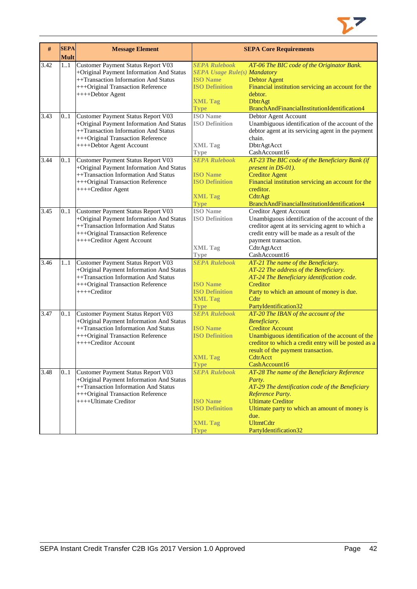

| #    | <b>SEPA</b><br><b>Mult</b> | <b>Message Element</b>                                                                                                                                                                           |                                                                                                                                   | <b>SEPA Core Requirements</b>                                                                                                                                                                                                                                  |
|------|----------------------------|--------------------------------------------------------------------------------------------------------------------------------------------------------------------------------------------------|-----------------------------------------------------------------------------------------------------------------------------------|----------------------------------------------------------------------------------------------------------------------------------------------------------------------------------------------------------------------------------------------------------------|
| 3.42 | 1.1                        | Customer Payment Status Report V03<br>+Original Payment Information And Status<br>++Transaction Information And Status<br>+++Original Transaction Reference<br>++++Debtor Agent                  | <b>SEPA Rulebook</b><br><b>SEPA Usage Rule(s) Mandatory</b><br><b>ISO Name</b><br><b>ISO Definition</b><br><b>XML Tag</b><br>Type | AT-06 The BIC code of the Originator Bank.<br><b>Debtor Agent</b><br>Financial institution servicing an account for the<br>debtor.<br><b>DbtrAgt</b><br>BranchAndFinancialInstitutionIdentification4                                                           |
| 3.43 | 0.1                        | <b>Customer Payment Status Report V03</b><br>+Original Payment Information And Status<br>++Transaction Information And Status<br>+++Original Transaction Reference<br>++++Debtor Agent Account   | <b>ISO</b> Name<br><b>ISO Definition</b><br><b>XML Tag</b><br><b>Type</b>                                                         | Debtor Agent Account<br>Unambiguous identification of the account of the<br>debtor agent at its servicing agent in the payment<br>chain.<br>DbtrAgtAcct<br>CashAccount16                                                                                       |
| 3.44 | 0.1                        | Customer Payment Status Report V03<br>+Original Payment Information And Status<br>++Transaction Information And Status<br>+++Original Transaction Reference<br>++++Creditor Agent                | <b>SEPA Rulebook</b><br><b>ISO Name</b><br><b>ISO Definition</b><br><b>XML Tag</b><br><b>Type</b>                                 | AT-23 The BIC code of the Beneficiary Bank (if<br>present in DS-01).<br><b>Creditor Agent</b><br>Financial institution servicing an account for the<br>creditor.<br>CdtrAgt<br>BranchAndFinancialInstitutionIdentification4                                    |
| 3.45 | 0.1                        | <b>Customer Payment Status Report V03</b><br>+Original Payment Information And Status<br>++Transaction Information And Status<br>+++Original Transaction Reference<br>++++Creditor Agent Account | <b>ISO</b> Name<br><b>ISO Definition</b><br><b>XML Tag</b><br><b>Type</b>                                                         | <b>Creditor Agent Account</b><br>Unambiguous identification of the account of the<br>creditor agent at its servicing agent to which a<br>credit entry will be made as a result of the<br>payment transaction.<br>CdtrAgtAcct<br>CashAccount16                  |
| 3.46 | 11                         | Customer Payment Status Report V03<br>+Original Payment Information And Status<br>++Transaction Information And Status<br>+++Original Transaction Reference<br>++++Creditor                      | <b>SEPA Rulebook</b><br><b>ISO Name</b><br><b>ISO Definition</b><br><b>XML Tag</b><br><b>Type</b>                                 | AT-21 The name of the Beneficiary.<br>AT-22 The address of the Beneficiary.<br>AT-24 The Beneficiary identification code.<br>Creditor<br>Party to which an amount of money is due.<br>Cdtr<br>PartyIdentification32                                            |
| 3.47 | 01                         | Customer Payment Status Report V03<br>+Original Payment Information And Status<br>++Transaction Information And Status<br>+++Original Transaction Reference<br>++++Creditor Account              | <b>SEPA Rulebook</b><br><b>ISO</b> Name<br><b>ISO Definition</b><br><b>XML Tag</b><br><b>Type</b>                                 | AT-20 The IBAN of the account of the<br>Beneficiary.<br><b>Creditor Account</b><br>Unambiguous identification of the account of the<br>creditor to which a credit entry will be posted as a<br>result of the payment transaction.<br>CdtrAcct<br>CashAccount16 |
| 3.48 | 0.1                        | Customer Payment Status Report V03<br>+Original Payment Information And Status<br>++Transaction Information And Status<br>+++Original Transaction Reference<br>++++Ultimate Creditor             | <b>SEPA Rulebook</b><br><b>ISO Name</b><br><b>ISO Definition</b><br><b>XML Tag</b><br><b>Type</b>                                 | AT-28 The name of the Beneficiary Reference<br>Party.<br>AT-29 The dentification code of the Beneficiary<br>Reference Party.<br><b>Ultimate Creditor</b><br>Ultimate party to which an amount of money is<br>due.<br><b>UltmtCdtr</b><br>PartyIdentification32 |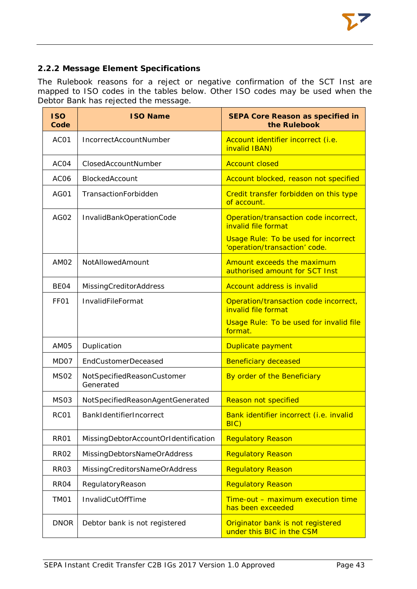# <span id="page-43-0"></span>**2.2.2 Message Element Specifications**

The Rulebook reasons for a reject or negative confirmation of the SCT Inst are mapped to ISO codes in the tables below. Other ISO codes may be used when the Debtor Bank has rejected the message.

| <b>ISO</b><br>Code | <b>ISO Name</b>                         | <b>SEPA Core Reason as specified in</b><br>the Rulebook                      |
|--------------------|-----------------------------------------|------------------------------------------------------------------------------|
| AC01               | <b>IncorrectAccountNumber</b>           | Account identifier incorrect (i.e.<br>invalid IBAN)                          |
| AC <sub>04</sub>   | ClosedAccountNumber                     | <b>Account closed</b>                                                        |
| AC <sub>06</sub>   | BlockedAccount                          | Account blocked, reason not specified                                        |
| AG01               | TransactionForbidden                    | Credit transfer forbidden on this type<br>of account.                        |
| <b>AG02</b>        | InvalidBankOperationCode                | Operation/transaction code incorrect,<br>invalid file format                 |
|                    |                                         | <b>Usage Rule: To be used for incorrect</b><br>'operation/transaction' code. |
| AM <sub>02</sub>   | NotAllowedAmount                        | Amount exceeds the maximum<br>authorised amount for SCT Inst                 |
| BE <sub>04</sub>   | <b>MissingCreditorAddress</b>           | <b>Account address is invalid</b>                                            |
| FF <sub>01</sub>   | <b>InvalidFileFormat</b>                | Operation/transaction code incorrect,<br>invalid file format                 |
|                    |                                         | Usage Rule: To be used for invalid file<br>format.                           |
| AM05               | Duplication                             | Duplicate payment                                                            |
| MD07               | <b>EndCustomerDeceased</b>              | <b>Beneficiary deceased</b>                                                  |
| <b>MS02</b>        | NotSpecifiedReasonCustomer<br>Generated | By order of the Beneficiary                                                  |
| <b>MS03</b>        | NotSpecifiedReasonAgentGenerated        | <b>Reason not specified</b>                                                  |
| RC01               | BankIdentifierIncorrect                 | Bank identifier incorrect (i.e. invalid<br>BIC)                              |
| <b>RR01</b>        | MissingDebtorAccountOrIdentification    | <b>Regulatory Reason</b>                                                     |
| <b>RR02</b>        | MissingDebtorsNameOrAddress             | <b>Regulatory Reason</b>                                                     |
| RR <sub>03</sub>   | MissingCreditorsNameOrAddress           | <b>Regulatory Reason</b>                                                     |
| RR <sub>04</sub>   | RegulatoryReason                        | <b>Regulatory Reason</b>                                                     |
| TM01               | InvalidCutOffTime                       | Time-out - maximum execution time<br>has been exceeded                       |
| <b>DNOR</b>        | Debtor bank is not registered           | Originator bank is not registered<br>under this BIC in the CSM               |